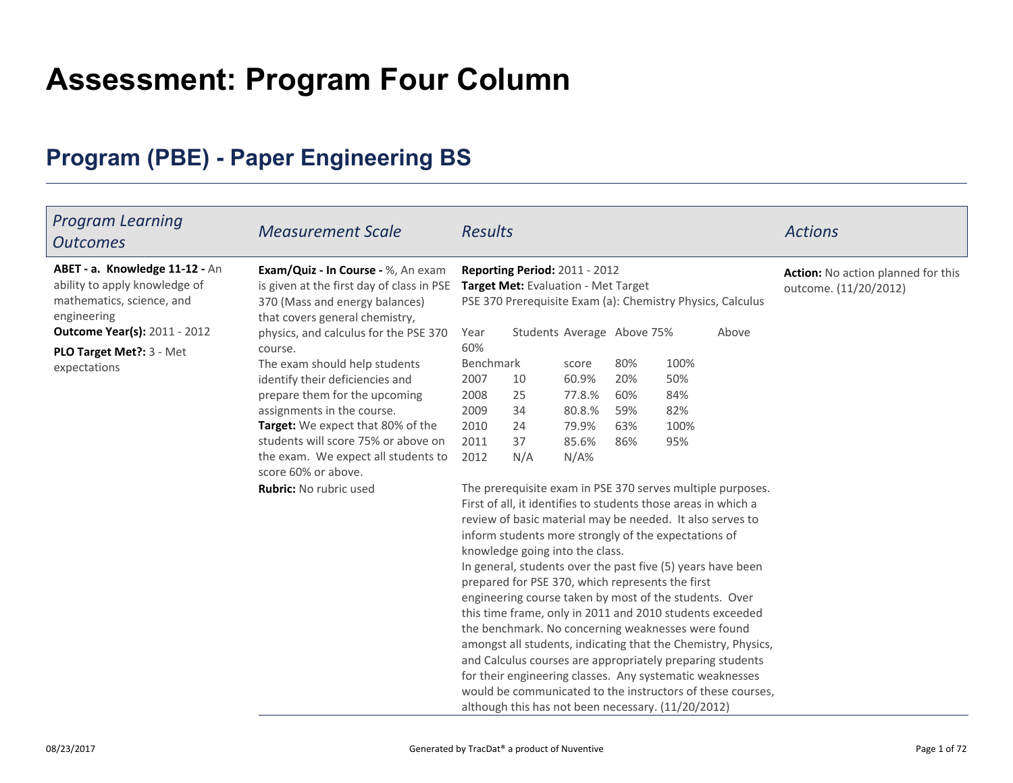# **Assessment: Program Four Column**

## **Program (PBE) - Paper Engineering BS**

| <b>Program Learning</b><br><b>Outcomes</b>                                                                  | <b>Measurement Scale</b>                                                                                                                            | <b>Results</b>                                                                                             |          |                                                                      |            |             |                                                               | <b>Actions</b>                                              |
|-------------------------------------------------------------------------------------------------------------|-----------------------------------------------------------------------------------------------------------------------------------------------------|------------------------------------------------------------------------------------------------------------|----------|----------------------------------------------------------------------|------------|-------------|---------------------------------------------------------------|-------------------------------------------------------------|
| ABET - a. Knowledge 11-12 - An<br>ability to apply knowledge of<br>mathematics, science, and<br>engineering | Exam/Quiz - In Course - %, An exam<br>is given at the first day of class in PSE<br>370 (Mass and energy balances)<br>that covers general chemistry, |                                                                                                            |          | Reporting Period: 2011 - 2012<br>Target Met: Evaluation - Met Target |            |             | PSE 370 Prerequisite Exam (a): Chemistry Physics, Calculus    | Action: No action planned for this<br>outcome. (11/20/2012) |
| <b>Outcome Year(s): 2011 - 2012</b>                                                                         | physics, and calculus for the PSE 370                                                                                                               | Year                                                                                                       |          | Students Average Above 75%                                           |            |             | Above                                                         |                                                             |
| PLO Target Met ?: 3 - Met                                                                                   | course.                                                                                                                                             | 60%                                                                                                        |          |                                                                      |            |             |                                                               |                                                             |
| expectations                                                                                                | The exam should help students                                                                                                                       | Benchmark                                                                                                  |          | score                                                                | 80%        | 100%        |                                                               |                                                             |
|                                                                                                             | identify their deficiencies and                                                                                                                     | 2007                                                                                                       | 10       | 60.9%                                                                | 20%        | 50%         |                                                               |                                                             |
|                                                                                                             | prepare them for the upcoming                                                                                                                       | 2008<br>2009                                                                                               | 25       | 77.8.%                                                               | 60%<br>59% | 84%         |                                                               |                                                             |
|                                                                                                             | assignments in the course.<br>Target: We expect that 80% of the                                                                                     | 2010                                                                                                       | 34<br>24 | 80.8.%<br>79.9%                                                      | 63%        | 82%<br>100% |                                                               |                                                             |
|                                                                                                             | students will score 75% or above on                                                                                                                 | 2011                                                                                                       | 37       | 85.6%                                                                | 86%        | 95%         |                                                               |                                                             |
|                                                                                                             | the exam. We expect all students to<br>score 60% or above.                                                                                          | 2012                                                                                                       | N/A      | $N/A\%$                                                              |            |             |                                                               |                                                             |
|                                                                                                             | Rubric: No rubric used                                                                                                                              |                                                                                                            |          |                                                                      |            |             | The prerequisite exam in PSE 370 serves multiple purposes.    |                                                             |
|                                                                                                             |                                                                                                                                                     |                                                                                                            |          | First of all, it identifies to students those areas in which a       |            |             |                                                               |                                                             |
|                                                                                                             |                                                                                                                                                     |                                                                                                            |          | review of basic material may be needed. It also serves to            |            |             |                                                               |                                                             |
|                                                                                                             |                                                                                                                                                     |                                                                                                            |          | inform students more strongly of the expectations of                 |            |             |                                                               |                                                             |
|                                                                                                             |                                                                                                                                                     | knowledge going into the class.                                                                            |          |                                                                      |            |             |                                                               |                                                             |
|                                                                                                             |                                                                                                                                                     | In general, students over the past five (5) years have been                                                |          |                                                                      |            |             |                                                               |                                                             |
|                                                                                                             |                                                                                                                                                     | prepared for PSE 370, which represents the first<br>engineering course taken by most of the students. Over |          |                                                                      |            |             |                                                               |                                                             |
|                                                                                                             |                                                                                                                                                     |                                                                                                            |          |                                                                      |            |             |                                                               |                                                             |
|                                                                                                             |                                                                                                                                                     |                                                                                                            |          |                                                                      |            |             | this time frame, only in 2011 and 2010 students exceeded      |                                                             |
|                                                                                                             |                                                                                                                                                     |                                                                                                            |          | the benchmark. No concerning weaknesses were found                   |            |             |                                                               |                                                             |
|                                                                                                             |                                                                                                                                                     |                                                                                                            |          |                                                                      |            |             | amongst all students, indicating that the Chemistry, Physics, |                                                             |
|                                                                                                             |                                                                                                                                                     |                                                                                                            |          | for their engineering classes. Any systematic weaknesses             |            |             | and Calculus courses are appropriately preparing students     |                                                             |
|                                                                                                             |                                                                                                                                                     |                                                                                                            |          |                                                                      |            |             | would be communicated to the instructors of these courses,    |                                                             |
|                                                                                                             |                                                                                                                                                     |                                                                                                            |          | although this has not been necessary. (11/20/2012)                   |            |             |                                                               |                                                             |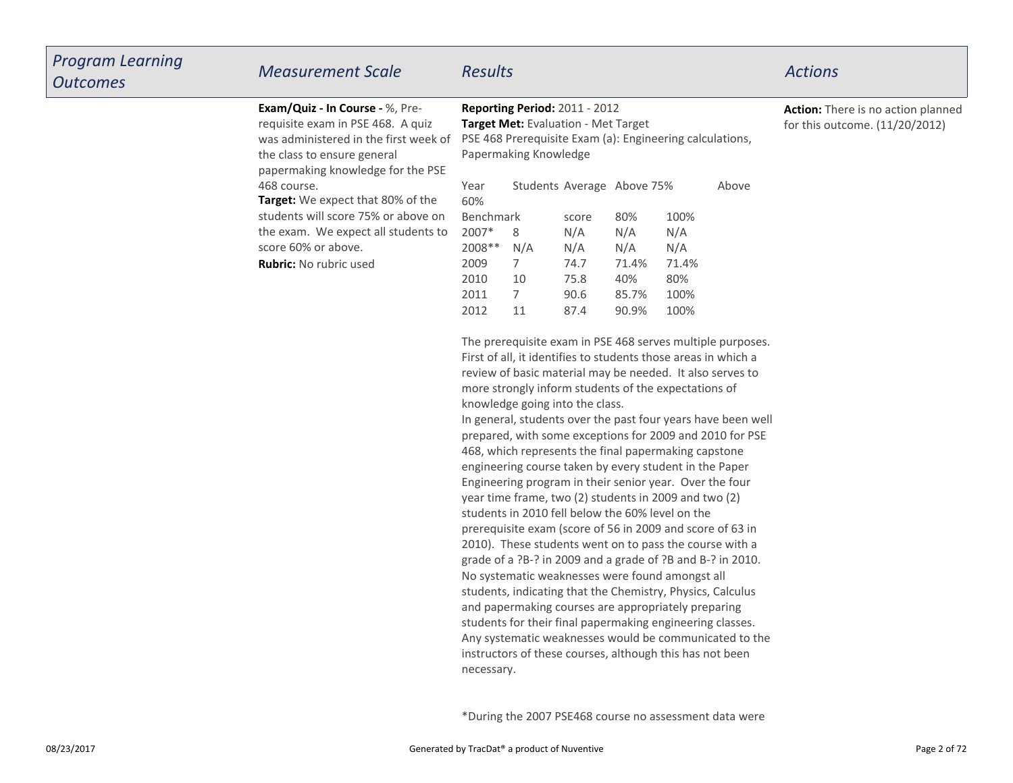| Exam/Quiz - In Course - %, Pre-<br>requisite exam in PSE 468. A quiz<br>was administered in the first week of<br>the class to ensure general<br>papermaking knowledge for the PSE | Papermaking Knowledge                                                        | Reporting Period: 2011 - 2012<br>Target Met: Evaluation - Met Target<br>PSE 468 Prerequisite Exam (a): Engineering calculations,                                                                                                                                                                                                                                                                                      |                                                     |                                                     |                                                    |                                                                                                                                                                                                 |                                                                                                                                                                                                                                                                                                                                                                                                                                                                                                                                               |
|-----------------------------------------------------------------------------------------------------------------------------------------------------------------------------------|------------------------------------------------------------------------------|-----------------------------------------------------------------------------------------------------------------------------------------------------------------------------------------------------------------------------------------------------------------------------------------------------------------------------------------------------------------------------------------------------------------------|-----------------------------------------------------|-----------------------------------------------------|----------------------------------------------------|-------------------------------------------------------------------------------------------------------------------------------------------------------------------------------------------------|-----------------------------------------------------------------------------------------------------------------------------------------------------------------------------------------------------------------------------------------------------------------------------------------------------------------------------------------------------------------------------------------------------------------------------------------------------------------------------------------------------------------------------------------------|
| 468 course.<br>Target: We expect that 80% of the<br>students will score 75% or above on<br>the exam. We expect all students to<br>score 60% or above.<br>Rubric: No rubric used   | Year<br>60%<br>Benchmark<br>2007*<br>2008 **<br>2009<br>2010<br>2011<br>2012 | Students Average Above 75%<br>8<br>N/A<br>7<br>10<br>$\overline{7}$<br>11<br>First of all, it identifies to students those areas in which a<br>review of basic material may be needed. It also serves to<br>more strongly inform students of the expectations of<br>knowledge going into the class.<br>468, which represents the final papermaking capstone<br>engineering course taken by every student in the Paper | score<br>N/A<br>N/A<br>74.7<br>75.8<br>90.6<br>87.4 | 80%<br>N/A<br>N/A<br>71.4%<br>40%<br>85.7%<br>90.9% | 100%<br>N/A<br>N/A<br>71.4%<br>80%<br>100%<br>100% | Above<br>The prerequisite exam in PSE 468 serves multiple purposes.<br>In general, students over the past four years have been well<br>prepared, with some exceptions for 2009 and 2010 for PSE | Action: Th<br>for this ou                                                                                                                                                                                                                                                                                                                                                                                                                                                                                                                     |
|                                                                                                                                                                                   |                                                                              | Engineering program in their senior year. Over the four<br>year time frame, two (2) students in 2009 and two (2)<br>students in 2010 fell below the 60% level on the                                                                                                                                                                                                                                                  |                                                     |                                                     |                                                    |                                                                                                                                                                                                 |                                                                                                                                                                                                                                                                                                                                                                                                                                                                                                                                               |
|                                                                                                                                                                                   |                                                                              |                                                                                                                                                                                                                                                                                                                                                                                                                       | necessary.                                          |                                                     |                                                    |                                                                                                                                                                                                 | prerequisite exam (score of 56 in 2009 and score of 63 in<br>2010). These students went on to pass the course with a<br>grade of a ?B-? in 2009 and a grade of ?B and B-? in 2010.<br>No systematic weaknesses were found amongst all<br>students, indicating that the Chemistry, Physics, Calculus<br>and papermaking courses are appropriately preparing<br>students for their final papermaking engineering classes.<br>Any systematic weaknesses would be communicated to the<br>instructors of these courses, although this has not been |

**tion:** There is no action planned this outcome.  $(11/20/2012)$ 

## *Program LearningOutcomes*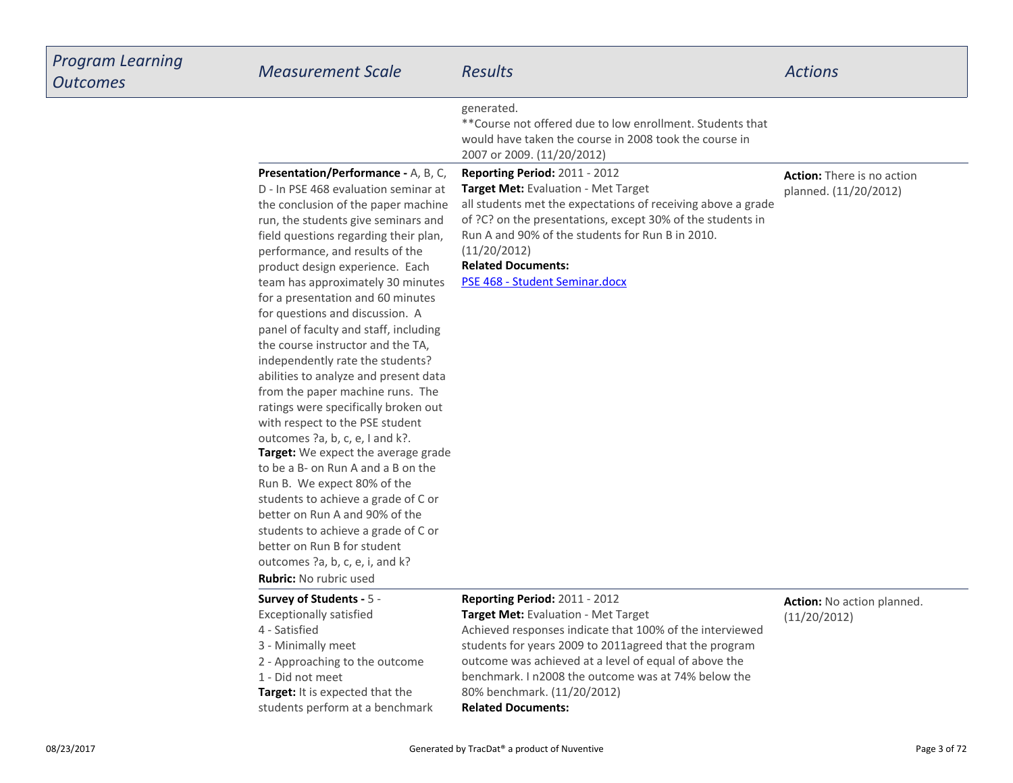| Program Learning<br><b>Outcomes</b> | <b>Measurement Scale</b>                                                                                                                                                                                                                                                                                                                                                                                                                                                                                                                                                                                                                                                                                                                                                                                                                                                                                                                                                                                                          | <b>Results</b>                                                                                                                                                                                                                                                                                                                                                                | <b>Actions</b>                                             |
|-------------------------------------|-----------------------------------------------------------------------------------------------------------------------------------------------------------------------------------------------------------------------------------------------------------------------------------------------------------------------------------------------------------------------------------------------------------------------------------------------------------------------------------------------------------------------------------------------------------------------------------------------------------------------------------------------------------------------------------------------------------------------------------------------------------------------------------------------------------------------------------------------------------------------------------------------------------------------------------------------------------------------------------------------------------------------------------|-------------------------------------------------------------------------------------------------------------------------------------------------------------------------------------------------------------------------------------------------------------------------------------------------------------------------------------------------------------------------------|------------------------------------------------------------|
|                                     |                                                                                                                                                                                                                                                                                                                                                                                                                                                                                                                                                                                                                                                                                                                                                                                                                                                                                                                                                                                                                                   | generated.<br>** Course not offered due to low enrollment. Students that<br>would have taken the course in 2008 took the course in<br>2007 or 2009. (11/20/2012)                                                                                                                                                                                                              |                                                            |
|                                     | Presentation/Performance - A, B, C,<br>D - In PSE 468 evaluation seminar at<br>the conclusion of the paper machine<br>run, the students give seminars and<br>field questions regarding their plan,<br>performance, and results of the<br>product design experience. Each<br>team has approximately 30 minutes<br>for a presentation and 60 minutes<br>for questions and discussion. A<br>panel of faculty and staff, including<br>the course instructor and the TA,<br>independently rate the students?<br>abilities to analyze and present data<br>from the paper machine runs. The<br>ratings were specifically broken out<br>with respect to the PSE student<br>outcomes ?a, b, c, e, I and k?.<br>Target: We expect the average grade<br>to be a B- on Run A and a B on the<br>Run B. We expect 80% of the<br>students to achieve a grade of C or<br>better on Run A and 90% of the<br>students to achieve a grade of C or<br>better on Run B for student<br>outcomes ?a, b, c, e, i, and k?<br><b>Rubric:</b> No rubric used | Reporting Period: 2011 - 2012<br>Target Met: Evaluation - Met Target<br>all students met the expectations of receiving above a grade<br>of ?C? on the presentations, except 30% of the students in<br>Run A and 90% of the students for Run B in 2010.<br>(11/20/2012)<br><b>Related Documents:</b><br>PSE 468 - Student Seminar.docx                                         | <b>Action:</b> There is no action<br>planned. (11/20/2012) |
|                                     | Survey of Students - 5 -<br><b>Exceptionally satisfied</b><br>4 - Satisfied<br>3 - Minimally meet<br>2 - Approaching to the outcome<br>1 - Did not meet<br>Target: It is expected that the<br>students perform at a benchmark                                                                                                                                                                                                                                                                                                                                                                                                                                                                                                                                                                                                                                                                                                                                                                                                     | Reporting Period: 2011 - 2012<br><b>Target Met:</b> Evaluation - Met Target<br>Achieved responses indicate that 100% of the interviewed<br>students for years 2009 to 2011agreed that the program<br>outcome was achieved at a level of equal of above the<br>benchmark. I n2008 the outcome was at 74% below the<br>80% benchmark. (11/20/2012)<br><b>Related Documents:</b> | Action: No action planned.<br>(11/20/2012)                 |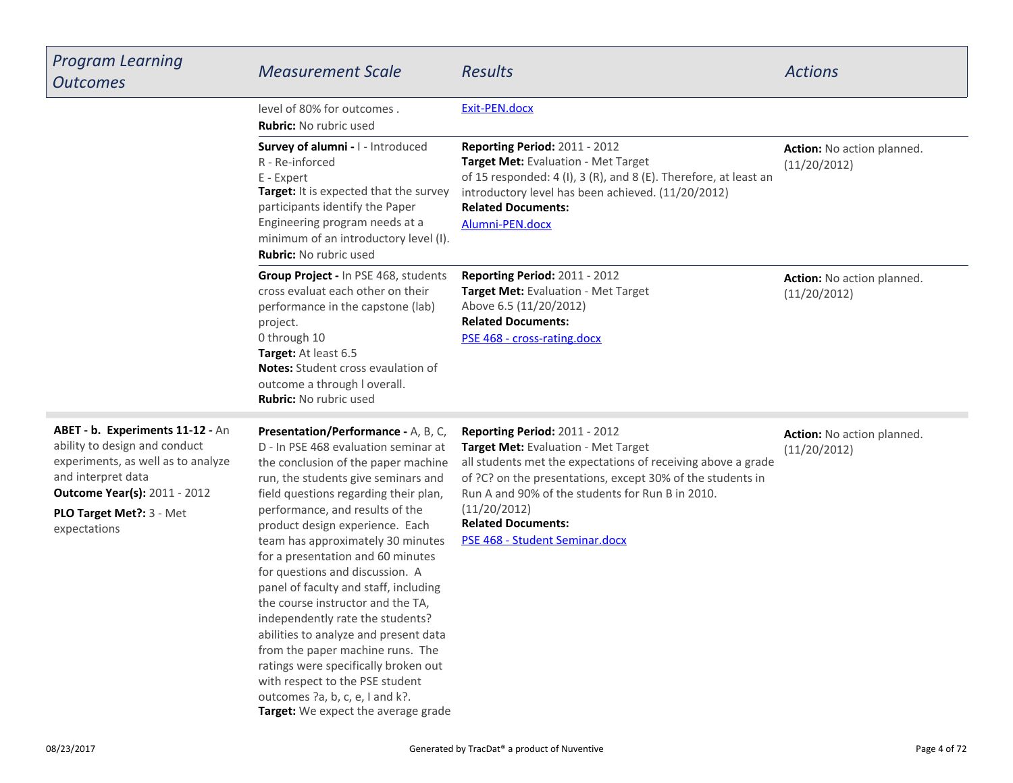| <b>Program Learning</b><br><b>Outcomes</b>                                                                                                                                                                        | <b>Measurement Scale</b>                                                                                                                                                                                                                                                                                                                                                                                                                                                                                                                                                                                                                                                                           | <b>Results</b>                                                                                                                                                                                                                                                                                                                        | <b>Actions</b>                             |
|-------------------------------------------------------------------------------------------------------------------------------------------------------------------------------------------------------------------|----------------------------------------------------------------------------------------------------------------------------------------------------------------------------------------------------------------------------------------------------------------------------------------------------------------------------------------------------------------------------------------------------------------------------------------------------------------------------------------------------------------------------------------------------------------------------------------------------------------------------------------------------------------------------------------------------|---------------------------------------------------------------------------------------------------------------------------------------------------------------------------------------------------------------------------------------------------------------------------------------------------------------------------------------|--------------------------------------------|
|                                                                                                                                                                                                                   | level of 80% for outcomes.<br>Rubric: No rubric used                                                                                                                                                                                                                                                                                                                                                                                                                                                                                                                                                                                                                                               | Exit-PEN.docx                                                                                                                                                                                                                                                                                                                         |                                            |
|                                                                                                                                                                                                                   | Survey of alumni - I - Introduced<br>R - Re-inforced<br>E - Expert<br>Target: It is expected that the survey<br>participants identify the Paper<br>Engineering program needs at a<br>minimum of an introductory level (I).<br><b>Rubric:</b> No rubric used                                                                                                                                                                                                                                                                                                                                                                                                                                        | Reporting Period: 2011 - 2012<br>Target Met: Evaluation - Met Target<br>of 15 responded: 4 (I), 3 (R), and 8 (E). Therefore, at least an<br>introductory level has been achieved. (11/20/2012)<br><b>Related Documents:</b><br>Alumni-PEN.docx                                                                                        | Action: No action planned.<br>(11/20/2012) |
|                                                                                                                                                                                                                   | Group Project - In PSE 468, students<br>cross evaluat each other on their<br>performance in the capstone (lab)<br>project.<br>0 through 10<br>Target: At least 6.5<br>Notes: Student cross evaulation of<br>outcome a through I overall.<br><b>Rubric:</b> No rubric used                                                                                                                                                                                                                                                                                                                                                                                                                          | Reporting Period: 2011 - 2012<br>Target Met: Evaluation - Met Target<br>Above 6.5 (11/20/2012)<br><b>Related Documents:</b><br>PSE 468 - cross-rating.docx                                                                                                                                                                            | Action: No action planned.<br>(11/20/2012) |
| ABET - b. Experiments 11-12 - An<br>ability to design and conduct<br>experiments, as well as to analyze<br>and interpret data<br><b>Outcome Year(s): 2011 - 2012</b><br>PLO Target Met ?: 3 - Met<br>expectations | Presentation/Performance - A, B, C,<br>D - In PSE 468 evaluation seminar at<br>the conclusion of the paper machine<br>run, the students give seminars and<br>field questions regarding their plan,<br>performance, and results of the<br>product design experience. Each<br>team has approximately 30 minutes<br>for a presentation and 60 minutes<br>for questions and discussion. A<br>panel of faculty and staff, including<br>the course instructor and the TA,<br>independently rate the students?<br>abilities to analyze and present data<br>from the paper machine runs. The<br>ratings were specifically broken out<br>with respect to the PSE student<br>outcomes ?a, b, c, e, I and k?. | Reporting Period: 2011 - 2012<br>Target Met: Evaluation - Met Target<br>all students met the expectations of receiving above a grade<br>of ?C? on the presentations, except 30% of the students in<br>Run A and 90% of the students for Run B in 2010.<br>(11/20/2012)<br><b>Related Documents:</b><br>PSE 468 - Student Seminar.docx | Action: No action planned.<br>(11/20/2012) |

**Target:** We expect the average grade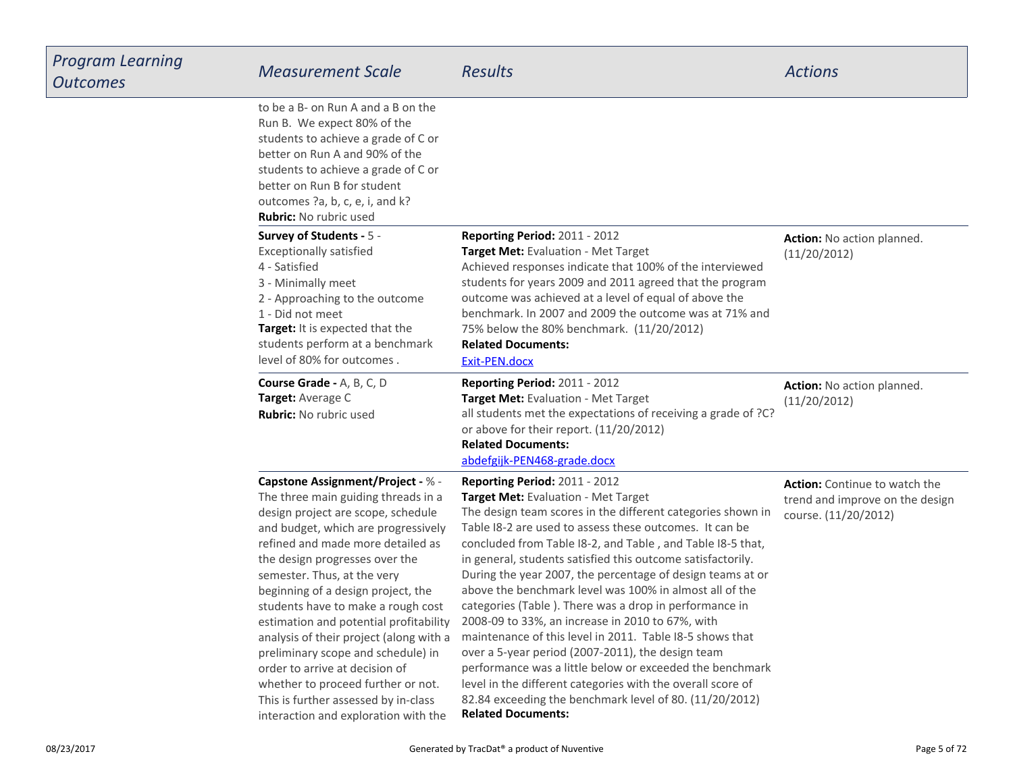| Program Learning<br>Outcomes | <b>Measurement Scale</b>                                                                                                                                                                                                                                                                                                                                                                                                                                                                                                                                                                                                          | <b>Results</b>                                                                                                                                                                                                                                                                                                                                                                                                                                                                                                                                                                                                                                                                                                                                                                                                                                                                                         | <b>Actions</b>                                                                                  |
|------------------------------|-----------------------------------------------------------------------------------------------------------------------------------------------------------------------------------------------------------------------------------------------------------------------------------------------------------------------------------------------------------------------------------------------------------------------------------------------------------------------------------------------------------------------------------------------------------------------------------------------------------------------------------|--------------------------------------------------------------------------------------------------------------------------------------------------------------------------------------------------------------------------------------------------------------------------------------------------------------------------------------------------------------------------------------------------------------------------------------------------------------------------------------------------------------------------------------------------------------------------------------------------------------------------------------------------------------------------------------------------------------------------------------------------------------------------------------------------------------------------------------------------------------------------------------------------------|-------------------------------------------------------------------------------------------------|
|                              | to be a B- on Run A and a B on the<br>Run B. We expect 80% of the<br>students to achieve a grade of C or<br>better on Run A and 90% of the<br>students to achieve a grade of C or<br>better on Run B for student<br>outcomes ?a, b, c, e, i, and k?<br><b>Rubric:</b> No rubric used                                                                                                                                                                                                                                                                                                                                              |                                                                                                                                                                                                                                                                                                                                                                                                                                                                                                                                                                                                                                                                                                                                                                                                                                                                                                        |                                                                                                 |
|                              | Survey of Students - 5 -<br><b>Exceptionally satisfied</b><br>4 - Satisfied<br>3 - Minimally meet<br>2 - Approaching to the outcome<br>1 - Did not meet<br>Target: It is expected that the<br>students perform at a benchmark<br>level of 80% for outcomes.                                                                                                                                                                                                                                                                                                                                                                       | Reporting Period: 2011 - 2012<br>Target Met: Evaluation - Met Target<br>Achieved responses indicate that 100% of the interviewed<br>students for years 2009 and 2011 agreed that the program<br>outcome was achieved at a level of equal of above the<br>benchmark. In 2007 and 2009 the outcome was at 71% and<br>75% below the 80% benchmark. (11/20/2012)<br><b>Related Documents:</b><br>Exit-PEN.docx                                                                                                                                                                                                                                                                                                                                                                                                                                                                                             | Action: No action planned.<br>(11/20/2012)                                                      |
|                              | Course Grade - A, B, C, D<br>Target: Average C<br><b>Rubric:</b> No rubric used                                                                                                                                                                                                                                                                                                                                                                                                                                                                                                                                                   | <b>Reporting Period: 2011 - 2012</b><br>Target Met: Evaluation - Met Target<br>all students met the expectations of receiving a grade of ?C?<br>or above for their report. (11/20/2012)<br><b>Related Documents:</b><br>abdefgijk-PEN468-grade.docx                                                                                                                                                                                                                                                                                                                                                                                                                                                                                                                                                                                                                                                    | Action: No action planned.<br>(11/20/2012)                                                      |
|                              | <b>Capstone Assignment/Project - % -</b><br>The three main guiding threads in a<br>design project are scope, schedule<br>and budget, which are progressively<br>refined and made more detailed as<br>the design progresses over the<br>semester. Thus, at the very<br>beginning of a design project, the<br>students have to make a rough cost<br>estimation and potential profitability<br>analysis of their project (along with a<br>preliminary scope and schedule) in<br>order to arrive at decision of<br>whether to proceed further or not.<br>This is further assessed by in-class<br>interaction and exploration with the | Reporting Period: 2011 - 2012<br>Target Met: Evaluation - Met Target<br>The design team scores in the different categories shown in<br>Table I8-2 are used to assess these outcomes. It can be<br>concluded from Table I8-2, and Table, and Table I8-5 that,<br>in general, students satisfied this outcome satisfactorily.<br>During the year 2007, the percentage of design teams at or<br>above the benchmark level was 100% in almost all of the<br>categories (Table). There was a drop in performance in<br>2008-09 to 33%, an increase in 2010 to 67%, with<br>maintenance of this level in 2011. Table I8-5 shows that<br>over a 5-year period (2007-2011), the design team<br>performance was a little below or exceeded the benchmark<br>level in the different categories with the overall score of<br>82.84 exceeding the benchmark level of 80. (11/20/2012)<br><b>Related Documents:</b> | <b>Action:</b> Continue to watch the<br>trend and improve on the design<br>course. (11/20/2012) |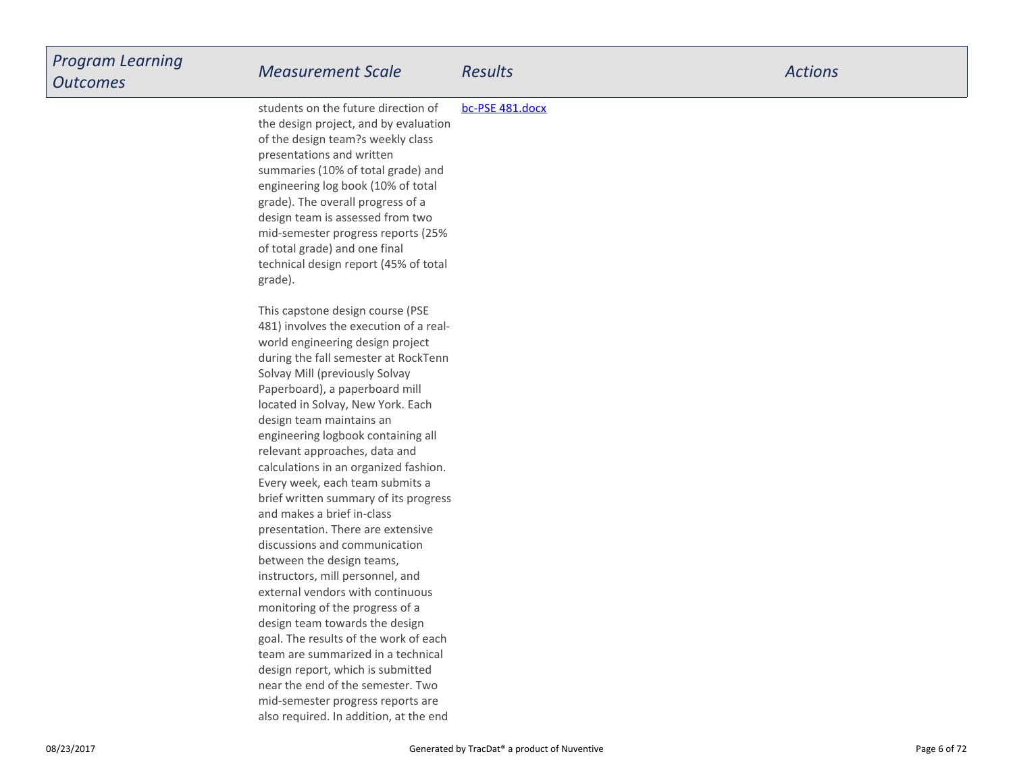| <b>Program Learning</b><br><b>Outcomes</b> | <b>Measurement Scale</b>                                                                                                                                                                                                                                                                                                                                                                                                                                                                                                                                                                                                                                                                                                                                                                                                                                                                  | <b>Results</b>  | <b>Actions</b> |
|--------------------------------------------|-------------------------------------------------------------------------------------------------------------------------------------------------------------------------------------------------------------------------------------------------------------------------------------------------------------------------------------------------------------------------------------------------------------------------------------------------------------------------------------------------------------------------------------------------------------------------------------------------------------------------------------------------------------------------------------------------------------------------------------------------------------------------------------------------------------------------------------------------------------------------------------------|-----------------|----------------|
|                                            | students on the future direction of<br>the design project, and by evaluation<br>of the design team?s weekly class<br>presentations and written<br>summaries (10% of total grade) and<br>engineering log book (10% of total<br>grade). The overall progress of a<br>design team is assessed from two<br>mid-semester progress reports (25%<br>of total grade) and one final<br>technical design report (45% of total<br>grade).                                                                                                                                                                                                                                                                                                                                                                                                                                                            | bc-PSE 481.docx |                |
|                                            | This capstone design course (PSE<br>481) involves the execution of a real-<br>world engineering design project<br>during the fall semester at RockTenn<br>Solvay Mill (previously Solvay<br>Paperboard), a paperboard mill<br>located in Solvay, New York. Each<br>design team maintains an<br>engineering logbook containing all<br>relevant approaches, data and<br>calculations in an organized fashion.<br>Every week, each team submits a<br>brief written summary of its progress<br>and makes a brief in-class<br>presentation. There are extensive<br>discussions and communication<br>between the design teams,<br>instructors, mill personnel, and<br>external vendors with continuous<br>monitoring of the progress of a<br>design team towards the design<br>goal. The results of the work of each<br>team are summarized in a technical<br>design report, which is submitted |                 |                |
|                                            | near the end of the semester. Two<br>mid-semester progress reports are<br>also required. In addition, at the end                                                                                                                                                                                                                                                                                                                                                                                                                                                                                                                                                                                                                                                                                                                                                                          |                 |                |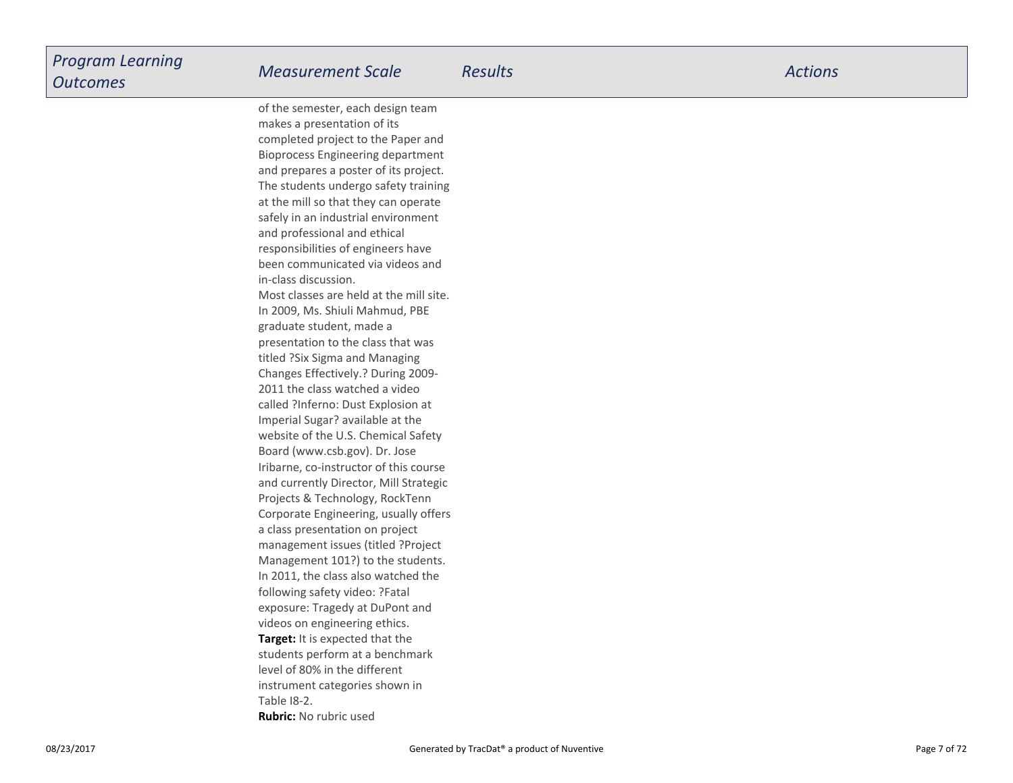**Target:** It is expected that the students perform at a benchmarklevel of 80% in the differentinstrument categories shown inof the semester, each design teammakes a presentation of its completed project to the Paper and Bioprocess Engineering department and prepares a poster of its project.The students undergo safety trainingat the mill so that they can operate safely in an industrial environmentand professional and ethicalresponsibilities of engineers have been communicated via videos andin-class discussion.Most classes are held at the mill site.In 2009, Ms. Shiuli Mahmud, PBEgraduate student, made a presentation to the class that wastitled ?Six Sigma and Managing Changes Effectively.? During 2009-2011 the class watched a video called ?Inferno: Dust Explosion atImperial Sugar? available at the website of the U.S. Chemical SafetyBoard (www.csb.gov). Dr. Jose Iribarne, co-instructor of this course and currently Director, Mill StrategicProjects & Technology, RockTenn Corporate Engineering, usually offersa class presentation on project management issues (titled ?ProjectManagement 101?) to the students.In 2011, the class also watched thefollowing safety video: ?Fatalexposure: Tragedy at DuPont andvideos on engineering ethics.

Table I8-2.

**Rubric:** No rubric used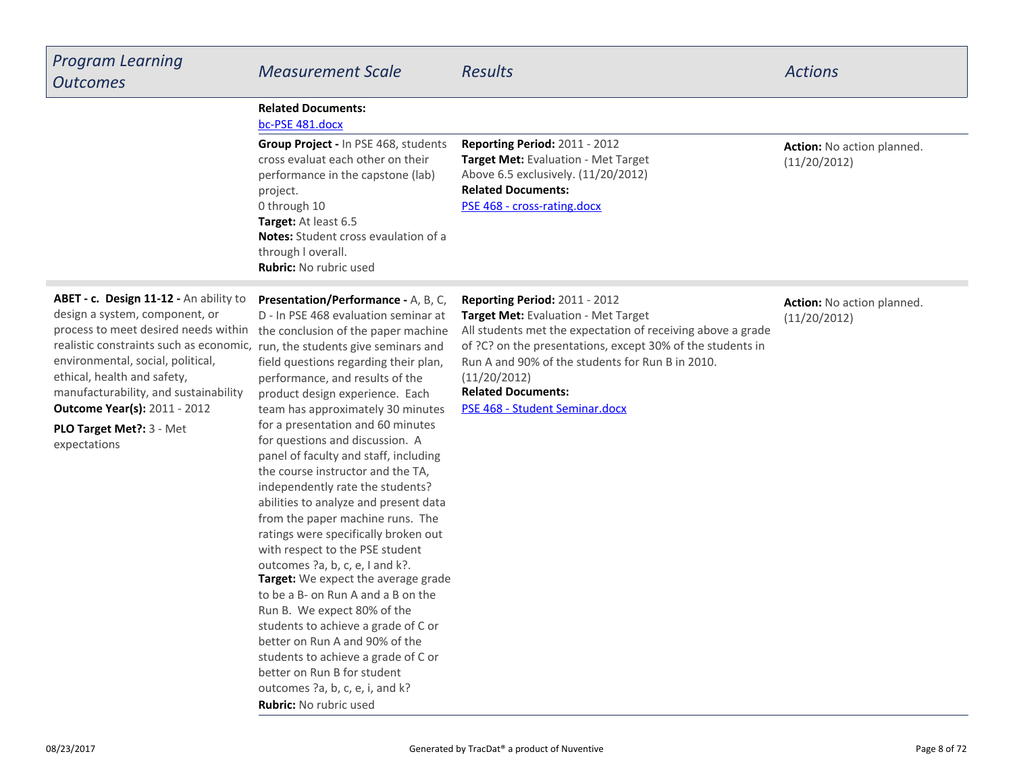| <b>Program Learning</b><br><b>Outcomes</b>                                                                                                                                                                                                                                                                                                                                                       | <b>Measurement Scale</b>                                                                                                                                                                                                                                                                                                                                                                                                                                                                                                                                                              | <b>Results</b>                                                                                                                                                                                                                                                                                                                       | <b>Actions</b>                             |
|--------------------------------------------------------------------------------------------------------------------------------------------------------------------------------------------------------------------------------------------------------------------------------------------------------------------------------------------------------------------------------------------------|---------------------------------------------------------------------------------------------------------------------------------------------------------------------------------------------------------------------------------------------------------------------------------------------------------------------------------------------------------------------------------------------------------------------------------------------------------------------------------------------------------------------------------------------------------------------------------------|--------------------------------------------------------------------------------------------------------------------------------------------------------------------------------------------------------------------------------------------------------------------------------------------------------------------------------------|--------------------------------------------|
|                                                                                                                                                                                                                                                                                                                                                                                                  | <b>Related Documents:</b><br>bc-PSE 481.docx                                                                                                                                                                                                                                                                                                                                                                                                                                                                                                                                          |                                                                                                                                                                                                                                                                                                                                      |                                            |
|                                                                                                                                                                                                                                                                                                                                                                                                  | Group Project - In PSE 468, students<br>cross evaluat each other on their<br>performance in the capstone (lab)<br>project.<br>0 through 10<br>Target: At least 6.5<br><b>Notes:</b> Student cross evaulation of a<br>through I overall.<br><b>Rubric: No rubric used</b>                                                                                                                                                                                                                                                                                                              | Reporting Period: 2011 - 2012<br>Target Met: Evaluation - Met Target<br>Above 6.5 exclusively. (11/20/2012)<br><b>Related Documents:</b><br>PSE 468 - cross-rating.docx                                                                                                                                                              | Action: No action planned.<br>(11/20/2012) |
| ABET - c. Design 11-12 - An ability to<br>design a system, component, or<br>process to meet desired needs within<br>realistic constraints such as economic, run, the students give seminars and<br>environmental, social, political,<br>ethical, health and safety,<br>manufacturability, and sustainability<br><b>Outcome Year(s): 2011 - 2012</b><br>PLO Target Met ?: 3 - Met<br>expectations | Presentation/Performance - A, B, C,<br>D - In PSE 468 evaluation seminar at<br>the conclusion of the paper machine<br>field questions regarding their plan,<br>performance, and results of the<br>product design experience. Each<br>team has approximately 30 minutes<br>for a presentation and 60 minutes<br>for questions and discussion. A<br>panel of faculty and staff, including<br>the course instructor and the TA,<br>independently rate the students?<br>abilities to analyze and present data<br>from the paper machine runs. The<br>ratings were specifically broken out | Reporting Period: 2011 - 2012<br>Target Met: Evaluation - Met Target<br>All students met the expectation of receiving above a grade<br>of ?C? on the presentations, except 30% of the students in<br>Run A and 90% of the students for Run B in 2010.<br>(11/20/2012)<br><b>Related Documents:</b><br>PSE 468 - Student Seminar.docx | Action: No action planned.<br>(11/20/2012) |

**Target:** We expect the average grade to be a B- on Run A and a B on theRun B. We expect 80% of the students to achieve a grade of C orbetter on Run A and 90% of the students to achieve a grade of C orbetter on Run B for student outcomes ?a, b, c, e, i, and k?**Rubric:** No rubric used

with respect to the PSE studentoutcomes ?a, b, c, e, I and k?.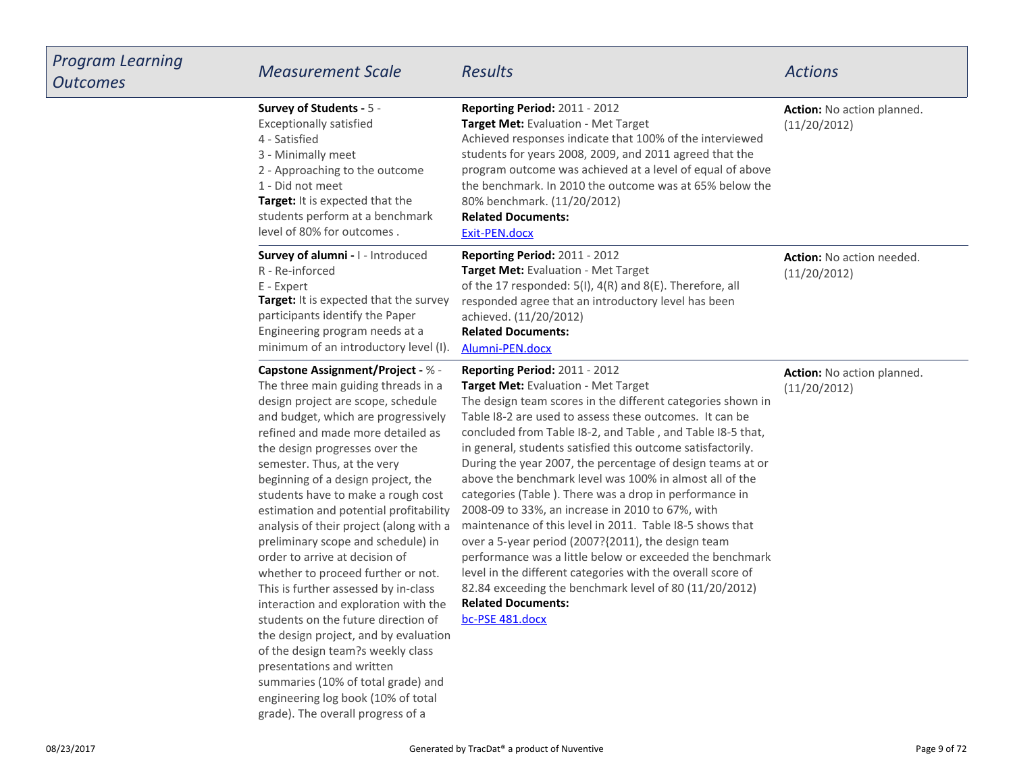| Program Learning<br>Outcomes | <b>Measurement Scale</b>                                                                                                                                                                                                                                                                                                                                                                                                                                                                                                                                                                                                                                                                                                                                                                                                                                                                      | <b>Results</b>                                                                                                                                                                                                                                                                                                                                                                                                                                                                                                                                                                                                                                                                                                                                                                                                                                                                                                            | <b>Actions</b>                             |
|------------------------------|-----------------------------------------------------------------------------------------------------------------------------------------------------------------------------------------------------------------------------------------------------------------------------------------------------------------------------------------------------------------------------------------------------------------------------------------------------------------------------------------------------------------------------------------------------------------------------------------------------------------------------------------------------------------------------------------------------------------------------------------------------------------------------------------------------------------------------------------------------------------------------------------------|---------------------------------------------------------------------------------------------------------------------------------------------------------------------------------------------------------------------------------------------------------------------------------------------------------------------------------------------------------------------------------------------------------------------------------------------------------------------------------------------------------------------------------------------------------------------------------------------------------------------------------------------------------------------------------------------------------------------------------------------------------------------------------------------------------------------------------------------------------------------------------------------------------------------------|--------------------------------------------|
|                              | Survey of Students - 5 -<br><b>Exceptionally satisfied</b><br>4 - Satisfied<br>3 - Minimally meet<br>2 - Approaching to the outcome<br>1 - Did not meet<br>Target: It is expected that the<br>students perform at a benchmark<br>level of 80% for outcomes.                                                                                                                                                                                                                                                                                                                                                                                                                                                                                                                                                                                                                                   | Reporting Period: 2011 - 2012<br>Target Met: Evaluation - Met Target<br>Achieved responses indicate that 100% of the interviewed<br>students for years 2008, 2009, and 2011 agreed that the<br>program outcome was achieved at a level of equal of above<br>the benchmark. In 2010 the outcome was at 65% below the<br>80% benchmark. (11/20/2012)<br><b>Related Documents:</b><br>Exit-PEN.docx                                                                                                                                                                                                                                                                                                                                                                                                                                                                                                                          | Action: No action planned.<br>(11/20/2012) |
|                              | Survey of alumni - I - Introduced<br>R - Re-inforced<br>E - Expert<br>Target: It is expected that the survey<br>participants identify the Paper<br>Engineering program needs at a<br>minimum of an introductory level (I).                                                                                                                                                                                                                                                                                                                                                                                                                                                                                                                                                                                                                                                                    | Reporting Period: 2011 - 2012<br>Target Met: Evaluation - Met Target<br>of the 17 responded: 5(I), 4(R) and 8(E). Therefore, all<br>responded agree that an introductory level has been<br>achieved. (11/20/2012)<br><b>Related Documents:</b><br>Alumni-PEN.docx                                                                                                                                                                                                                                                                                                                                                                                                                                                                                                                                                                                                                                                         | Action: No action needed.<br>(11/20/2012)  |
|                              | Capstone Assignment/Project - % -<br>The three main guiding threads in a<br>design project are scope, schedule<br>and budget, which are progressively<br>refined and made more detailed as<br>the design progresses over the<br>semester. Thus, at the very<br>beginning of a design project, the<br>students have to make a rough cost<br>estimation and potential profitability<br>analysis of their project (along with a<br>preliminary scope and schedule) in<br>order to arrive at decision of<br>whether to proceed further or not.<br>This is further assessed by in-class<br>interaction and exploration with the<br>students on the future direction of<br>the design project, and by evaluation<br>of the design team?s weekly class<br>presentations and written<br>summaries (10% of total grade) and<br>engineering log book (10% of total<br>grade). The overall progress of a | Reporting Period: 2011 - 2012<br>Target Met: Evaluation - Met Target<br>The design team scores in the different categories shown in<br>Table I8-2 are used to assess these outcomes. It can be<br>concluded from Table I8-2, and Table, and Table I8-5 that,<br>in general, students satisfied this outcome satisfactorily.<br>During the year 2007, the percentage of design teams at or<br>above the benchmark level was 100% in almost all of the<br>categories (Table). There was a drop in performance in<br>2008-09 to 33%, an increase in 2010 to 67%, with<br>maintenance of this level in 2011. Table I8-5 shows that<br>over a 5-year period (2007?{2011), the design team<br>performance was a little below or exceeded the benchmark<br>level in the different categories with the overall score of<br>82.84 exceeding the benchmark level of 80 (11/20/2012)<br><b>Related Documents:</b><br>bc-PSE 481.docx | Action: No action planned.<br>(11/20/2012) |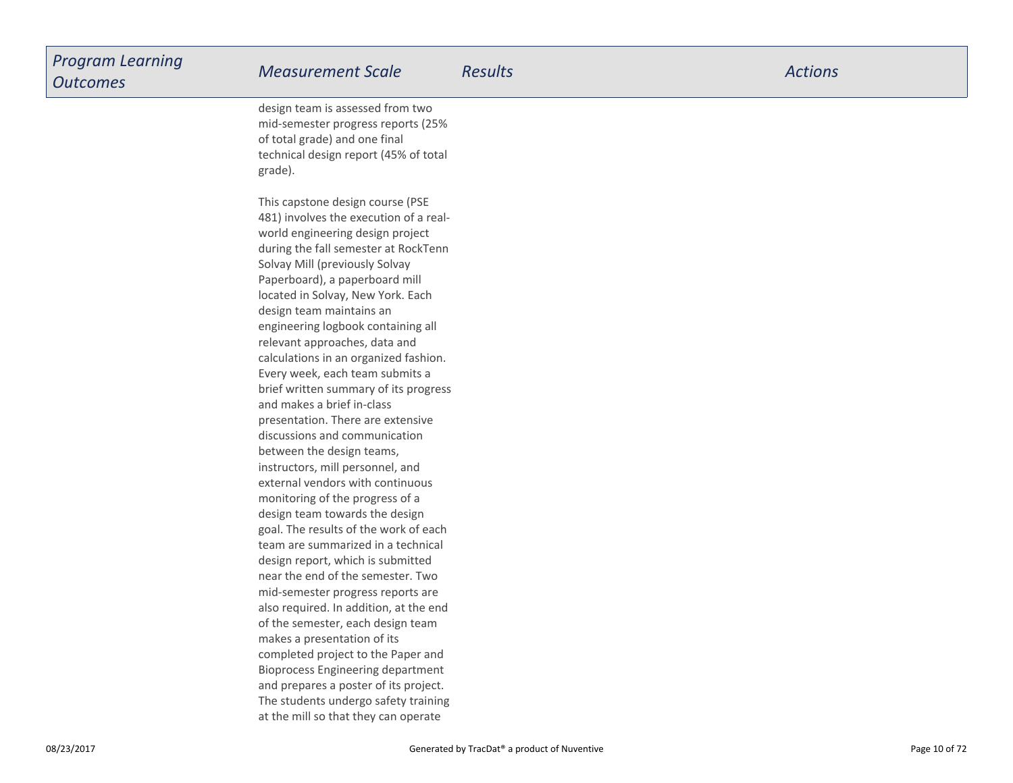| 3/2017 | Generated by TracDat® a product of Nuventive                               | Page 10 of 72 |
|--------|----------------------------------------------------------------------------|---------------|
|        |                                                                            |               |
|        | at the mill so that they can operate                                       |               |
|        | The students undergo safety training                                       |               |
|        | Bioprocess Engineering department<br>and prepares a poster of its project. |               |
|        | completed project to the Paper and                                         |               |
|        | makes a presentation of its                                                |               |
|        | of the semester, each design team                                          |               |
|        | also required. In addition, at the end                                     |               |
|        | mid-semester progress reports are                                          |               |
|        | near the end of the semester. Two                                          |               |
|        | design report, which is submitted                                          |               |
|        | team are summarized in a technical                                         |               |
|        | goal. The results of the work of each                                      |               |
|        | design team towards the design                                             |               |
|        | monitoring of the progress of a                                            |               |
|        |                                                                            |               |
|        | instructors, mill personnel, and<br>external vendors with continuous       |               |
|        |                                                                            |               |
|        | between the design teams,                                                  |               |
|        | discussions and communication                                              |               |
|        | presentation. There are extensive                                          |               |
|        | and makes a brief in-class                                                 |               |
|        | brief written summary of its progress                                      |               |
|        | Every week, each team submits a                                            |               |
|        | calculations in an organized fashion.                                      |               |
|        | relevant approaches, data and                                              |               |
|        | engineering logbook containing all                                         |               |
|        | located in Solvay, New York. Each<br>design team maintains an              |               |
|        |                                                                            |               |
|        | Solvay Mill (previously Solvay<br>Paperboard), a paperboard mill           |               |
|        | during the fall semester at RockTenn                                       |               |
|        | world engineering design project                                           |               |
|        |                                                                            |               |
|        | 481) involves the execution of a real-                                     |               |
|        | This capstone design course (PSE                                           |               |
|        | grade).                                                                    |               |
|        | technical design report (45% of total                                      |               |
|        |                                                                            |               |
|        | of total grade) and one final                                              |               |
|        | mid-semester progress reports (25%                                         |               |
|        | design team is assessed from two                                           |               |

## *Program LearningOutcomes*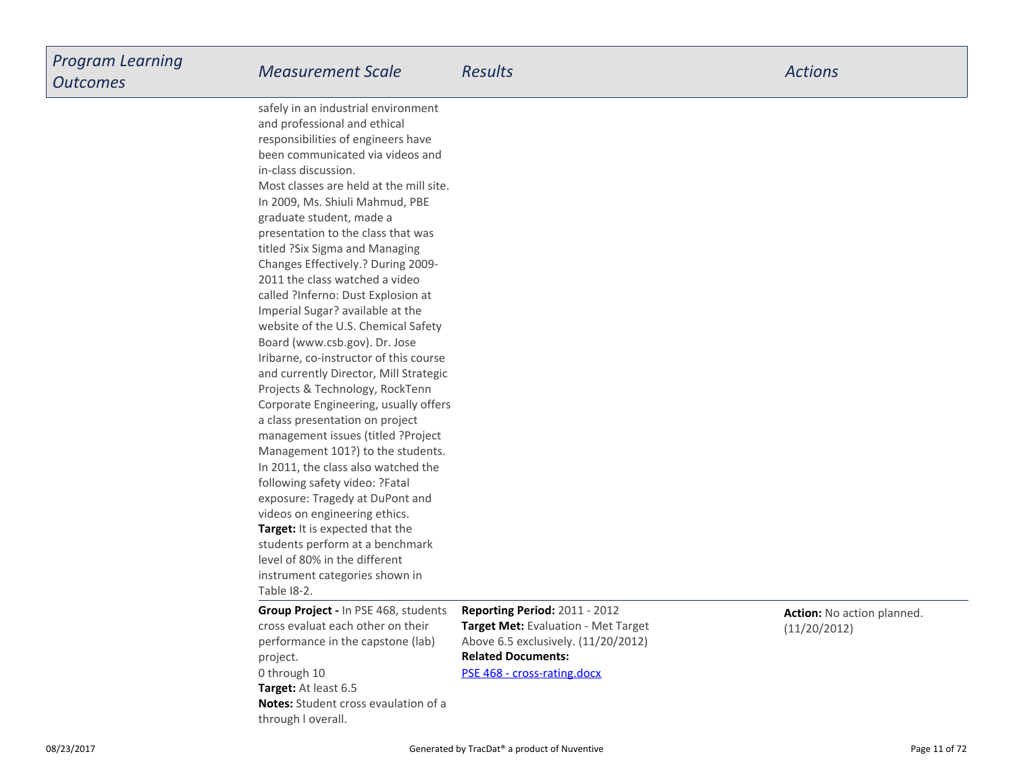**Target:** It is expected that the students perform at a benchmarklevel of 80% in the differentinstrument categories shown inTable I8-2.safely in an industrial environmentand professional and ethicalresponsibilities of engineers have been communicated via videos andin-class discussion.Most classes are held at the mill site.In 2009, Ms. Shiuli Mahmud, PBEgraduate student, made a presentation to the class that wastitled ?Six Sigma and Managing Changes Effectively.? During 2009-2011 the class watched a video called ?Inferno: Dust Explosion atImperial Sugar? available at the website of the U.S. Chemical SafetyBoard (www.csb.gov). Dr. Jose Iribarne, co-instructor of this course and currently Director, Mill StrategicProjects & Technology, RockTenn Corporate Engineering, usually offersa class presentation on projectmanagement issues (titled ?ProjectManagement 101?) to the students.In 2011, the class also watched thefollowing safety video: ?Fatalexposure: Tragedy at DuPont andvideos on engineering ethics.

**Target:** At least 6.5 **Notes:** Student cross evaulation of athrough l overall.**Group Project -** In PSE 468, studentscross evaluat each other on theirperformance in the capstone (lab)project.0 through 10

**Related Documents:Reporting Period:** 2011 - 2012 **Target Met:** Evaluation - Met TargetAbove 6.5 exclusively. (11/20/2012)

[PSE 468 - cross-rating.docx](https://esf.tracdat.com:443/tracdat/viewDocument?y=osYshJZvDCx9)

**Action:** No action planned.(11/20/2012)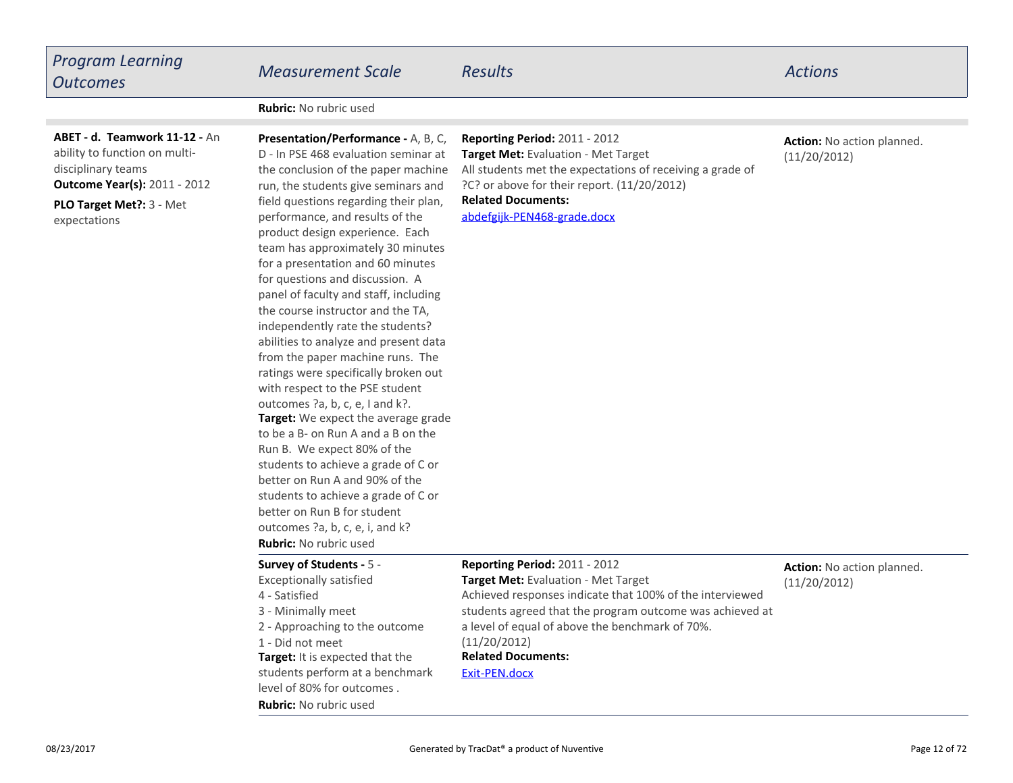| <b>Program Learning</b><br><b>Outcomes</b>                                                                                                                               | <b>Measurement Scale</b>                                                                                                                                                                                                                                                                                                                                                                                                                                                                                                                                                                                                                                                                                                                                                                                                                                                                                                                                                                                                          | <b>Results</b>                                                                                                                                                                                                                                                                                                       | <b>Actions</b>                             |
|--------------------------------------------------------------------------------------------------------------------------------------------------------------------------|-----------------------------------------------------------------------------------------------------------------------------------------------------------------------------------------------------------------------------------------------------------------------------------------------------------------------------------------------------------------------------------------------------------------------------------------------------------------------------------------------------------------------------------------------------------------------------------------------------------------------------------------------------------------------------------------------------------------------------------------------------------------------------------------------------------------------------------------------------------------------------------------------------------------------------------------------------------------------------------------------------------------------------------|----------------------------------------------------------------------------------------------------------------------------------------------------------------------------------------------------------------------------------------------------------------------------------------------------------------------|--------------------------------------------|
|                                                                                                                                                                          | <b>Rubric:</b> No rubric used                                                                                                                                                                                                                                                                                                                                                                                                                                                                                                                                                                                                                                                                                                                                                                                                                                                                                                                                                                                                     |                                                                                                                                                                                                                                                                                                                      |                                            |
| ABET - d. Teamwork 11-12 - An<br>ability to function on multi-<br>disciplinary teams<br><b>Outcome Year(s): 2011 - 2012</b><br>PLO Target Met ?: 3 - Met<br>expectations | Presentation/Performance - A, B, C,<br>D - In PSE 468 evaluation seminar at<br>the conclusion of the paper machine<br>run, the students give seminars and<br>field questions regarding their plan,<br>performance, and results of the<br>product design experience. Each<br>team has approximately 30 minutes<br>for a presentation and 60 minutes<br>for questions and discussion. A<br>panel of faculty and staff, including<br>the course instructor and the TA,<br>independently rate the students?<br>abilities to analyze and present data<br>from the paper machine runs. The<br>ratings were specifically broken out<br>with respect to the PSE student<br>outcomes ?a, b, c, e, I and k?.<br>Target: We expect the average grade<br>to be a B- on Run A and a B on the<br>Run B. We expect 80% of the<br>students to achieve a grade of C or<br>better on Run A and 90% of the<br>students to achieve a grade of C or<br>better on Run B for student<br>outcomes ?a, b, c, e, i, and k?<br><b>Rubric:</b> No rubric used | Reporting Period: 2011 - 2012<br><b>Target Met: Evaluation - Met Target</b><br>All students met the expectations of receiving a grade of<br>?C? or above for their report. (11/20/2012)<br><b>Related Documents:</b><br>abdefgijk-PEN468-grade.docx                                                                  | Action: No action planned.<br>(11/20/2012) |
|                                                                                                                                                                          | Survey of Students - 5 -<br><b>Exceptionally satisfied</b><br>4 - Satisfied<br>3 - Minimally meet<br>2 - Approaching to the outcome<br>1 - Did not meet<br>Target: It is expected that the<br>students perform at a benchmark<br>level of 80% for outcomes.<br><b>Rubric:</b> No rubric used                                                                                                                                                                                                                                                                                                                                                                                                                                                                                                                                                                                                                                                                                                                                      | <b>Reporting Period: 2011 - 2012</b><br>Target Met: Evaluation - Met Target<br>Achieved responses indicate that 100% of the interviewed<br>students agreed that the program outcome was achieved at<br>a level of equal of above the benchmark of 70%.<br>(11/20/2012)<br><b>Related Documents:</b><br>Exit-PEN.docx | Action: No action planned.<br>(11/20/2012) |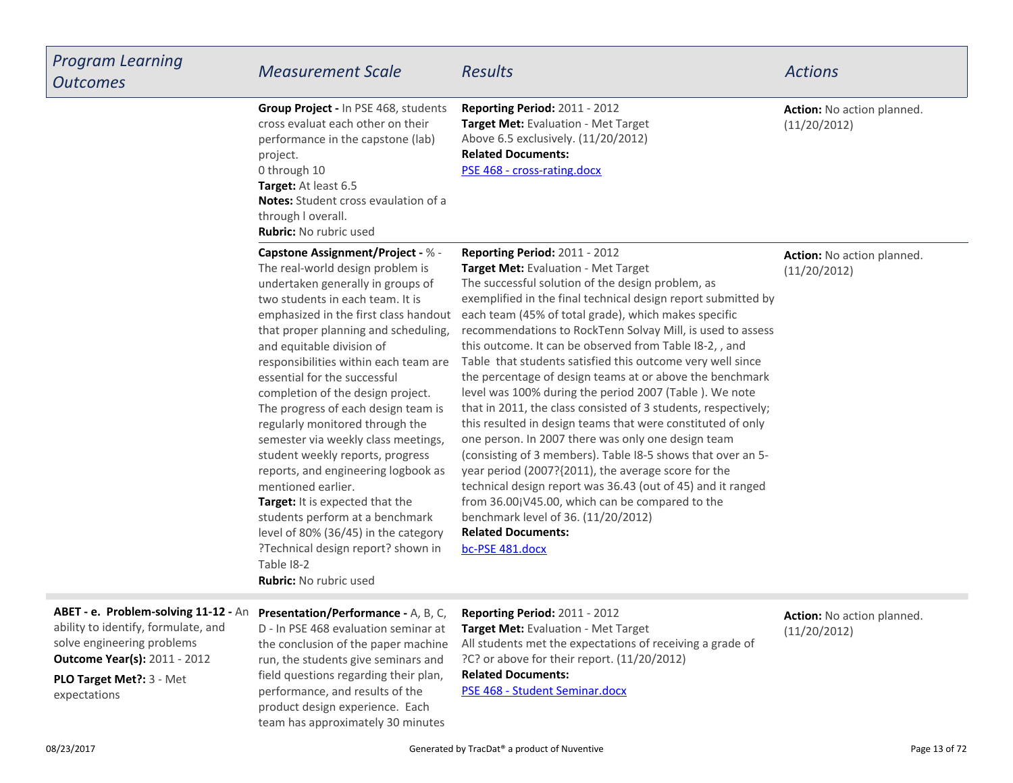| <b>Program Learning</b><br><b>Outcomes</b>                                                                                                       | <b>Measurement Scale</b>                                                                                                                                                                                                                                                                                                                                                                                                                                                                                                                                                                                                                                                                                                                                                                        | <b>Results</b>                                                                                                                                                                                                                                                                                                                                                                                                                                                                                                                                                                                                                                                                                                                                                                                                                                                                                                                                                                                                                                                                               | <b>Actions</b>                             |
|--------------------------------------------------------------------------------------------------------------------------------------------------|-------------------------------------------------------------------------------------------------------------------------------------------------------------------------------------------------------------------------------------------------------------------------------------------------------------------------------------------------------------------------------------------------------------------------------------------------------------------------------------------------------------------------------------------------------------------------------------------------------------------------------------------------------------------------------------------------------------------------------------------------------------------------------------------------|----------------------------------------------------------------------------------------------------------------------------------------------------------------------------------------------------------------------------------------------------------------------------------------------------------------------------------------------------------------------------------------------------------------------------------------------------------------------------------------------------------------------------------------------------------------------------------------------------------------------------------------------------------------------------------------------------------------------------------------------------------------------------------------------------------------------------------------------------------------------------------------------------------------------------------------------------------------------------------------------------------------------------------------------------------------------------------------------|--------------------------------------------|
|                                                                                                                                                  | Group Project - In PSE 468, students<br>cross evaluat each other on their<br>performance in the capstone (lab)<br>project.<br>0 through 10<br>Target: At least 6.5<br><b>Notes:</b> Student cross evaulation of a<br>through I overall.<br><b>Rubric:</b> No rubric used                                                                                                                                                                                                                                                                                                                                                                                                                                                                                                                        | Reporting Period: 2011 - 2012<br>Target Met: Evaluation - Met Target<br>Above 6.5 exclusively. (11/20/2012)<br><b>Related Documents:</b><br>PSE 468 - cross-rating.docx                                                                                                                                                                                                                                                                                                                                                                                                                                                                                                                                                                                                                                                                                                                                                                                                                                                                                                                      | Action: No action planned.<br>(11/20/2012) |
|                                                                                                                                                  | Capstone Assignment/Project - % -<br>The real-world design problem is<br>undertaken generally in groups of<br>two students in each team. It is<br>emphasized in the first class handout<br>that proper planning and scheduling,<br>and equitable division of<br>responsibilities within each team are<br>essential for the successful<br>completion of the design project.<br>The progress of each design team is<br>regularly monitored through the<br>semester via weekly class meetings,<br>student weekly reports, progress<br>reports, and engineering logbook as<br>mentioned earlier.<br>Target: It is expected that the<br>students perform at a benchmark<br>level of 80% (36/45) in the category<br>?Technical design report? shown in<br>Table I8-2<br><b>Rubric:</b> No rubric used | <b>Reporting Period: 2011 - 2012</b><br>Target Met: Evaluation - Met Target<br>The successful solution of the design problem, as<br>exemplified in the final technical design report submitted by<br>each team (45% of total grade), which makes specific<br>recommendations to RockTenn Solvay Mill, is used to assess<br>this outcome. It can be observed from Table I8-2,, and<br>Table that students satisfied this outcome very well since<br>the percentage of design teams at or above the benchmark<br>level was 100% during the period 2007 (Table ). We note<br>that in 2011, the class consisted of 3 students, respectively;<br>this resulted in design teams that were constituted of only<br>one person. In 2007 there was only one design team<br>(consisting of 3 members). Table I8-5 shows that over an 5-<br>year period (2007?{2011), the average score for the<br>technical design report was 36.43 (out of 45) and it ranged<br>from 36.00jV45.00, which can be compared to the<br>benchmark level of 36. (11/20/2012)<br><b>Related Documents:</b><br>bc-PSE 481.docx | Action: No action planned.<br>(11/20/2012) |
| ABET - e. Problem-solving 11-12 - An<br>ability to identify, formulate, and<br>solve engineering problems<br><b>Outcome Year(s): 2011 - 2012</b> | Presentation/Performance - A, B, C,<br>D - In PSE 468 evaluation seminar at<br>the conclusion of the paper machine<br>run, the students give seminars and                                                                                                                                                                                                                                                                                                                                                                                                                                                                                                                                                                                                                                       | Reporting Period: 2011 - 2012<br>Target Met: Evaluation - Met Target<br>All students met the expectations of receiving a grade of<br>?C? or above for their report. (11/20/2012)                                                                                                                                                                                                                                                                                                                                                                                                                                                                                                                                                                                                                                                                                                                                                                                                                                                                                                             | Action: No action planned.<br>(11/20/2012) |

**PLO Target Met?:** 3 - Metexpectations**Outcome Year(s):** 2011 - 2012

 run, the students give seminars and field questions regarding their plan,performance, and results of the product design experience. Eachteam has approximately 30 minutes

Generated by TracDat<sup>®</sup> a product of Nuventive **Page 13** of 72

**Related Documents:**

[PSE 468 - Student Seminar.docx](https://esf.tracdat.com:443/tracdat/viewDocument?y=zVgzTAfDKi3I)

**College**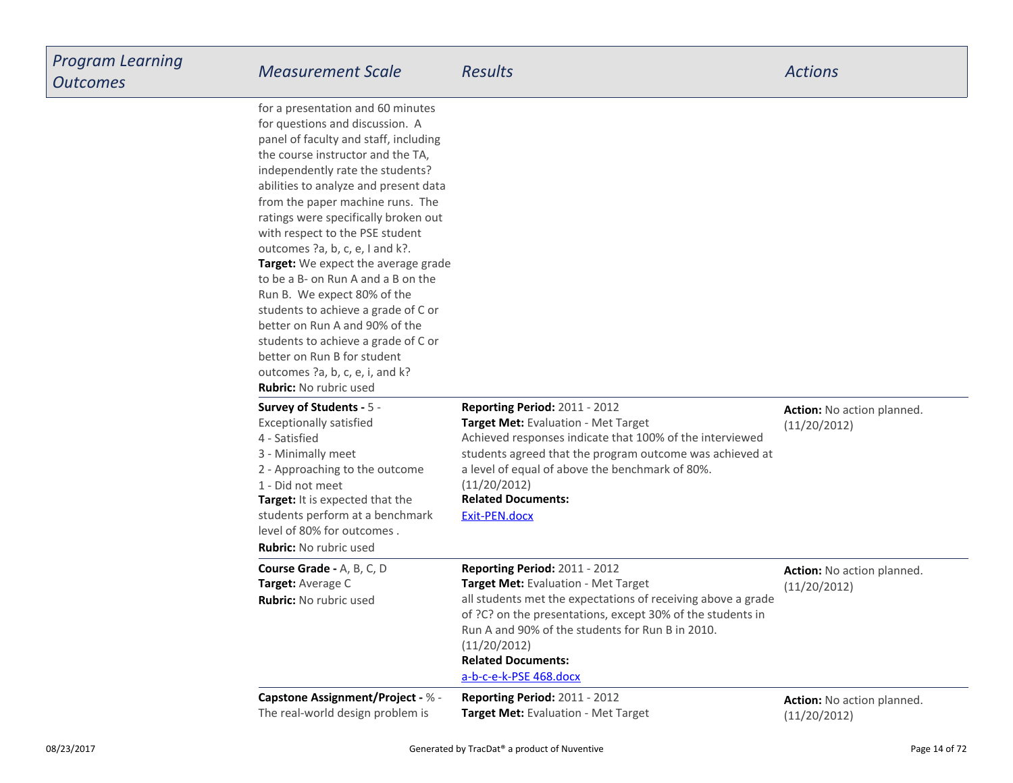| --------<br>S | <b>Measurement Scale</b>                                                                                                                                                                                                                                                                                                                                                                                                                                                                                                                                                                                                                                                                                         | <b>Results</b>                                                                                                                                                                                                                                                                                                                | <b>Actions</b>                             |
|---------------|------------------------------------------------------------------------------------------------------------------------------------------------------------------------------------------------------------------------------------------------------------------------------------------------------------------------------------------------------------------------------------------------------------------------------------------------------------------------------------------------------------------------------------------------------------------------------------------------------------------------------------------------------------------------------------------------------------------|-------------------------------------------------------------------------------------------------------------------------------------------------------------------------------------------------------------------------------------------------------------------------------------------------------------------------------|--------------------------------------------|
|               | for a presentation and 60 minutes<br>for questions and discussion. A<br>panel of faculty and staff, including<br>the course instructor and the TA,<br>independently rate the students?<br>abilities to analyze and present data<br>from the paper machine runs. The<br>ratings were specifically broken out<br>with respect to the PSE student<br>outcomes ?a, b, c, e, I and k?.<br>Target: We expect the average grade<br>to be a B- on Run A and a B on the<br>Run B. We expect 80% of the<br>students to achieve a grade of C or<br>better on Run A and 90% of the<br>students to achieve a grade of C or<br>better on Run B for student<br>outcomes ?a, b, c, e, i, and k?<br><b>Rubric:</b> No rubric used |                                                                                                                                                                                                                                                                                                                               |                                            |
|               | <b>Survey of Students - 5 -</b><br><b>Exceptionally satisfied</b><br>4 - Satisfied<br>3 - Minimally meet<br>2 - Approaching to the outcome<br>1 - Did not meet<br>Target: It is expected that the<br>students perform at a benchmark<br>level of 80% for outcomes.<br><b>Rubric:</b> No rubric used                                                                                                                                                                                                                                                                                                                                                                                                              | Reporting Period: 2011 - 2012<br>Target Met: Evaluation - Met Target<br>Achieved responses indicate that 100% of the interviewed<br>students agreed that the program outcome was achieved at<br>a level of equal of above the benchmark of 80%.<br>(11/20/2012)<br><b>Related Documents:</b><br><u>Exit-PEN.docx</u>          | Action: No action planned.<br>(11/20/2012) |
|               | Course Grade - A, B, C, D<br>Target: Average C<br><b>Rubric:</b> No rubric used                                                                                                                                                                                                                                                                                                                                                                                                                                                                                                                                                                                                                                  | Reporting Period: 2011 - 2012<br>Target Met: Evaluation - Met Target<br>all students met the expectations of receiving above a grade<br>of ?C? on the presentations, except 30% of the students in<br>Run A and 90% of the students for Run B in 2010.<br>(11/20/2012)<br><b>Related Documents:</b><br>a-b-c-e-k-PSE 468.docx | Action: No action planned.<br>(11/20/2012) |
|               | Capstone Assignment/Project - % -<br>The real-world design problem is                                                                                                                                                                                                                                                                                                                                                                                                                                                                                                                                                                                                                                            | Reporting Period: 2011 - 2012<br><b>Target Met:</b> Evaluation - Met Target                                                                                                                                                                                                                                                   | Action: No action planned.<br>(11/20/2012) |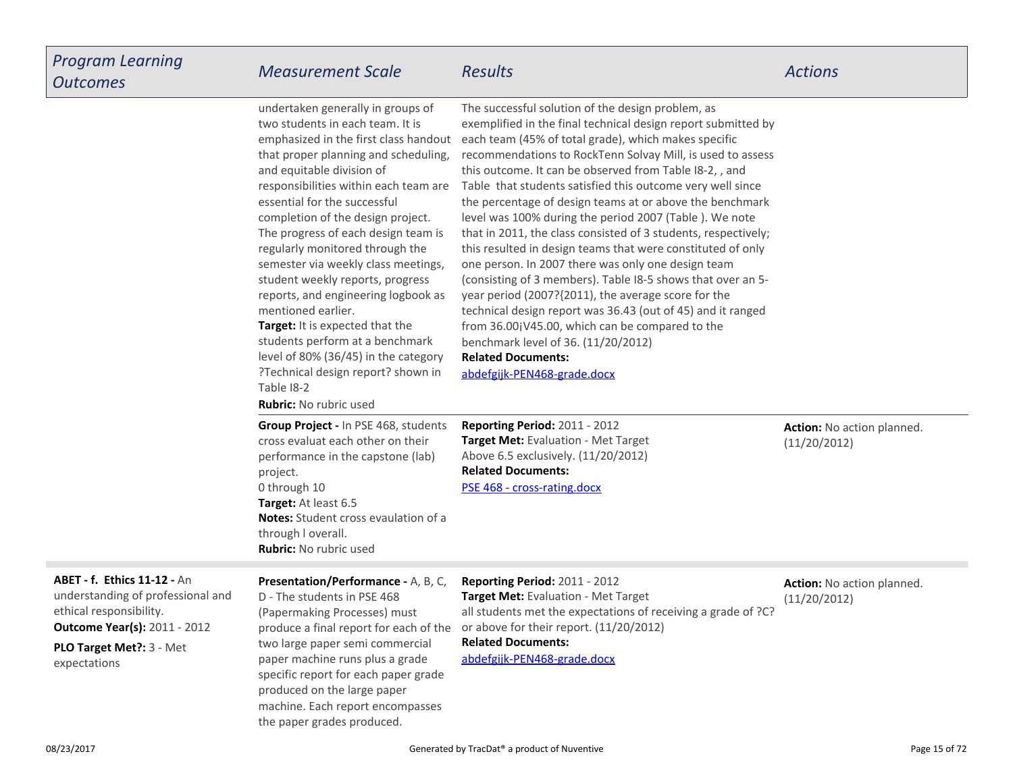**Outcome Year(s):** 2011 - 2012 **ABET - f. Ethics 11-12 -** An understanding of professional andethical responsibility.

**PLO Target Met?:** 3 - Metexpectations

**Presentation/Performance -** A, B, C,D - The students in PSE 468 (Papermaking Processes) must produce a final report for each of thetwo large paper semi commercialpaper machine runs plus a grade specific report for each paper gradeproduced on the large paper machine. Each report encompassesthe paper grades produced.

**Related Documents:Reporting Period:** 2011 - 2012 **Target Met:** Evaluation - Met Target all students met the expectations of receiving a grade of ?C?or above for their report. (11/20/2012)

[abdefgijk-PEN468-grade.docx](https://esf.tracdat.com:443/tracdat/viewDocument?y=TtARYCNIrCek)

ion planned.

**Action:** No action planned.(11/20/2012)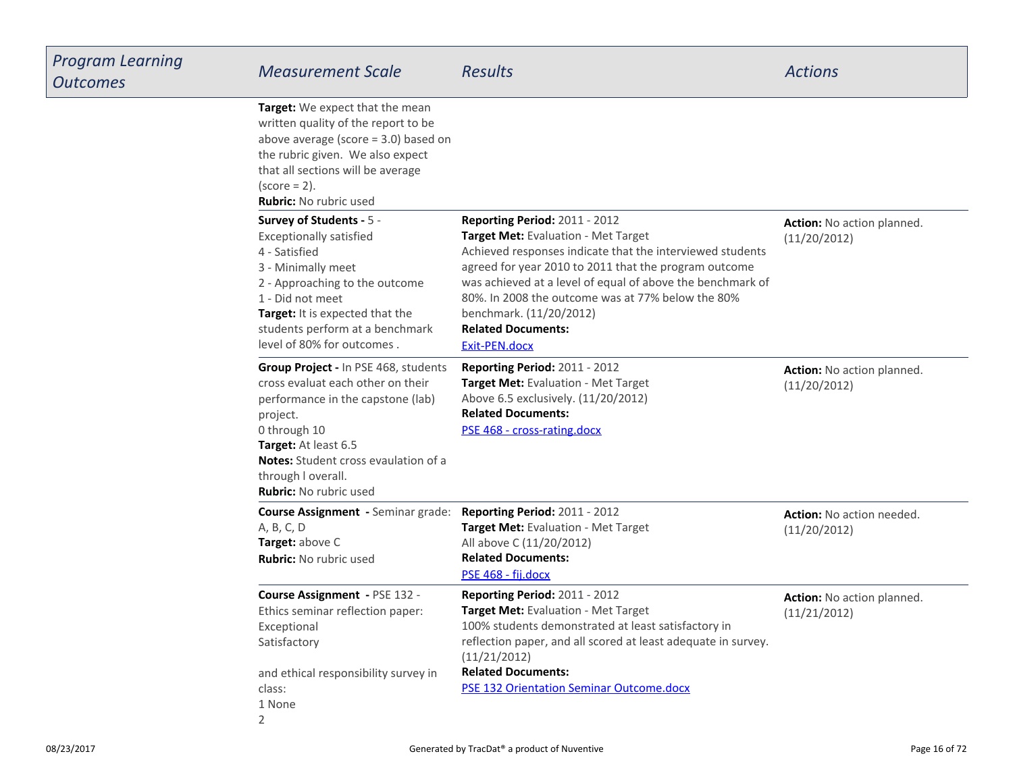| Learning<br>S | <b>Measurement Scale</b>                                                                                                                                                                                                                                                 | <b>Results</b>                                                                                                                                                                                                                                                                                                                                                                                | <b>Actions</b>                             |
|---------------|--------------------------------------------------------------------------------------------------------------------------------------------------------------------------------------------------------------------------------------------------------------------------|-----------------------------------------------------------------------------------------------------------------------------------------------------------------------------------------------------------------------------------------------------------------------------------------------------------------------------------------------------------------------------------------------|--------------------------------------------|
|               | Target: We expect that the mean<br>written quality of the report to be<br>above average (score $=$ 3.0) based on<br>the rubric given. We also expect<br>that all sections will be average<br>$(score = 2)$ .<br><b>Rubric:</b> No rubric used                            |                                                                                                                                                                                                                                                                                                                                                                                               |                                            |
|               | Survey of Students - 5 -<br><b>Exceptionally satisfied</b><br>4 - Satisfied<br>3 - Minimally meet<br>2 - Approaching to the outcome<br>1 - Did not meet<br>Target: It is expected that the<br>students perform at a benchmark<br>level of 80% for outcomes.              | <b>Reporting Period: 2011 - 2012</b><br>Target Met: Evaluation - Met Target<br>Achieved responses indicate that the interviewed students<br>agreed for year 2010 to 2011 that the program outcome<br>was achieved at a level of equal of above the benchmark of<br>80%. In 2008 the outcome was at 77% below the 80%<br>benchmark. (11/20/2012)<br><b>Related Documents:</b><br>Exit-PEN.docx | Action: No action planned.<br>(11/20/2012) |
|               | Group Project - In PSE 468, students<br>cross evaluat each other on their<br>performance in the capstone (lab)<br>project.<br>0 through 10<br>Target: At least 6.5<br><b>Notes:</b> Student cross evaulation of a<br>through I overall.<br><b>Rubric:</b> No rubric used | Reporting Period: 2011 - 2012<br>Target Met: Evaluation - Met Target<br>Above 6.5 exclusively. (11/20/2012)<br><b>Related Documents:</b><br>PSE 468 - cross-rating.docx                                                                                                                                                                                                                       | Action: No action planned.<br>(11/20/2012) |
|               | <b>Course Assignment</b> - Seminar grade:<br>A, B, C, D<br>Target: above C<br><b>Rubric: No rubric used</b>                                                                                                                                                              | Reporting Period: 2011 - 2012<br>Target Met: Evaluation - Met Target<br>All above C (11/20/2012)<br><b>Related Documents:</b><br>PSE 468 - fij.docx                                                                                                                                                                                                                                           | Action: No action needed.<br>(11/20/2012)  |
|               | Course Assignment - PSE 132 -<br>Ethics seminar reflection paper:<br>Exceptional<br>Satisfactory<br>and ethical responsibility survey in<br>class:<br>1 None                                                                                                             | Reporting Period: 2011 - 2012<br>Target Met: Evaluation - Met Target<br>100% students demonstrated at least satisfactory in<br>reflection paper, and all scored at least adequate in survey.<br>(11/21/2012)<br><b>Related Documents:</b><br><b>PSE 132 Orientation Seminar Outcome.docx</b>                                                                                                  | Action: No action planned.<br>(11/21/2012) |
|               | $\overline{2}$                                                                                                                                                                                                                                                           |                                                                                                                                                                                                                                                                                                                                                                                               |                                            |

08/23/2017

*Program Learning*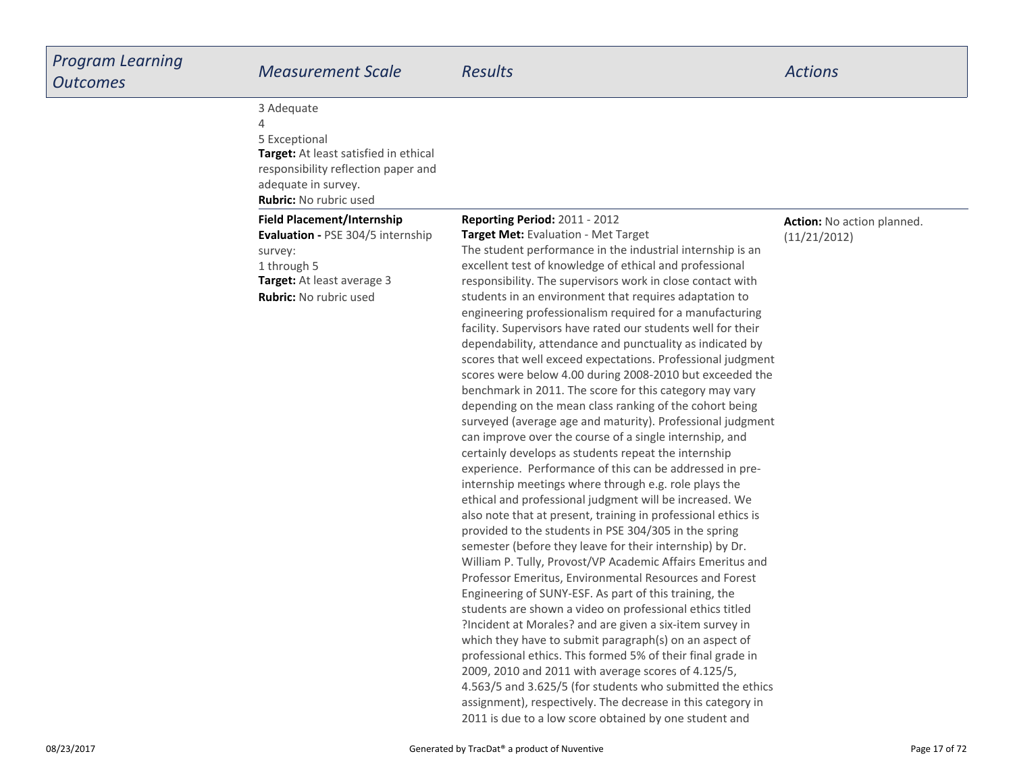| Program Learning<br><b>Outcomes</b> | <b>Measurement Scale</b>                                                                                                                                                 | <b>Results</b>                                                                                                                                                                                                                                                                                                                                                                                                                                                                                                                                                                                                                                                                                                                                                                                                                                                                                                                                                                                                                                                                                                                                                                                                                                                                                                                                                                                                                                                                                                                                                                                                                                                                                                                                                                                                                                                                                                                                                                                                 | <b>Actions</b>                             |
|-------------------------------------|--------------------------------------------------------------------------------------------------------------------------------------------------------------------------|----------------------------------------------------------------------------------------------------------------------------------------------------------------------------------------------------------------------------------------------------------------------------------------------------------------------------------------------------------------------------------------------------------------------------------------------------------------------------------------------------------------------------------------------------------------------------------------------------------------------------------------------------------------------------------------------------------------------------------------------------------------------------------------------------------------------------------------------------------------------------------------------------------------------------------------------------------------------------------------------------------------------------------------------------------------------------------------------------------------------------------------------------------------------------------------------------------------------------------------------------------------------------------------------------------------------------------------------------------------------------------------------------------------------------------------------------------------------------------------------------------------------------------------------------------------------------------------------------------------------------------------------------------------------------------------------------------------------------------------------------------------------------------------------------------------------------------------------------------------------------------------------------------------------------------------------------------------------------------------------------------------|--------------------------------------------|
|                                     | 3 Adequate<br>4<br>5 Exceptional<br>Target: At least satisfied in ethical<br>responsibility reflection paper and<br>adequate in survey.<br><b>Rubric:</b> No rubric used |                                                                                                                                                                                                                                                                                                                                                                                                                                                                                                                                                                                                                                                                                                                                                                                                                                                                                                                                                                                                                                                                                                                                                                                                                                                                                                                                                                                                                                                                                                                                                                                                                                                                                                                                                                                                                                                                                                                                                                                                                |                                            |
|                                     | <b>Field Placement/Internship</b><br>Evaluation - PSE 304/5 internship<br>survey:<br>1 through 5<br>Target: At least average 3<br>Rubric: No rubric used                 | <b>Reporting Period: 2011 - 2012</b><br>Target Met: Evaluation - Met Target<br>The student performance in the industrial internship is an<br>excellent test of knowledge of ethical and professional<br>responsibility. The supervisors work in close contact with<br>students in an environment that requires adaptation to<br>engineering professionalism required for a manufacturing<br>facility. Supervisors have rated our students well for their<br>dependability, attendance and punctuality as indicated by<br>scores that well exceed expectations. Professional judgment<br>scores were below 4.00 during 2008-2010 but exceeded the<br>benchmark in 2011. The score for this category may vary<br>depending on the mean class ranking of the cohort being<br>surveyed (average age and maturity). Professional judgment<br>can improve over the course of a single internship, and<br>certainly develops as students repeat the internship<br>experience. Performance of this can be addressed in pre-<br>internship meetings where through e.g. role plays the<br>ethical and professional judgment will be increased. We<br>also note that at present, training in professional ethics is<br>provided to the students in PSE 304/305 in the spring<br>semester (before they leave for their internship) by Dr.<br>William P. Tully, Provost/VP Academic Affairs Emeritus and<br>Professor Emeritus, Environmental Resources and Forest<br>Engineering of SUNY-ESF. As part of this training, the<br>students are shown a video on professional ethics titled<br>?Incident at Morales? and are given a six-item survey in<br>which they have to submit paragraph(s) on an aspect of<br>professional ethics. This formed 5% of their final grade in<br>2009, 2010 and 2011 with average scores of 4.125/5,<br>4.563/5 and 3.625/5 (for students who submitted the ethics<br>assignment), respectively. The decrease in this category in<br>2011 is due to a low score obtained by one student and | Action: No action planned.<br>(11/21/2012) |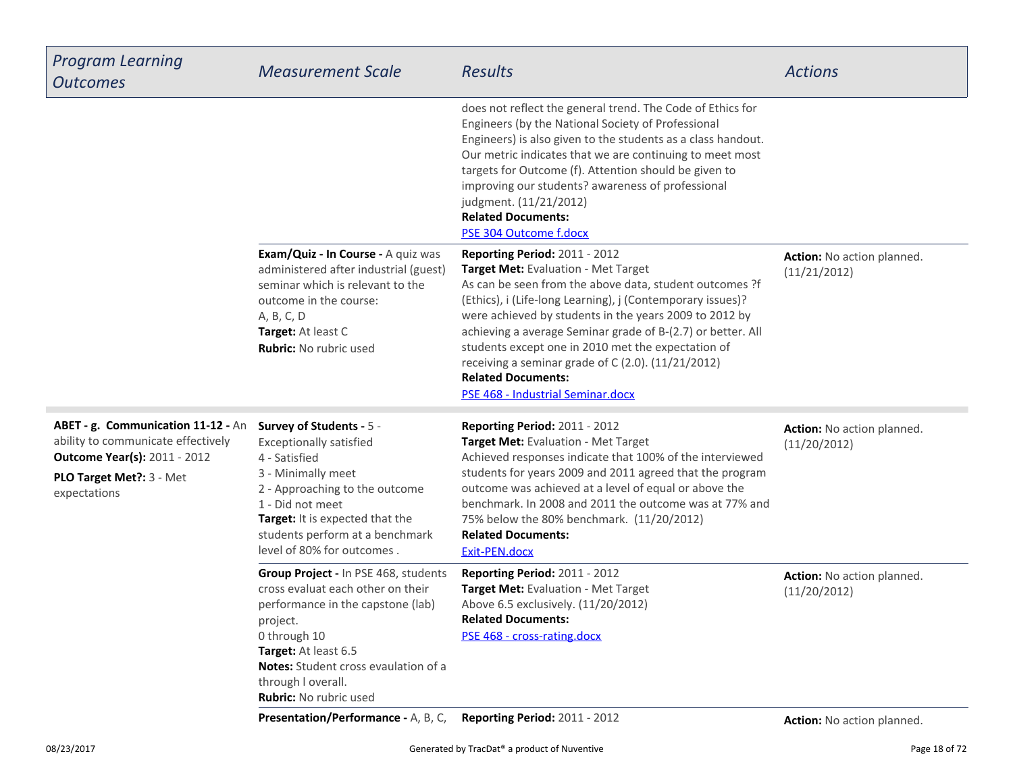| <b>Program Learning</b><br><b>Outcomes</b>                                                                                                                   | <b>Measurement Scale</b>                                                                                                                                                                                                                                    | <b>Results</b>                                                                                                                                                                                                                                                                                                                                                                                                                                                                                       | <b>Actions</b>                             |
|--------------------------------------------------------------------------------------------------------------------------------------------------------------|-------------------------------------------------------------------------------------------------------------------------------------------------------------------------------------------------------------------------------------------------------------|------------------------------------------------------------------------------------------------------------------------------------------------------------------------------------------------------------------------------------------------------------------------------------------------------------------------------------------------------------------------------------------------------------------------------------------------------------------------------------------------------|--------------------------------------------|
|                                                                                                                                                              |                                                                                                                                                                                                                                                             | does not reflect the general trend. The Code of Ethics for<br>Engineers (by the National Society of Professional<br>Engineers) is also given to the students as a class handout.<br>Our metric indicates that we are continuing to meet most<br>targets for Outcome (f). Attention should be given to<br>improving our students? awareness of professional<br>judgment. (11/21/2012)<br><b>Related Documents:</b><br>PSE 304 Outcome f.docx                                                          |                                            |
|                                                                                                                                                              | Exam/Quiz - In Course - A quiz was<br>administered after industrial (guest)<br>seminar which is relevant to the<br>outcome in the course:<br>A, B, C, D<br>Target: At least C<br>Rubric: No rubric used                                                     | Reporting Period: 2011 - 2012<br>Target Met: Evaluation - Met Target<br>As can be seen from the above data, student outcomes ?f<br>(Ethics), i (Life-long Learning), j (Contemporary issues)?<br>were achieved by students in the years 2009 to 2012 by<br>achieving a average Seminar grade of B-(2.7) or better. All<br>students except one in 2010 met the expectation of<br>receiving a seminar grade of C (2.0). (11/21/2012)<br><b>Related Documents:</b><br>PSE 468 - Industrial Seminar.docx | Action: No action planned.<br>(11/21/2012) |
| ABET - g. Communication 11-12 - An<br>ability to communicate effectively<br><b>Outcome Year(s): 2011 - 2012</b><br>PLO Target Met ?: 3 - Met<br>expectations | Survey of Students - 5 -<br><b>Exceptionally satisfied</b><br>4 - Satisfied<br>3 - Minimally meet<br>2 - Approaching to the outcome<br>1 - Did not meet<br>Target: It is expected that the<br>students perform at a benchmark<br>level of 80% for outcomes. | Reporting Period: 2011 - 2012<br>Target Met: Evaluation - Met Target<br>Achieved responses indicate that 100% of the interviewed<br>students for years 2009 and 2011 agreed that the program<br>outcome was achieved at a level of equal or above the<br>benchmark. In 2008 and 2011 the outcome was at 77% and<br>75% below the 80% benchmark. (11/20/2012)<br><b>Related Documents:</b><br>Exit-PEN.docx                                                                                           | Action: No action planned.<br>(11/20/2012) |
|                                                                                                                                                              | Group Project - In PSE 468, students<br>cross evaluat each other on their<br>performance in the capstone (lab)<br>project.<br>0 through 10<br>Target: At least 6.5<br>Notes: Student cross evaulation of a<br>through I overall.<br>Rubric: No rubric used  | Reporting Period: 2011 - 2012<br>Target Met: Evaluation - Met Target<br>Above 6.5 exclusively. (11/20/2012)<br><b>Related Documents:</b><br>PSE 468 - cross-rating.docx                                                                                                                                                                                                                                                                                                                              | Action: No action planned.<br>(11/20/2012) |
|                                                                                                                                                              | Presentation/Performance - A, B, C,                                                                                                                                                                                                                         | Reporting Period: 2011 - 2012                                                                                                                                                                                                                                                                                                                                                                                                                                                                        | Action: No action planned.                 |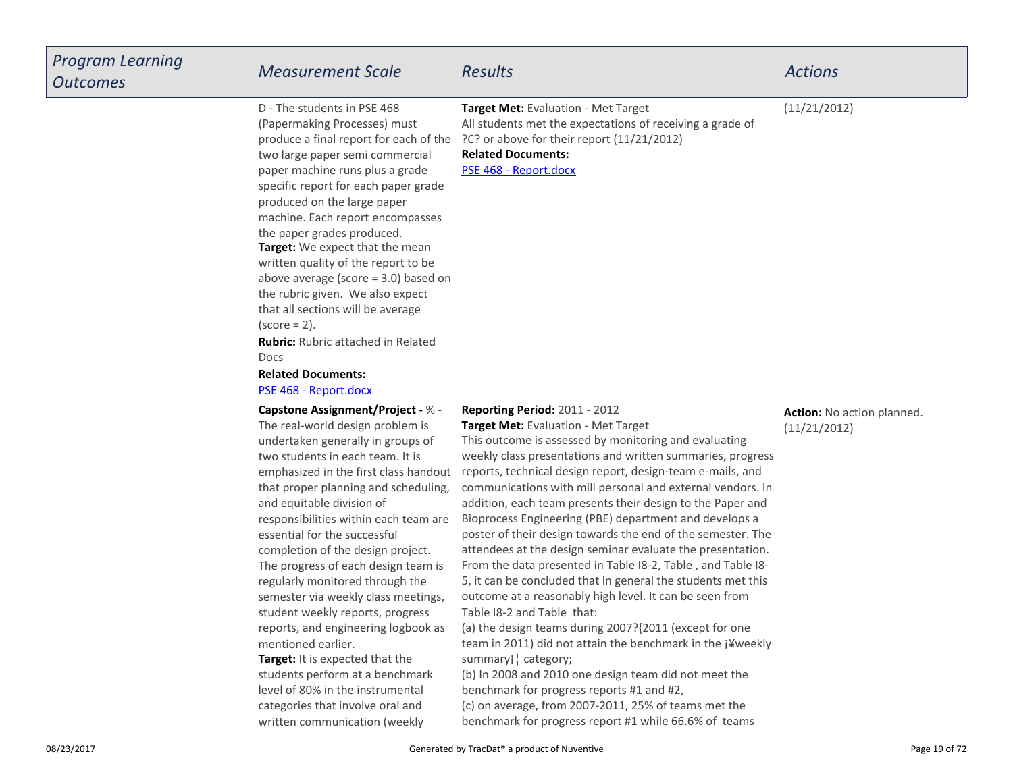| <b>Program Learning</b><br><b>Outcomes</b> | <b>Measurement Scale</b>                                                                                                                                                                                                                                                                                                                                                                                                                                                                                                                                                                                                                                                                                      | <b>Results</b>                                                                                                                                                                                                                                                                                                                                                                                                                                                                                                                                                                                                                                                                                                                                                                                                                                                                                                                                                                                                                                             | <b>Actions</b>                             |
|--------------------------------------------|---------------------------------------------------------------------------------------------------------------------------------------------------------------------------------------------------------------------------------------------------------------------------------------------------------------------------------------------------------------------------------------------------------------------------------------------------------------------------------------------------------------------------------------------------------------------------------------------------------------------------------------------------------------------------------------------------------------|------------------------------------------------------------------------------------------------------------------------------------------------------------------------------------------------------------------------------------------------------------------------------------------------------------------------------------------------------------------------------------------------------------------------------------------------------------------------------------------------------------------------------------------------------------------------------------------------------------------------------------------------------------------------------------------------------------------------------------------------------------------------------------------------------------------------------------------------------------------------------------------------------------------------------------------------------------------------------------------------------------------------------------------------------------|--------------------------------------------|
|                                            | D - The students in PSE 468<br>(Papermaking Processes) must<br>produce a final report for each of the<br>two large paper semi commercial<br>paper machine runs plus a grade<br>specific report for each paper grade<br>produced on the large paper<br>machine. Each report encompasses<br>the paper grades produced.<br>Target: We expect that the mean<br>written quality of the report to be<br>above average (score $=$ 3.0) based on<br>the rubric given. We also expect<br>that all sections will be average<br>$\left( \text{score} = 2 \right)$ .<br><b>Rubric:</b> Rubric attached in Related<br>Docs<br><b>Related Documents:</b><br>PSE 468 - Report.docx                                           | Target Met: Evaluation - Met Target<br>All students met the expectations of receiving a grade of<br>?C? or above for their report (11/21/2012)<br><b>Related Documents:</b><br>PSE 468 - Report.docx                                                                                                                                                                                                                                                                                                                                                                                                                                                                                                                                                                                                                                                                                                                                                                                                                                                       | (11/21/2012)                               |
|                                            | <b>Capstone Assignment/Project - % -</b><br>The real-world design problem is<br>undertaken generally in groups of<br>two students in each team. It is<br>emphasized in the first class handout<br>that proper planning and scheduling,<br>and equitable division of<br>responsibilities within each team are<br>essential for the successful<br>completion of the design project.<br>The progress of each design team is<br>regularly monitored through the<br>semester via weekly class meetings,<br>student weekly reports, progress<br>reports, and engineering logbook as<br>mentioned earlier.<br>Target: It is expected that the<br>students perform at a benchmark<br>level of 80% in the instrumental | Reporting Period: 2011 - 2012<br>Target Met: Evaluation - Met Target<br>This outcome is assessed by monitoring and evaluating<br>weekly class presentations and written summaries, progress<br>reports, technical design report, design-team e-mails, and<br>communications with mill personal and external vendors. In<br>addition, each team presents their design to the Paper and<br>Bioprocess Engineering (PBE) department and develops a<br>poster of their design towards the end of the semester. The<br>attendees at the design seminar evaluate the presentation.<br>From the data presented in Table I8-2, Table, and Table I8-<br>5, it can be concluded that in general the students met this<br>outcome at a reasonably high level. It can be seen from<br>Table I8-2 and Table that:<br>(a) the design teams during 2007?{2011 (except for one<br>team in 2011) did not attain the benchmark in the j¥weekly<br>summaryj ¦ category;<br>(b) In 2008 and 2010 one design team did not meet the<br>benchmark for progress reports #1 and #2, | Action: No action planned.<br>(11/21/2012) |

 (c) on average, from 2007-2011, 25% of teams met thebenchmark for progress report #1 while 66.6% of teams

categories that involve oral andwritten communication (weekly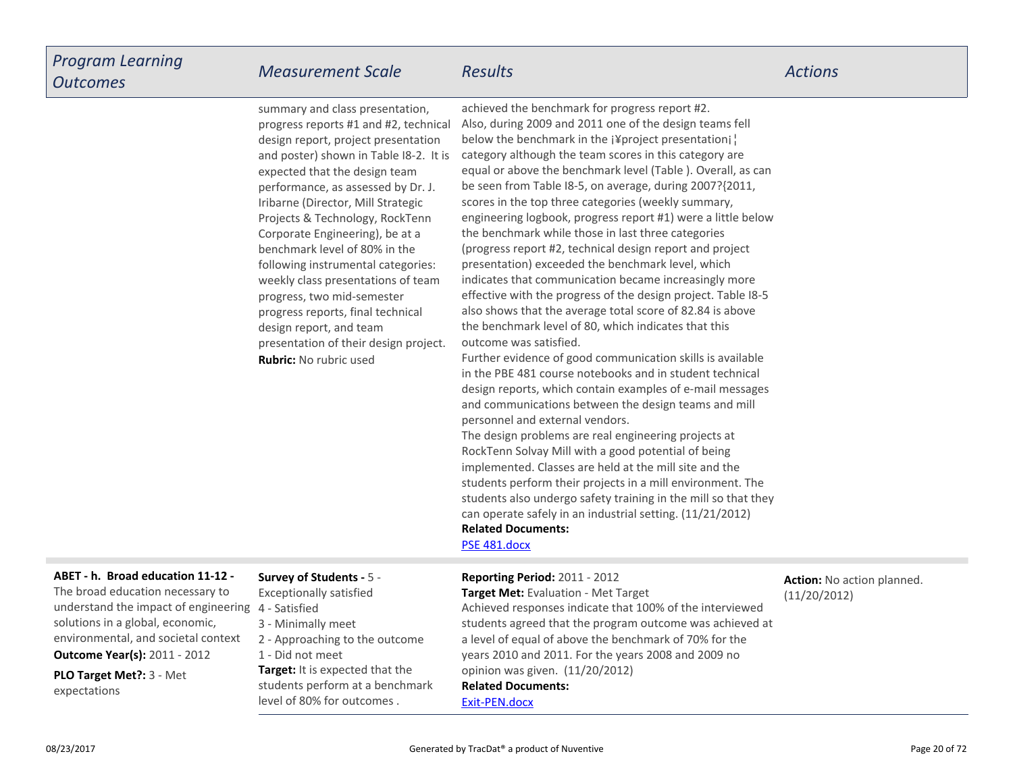| <b>Broad education 11-12 -</b> | Survey of Students - 5 -                                                                                                                                                                                                                                                                                                                                                                                                                                                                                                                                                                         | Renorting Period: 2011 - 2012                                                                                                                                                                                                                                                                                                                                                                                                                                                                                                                                                                                                                                                                                                                                                                                                                                                                                                 | Action: No action planned |
|--------------------------------|--------------------------------------------------------------------------------------------------------------------------------------------------------------------------------------------------------------------------------------------------------------------------------------------------------------------------------------------------------------------------------------------------------------------------------------------------------------------------------------------------------------------------------------------------------------------------------------------------|-------------------------------------------------------------------------------------------------------------------------------------------------------------------------------------------------------------------------------------------------------------------------------------------------------------------------------------------------------------------------------------------------------------------------------------------------------------------------------------------------------------------------------------------------------------------------------------------------------------------------------------------------------------------------------------------------------------------------------------------------------------------------------------------------------------------------------------------------------------------------------------------------------------------------------|---------------------------|
|                                | <b>Rubric:</b> No rubric used                                                                                                                                                                                                                                                                                                                                                                                                                                                                                                                                                                    | Further evidence of good communication skills is available<br>in the PBE 481 course notebooks and in student technical<br>design reports, which contain examples of e-mail messages<br>and communications between the design teams and mill<br>personnel and external vendors.<br>The design problems are real engineering projects at<br>RockTenn Solvay Mill with a good potential of being<br>implemented. Classes are held at the mill site and the<br>students perform their projects in a mill environment. The<br>students also undergo safety training in the mill so that they<br>can operate safely in an industrial setting. (11/21/2012)<br><b>Related Documents:</b><br>PSE 481.docx                                                                                                                                                                                                                             |                           |
|                                | summary and class presentation,<br>progress reports #1 and #2, technical<br>design report, project presentation<br>and poster) shown in Table I8-2. It is<br>expected that the design team<br>performance, as assessed by Dr. J.<br>Iribarne (Director, Mill Strategic<br>Projects & Technology, RockTenn<br>Corporate Engineering), be at a<br>benchmark level of 80% in the<br>following instrumental categories:<br>weekly class presentations of team<br>progress, two mid-semester<br>progress reports, final technical<br>design report, and team<br>presentation of their design project. | achieved the benchmark for progress report #2.<br>Also, during 2009 and 2011 one of the design teams fell<br>below the benchmark in the j¥project presentationi  <br>category although the team scores in this category are<br>equal or above the benchmark level (Table ). Overall, as can<br>be seen from Table I8-5, on average, during 2007?{2011,<br>scores in the top three categories (weekly summary,<br>engineering logbook, progress report #1) were a little below<br>the benchmark while those in last three categories<br>(progress report #2, technical design report and project<br>presentation) exceeded the benchmark level, which<br>indicates that communication became increasingly more<br>effective with the progress of the design project. Table I8-5<br>also shows that the average total score of 82.84 is above<br>the benchmark level of 80, which indicates that this<br>outcome was satisfied. |                           |

**PLO Target Met?:** 3 - Metexpectations

### **Survey of Students -** 5 -

- Exceptionally satisfied
- 4 Satisfied
	- 3 Minimally meet
	- 2 Approaching to the outcome
	- 1 Did not meet
	- **Target:** It is expected that the students perform at a benchmarklevel of 80% for outcomes .

**Related Documents:**[Exit-PEN.docx](https://esf.tracdat.com:443/tracdat/viewDocument?y=A4XSkyw57Hww)**Reporting Period:** 2011 - 2012 **Target Met:** Evaluation - Met Target Achieved responses indicate that 100% of the interviewed students agreed that the program outcome was achieved ata level of equal of above the benchmark of 70% for the years 2010 and 2011. For the years 2008 and 2009 noopinion was given. (11/20/2012)

**Action:** No action planned.(11/20/2012)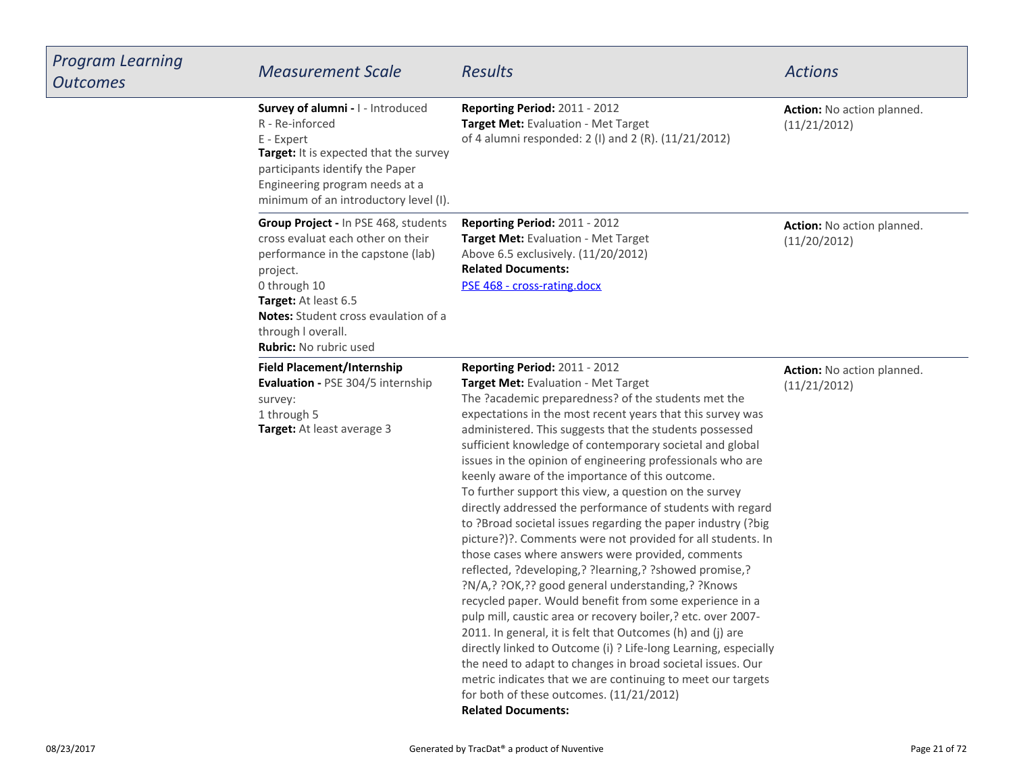| <b>Program Learning</b><br><b>Outcomes</b> | <b>Measurement Scale</b>                                                                                                                                                                                                                                                 | <b>Results</b>                                                                                                                                                                                                                                                                                                                                                                                                                                                                                                                                                                                                                                                                                                                                                                                                                                                                                                                                                                                                                                                                                                                                                                                                                                                                                                                 | <b>Actions</b>                             |
|--------------------------------------------|--------------------------------------------------------------------------------------------------------------------------------------------------------------------------------------------------------------------------------------------------------------------------|--------------------------------------------------------------------------------------------------------------------------------------------------------------------------------------------------------------------------------------------------------------------------------------------------------------------------------------------------------------------------------------------------------------------------------------------------------------------------------------------------------------------------------------------------------------------------------------------------------------------------------------------------------------------------------------------------------------------------------------------------------------------------------------------------------------------------------------------------------------------------------------------------------------------------------------------------------------------------------------------------------------------------------------------------------------------------------------------------------------------------------------------------------------------------------------------------------------------------------------------------------------------------------------------------------------------------------|--------------------------------------------|
|                                            | Survey of alumni - I - Introduced<br>R - Re-inforced<br>E - Expert<br>Target: It is expected that the survey<br>participants identify the Paper<br>Engineering program needs at a<br>minimum of an introductory level (I).                                               | Reporting Period: 2011 - 2012<br>Target Met: Evaluation - Met Target<br>of 4 alumni responded: 2 (I) and 2 (R). (11/21/2012)                                                                                                                                                                                                                                                                                                                                                                                                                                                                                                                                                                                                                                                                                                                                                                                                                                                                                                                                                                                                                                                                                                                                                                                                   | Action: No action planned.<br>(11/21/2012) |
|                                            | Group Project - In PSE 468, students<br>cross evaluat each other on their<br>performance in the capstone (lab)<br>project.<br>0 through 10<br>Target: At least 6.5<br><b>Notes:</b> Student cross evaulation of a<br>through I overall.<br><b>Rubric:</b> No rubric used | Reporting Period: 2011 - 2012<br>Target Met: Evaluation - Met Target<br>Above 6.5 exclusively. (11/20/2012)<br><b>Related Documents:</b><br>PSE 468 - cross-rating.docx                                                                                                                                                                                                                                                                                                                                                                                                                                                                                                                                                                                                                                                                                                                                                                                                                                                                                                                                                                                                                                                                                                                                                        | Action: No action planned.<br>(11/20/2012) |
|                                            | <b>Field Placement/Internship</b><br>Evaluation - PSE 304/5 internship<br>survey:<br>1 through 5<br>Target: At least average 3                                                                                                                                           | Reporting Period: 2011 - 2012<br>Target Met: Evaluation - Met Target<br>The ?academic preparedness? of the students met the<br>expectations in the most recent years that this survey was<br>administered. This suggests that the students possessed<br>sufficient knowledge of contemporary societal and global<br>issues in the opinion of engineering professionals who are<br>keenly aware of the importance of this outcome.<br>To further support this view, a question on the survey<br>directly addressed the performance of students with regard<br>to ?Broad societal issues regarding the paper industry (?big<br>picture?)?. Comments were not provided for all students. In<br>those cases where answers were provided, comments<br>reflected, ?developing,? ?learning,? ?showed promise,?<br>?N/A,? ?OK,?? good general understanding,? ?Knows<br>recycled paper. Would benefit from some experience in a<br>pulp mill, caustic area or recovery boiler,? etc. over 2007-<br>2011. In general, it is felt that Outcomes (h) and (j) are<br>directly linked to Outcome (i) ? Life-long Learning, especially<br>the need to adapt to changes in broad societal issues. Our<br>metric indicates that we are continuing to meet our targets<br>for both of these outcomes. (11/21/2012)<br><b>Related Documents:</b> | Action: No action planned.<br>(11/21/2012) |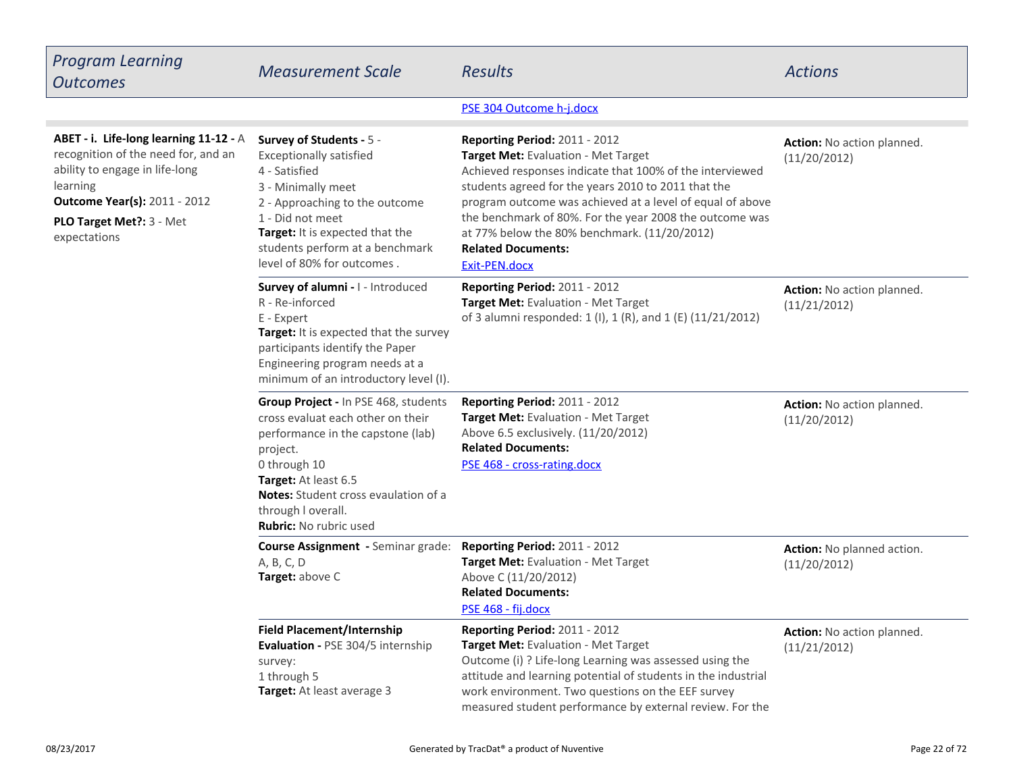| <b>Program Learning</b><br><b>Outcomes</b>                                                                                                                                                                            | <b>Measurement Scale</b>                                                                                                                                                                                                                                                        | <b>Results</b>                                                                                                                                                                                                                                                                                                                                                                                                | <b>Actions</b>                             |
|-----------------------------------------------------------------------------------------------------------------------------------------------------------------------------------------------------------------------|---------------------------------------------------------------------------------------------------------------------------------------------------------------------------------------------------------------------------------------------------------------------------------|---------------------------------------------------------------------------------------------------------------------------------------------------------------------------------------------------------------------------------------------------------------------------------------------------------------------------------------------------------------------------------------------------------------|--------------------------------------------|
|                                                                                                                                                                                                                       |                                                                                                                                                                                                                                                                                 | PSE 304 Outcome h-j.docx                                                                                                                                                                                                                                                                                                                                                                                      |                                            |
| ABET - i. Life-long learning 11-12 - A<br>recognition of the need for, and an<br>ability to engage in life-long<br>learning<br><b>Outcome Year(s): 2011 - 2012</b><br><b>PLO Target Met?: 3 - Met</b><br>expectations | Survey of Students - 5 -<br><b>Exceptionally satisfied</b><br>4 - Satisfied<br>3 - Minimally meet<br>2 - Approaching to the outcome<br>1 - Did not meet<br>Target: It is expected that the<br>students perform at a benchmark<br>level of 80% for outcomes.                     | Reporting Period: 2011 - 2012<br>Target Met: Evaluation - Met Target<br>Achieved responses indicate that 100% of the interviewed<br>students agreed for the years 2010 to 2011 that the<br>program outcome was achieved at a level of equal of above<br>the benchmark of 80%. For the year 2008 the outcome was<br>at 77% below the 80% benchmark. (11/20/2012)<br><b>Related Documents:</b><br>Exit-PEN.docx | Action: No action planned.<br>(11/20/2012) |
|                                                                                                                                                                                                                       | <b>Survey of alumni - I - Introduced</b><br>R - Re-inforced<br>E - Expert<br>Target: It is expected that the survey<br>participants identify the Paper<br>Engineering program needs at a<br>minimum of an introductory level (I).                                               | Reporting Period: 2011 - 2012<br>Target Met: Evaluation - Met Target<br>of 3 alumni responded: 1 (I), 1 (R), and 1 (E) (11/21/2012)                                                                                                                                                                                                                                                                           | Action: No action planned.<br>(11/21/2012) |
|                                                                                                                                                                                                                       | Group Project - In PSE 468, students<br>cross evaluat each other on their<br>performance in the capstone (lab)<br>project.<br>0 through 10<br><b>Target:</b> At least 6.5<br><b>Notes:</b> Student cross evaulation of a<br>through I overall.<br><b>Rubric:</b> No rubric used | <b>Reporting Period: 2011 - 2012</b><br>Target Met: Evaluation - Met Target<br>Above 6.5 exclusively. (11/20/2012)<br><b>Related Documents:</b><br>PSE 468 - cross-rating.docx                                                                                                                                                                                                                                | Action: No action planned.<br>(11/20/2012) |
|                                                                                                                                                                                                                       | Course Assignment - Seminar grade: Reporting Period: 2011 - 2012<br>A, B, C, D<br>Target: above C                                                                                                                                                                               | Target Met: Evaluation - Met Target<br>Above C (11/20/2012)<br><b>Related Documents:</b><br>PSE 468 - fij.docx                                                                                                                                                                                                                                                                                                | Action: No planned action.<br>(11/20/2012) |
|                                                                                                                                                                                                                       | Field Placement/Internship<br>Evaluation - PSE 304/5 internship<br>survey:<br>1 through 5<br>Target: At least average 3                                                                                                                                                         | Reporting Period: 2011 - 2012<br>Target Met: Evaluation - Met Target<br>Outcome (i) ? Life-long Learning was assessed using the<br>attitude and learning potential of students in the industrial<br>work environment. Two questions on the EEF survey<br>measured student performance by external review. For the                                                                                             | Action: No action planned.<br>(11/21/2012) |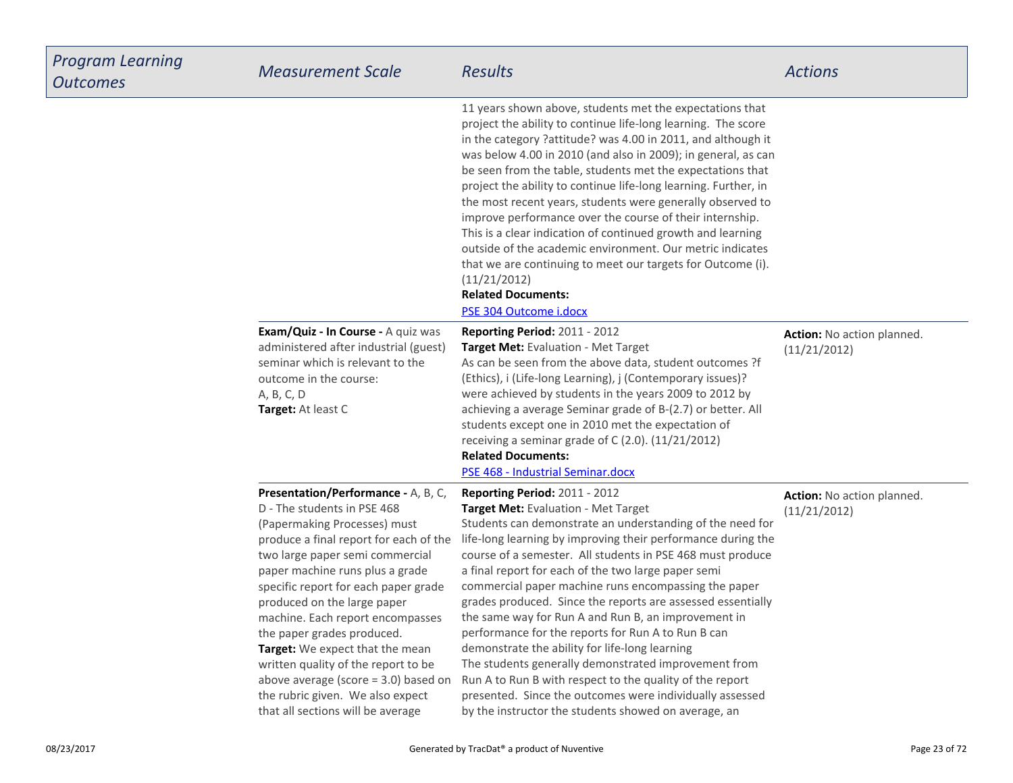| <b>Program Learning</b><br><b>Outcomes</b> | <b>Measurement Scale</b>                                                                                                                                                                                                                                                                                                                                                                                                                                                                                                                                 | <b>Results</b>                                                                                                                                                                                                                                                                                                                                                                                                                                                                                                                                                                                                                                                                                                                                                                                                                                       | <b>Actions</b>                             |
|--------------------------------------------|----------------------------------------------------------------------------------------------------------------------------------------------------------------------------------------------------------------------------------------------------------------------------------------------------------------------------------------------------------------------------------------------------------------------------------------------------------------------------------------------------------------------------------------------------------|------------------------------------------------------------------------------------------------------------------------------------------------------------------------------------------------------------------------------------------------------------------------------------------------------------------------------------------------------------------------------------------------------------------------------------------------------------------------------------------------------------------------------------------------------------------------------------------------------------------------------------------------------------------------------------------------------------------------------------------------------------------------------------------------------------------------------------------------------|--------------------------------------------|
|                                            |                                                                                                                                                                                                                                                                                                                                                                                                                                                                                                                                                          | 11 years shown above, students met the expectations that<br>project the ability to continue life-long learning. The score<br>in the category ?attitude? was 4.00 in 2011, and although it<br>was below 4.00 in 2010 (and also in 2009); in general, as can<br>be seen from the table, students met the expectations that<br>project the ability to continue life-long learning. Further, in<br>the most recent years, students were generally observed to<br>improve performance over the course of their internship.<br>This is a clear indication of continued growth and learning<br>outside of the academic environment. Our metric indicates<br>that we are continuing to meet our targets for Outcome (i).<br>(11/21/2012)<br><b>Related Documents:</b><br>PSE 304 Outcome i.docx                                                              |                                            |
|                                            | Exam/Quiz - In Course - A quiz was<br>administered after industrial (guest)<br>seminar which is relevant to the<br>outcome in the course:<br>A, B, C, D<br>Target: At least C                                                                                                                                                                                                                                                                                                                                                                            | Reporting Period: 2011 - 2012<br>Target Met: Evaluation - Met Target<br>As can be seen from the above data, student outcomes ?f<br>(Ethics), i (Life-long Learning), j (Contemporary issues)?<br>were achieved by students in the years 2009 to 2012 by<br>achieving a average Seminar grade of B-(2.7) or better. All<br>students except one in 2010 met the expectation of<br>receiving a seminar grade of C (2.0). (11/21/2012)<br><b>Related Documents:</b><br>PSE 468 - Industrial Seminar.docx                                                                                                                                                                                                                                                                                                                                                 | Action: No action planned.<br>(11/21/2012) |
|                                            | Presentation/Performance - A, B, C,<br>D - The students in PSE 468<br>(Papermaking Processes) must<br>produce a final report for each of the<br>two large paper semi commercial<br>paper machine runs plus a grade<br>specific report for each paper grade<br>produced on the large paper<br>machine. Each report encompasses<br>the paper grades produced.<br>Target: We expect that the mean<br>written quality of the report to be<br>above average (score $=$ 3.0) based on<br>the rubric given. We also expect<br>that all sections will be average | Reporting Period: 2011 - 2012<br>Target Met: Evaluation - Met Target<br>Students can demonstrate an understanding of the need for<br>life-long learning by improving their performance during the<br>course of a semester. All students in PSE 468 must produce<br>a final report for each of the two large paper semi<br>commercial paper machine runs encompassing the paper<br>grades produced. Since the reports are assessed essentially<br>the same way for Run A and Run B, an improvement in<br>performance for the reports for Run A to Run B can<br>demonstrate the ability for life-long learning<br>The students generally demonstrated improvement from<br>Run A to Run B with respect to the quality of the report<br>presented. Since the outcomes were individually assessed<br>by the instructor the students showed on average, an | Action: No action planned.<br>(11/21/2012) |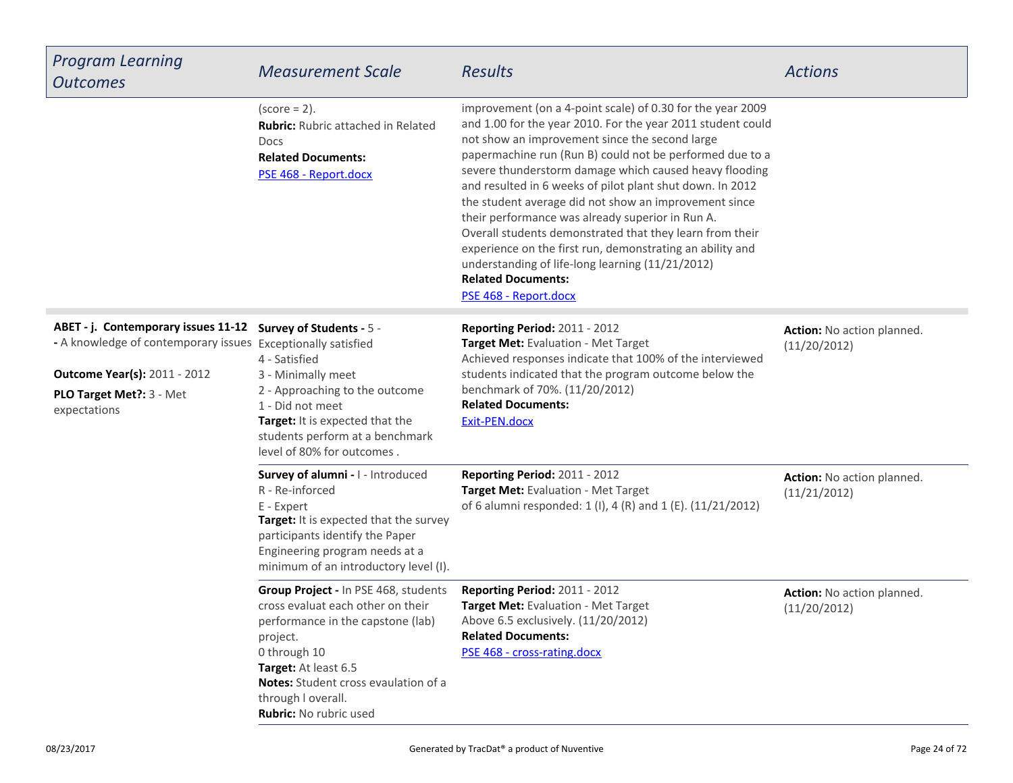| <b>Program Learning</b><br><b>Outcomes</b>                                                                                                                                              | <b>Measurement Scale</b>                                                                                                                                                                                                                                   | <b>Results</b>                                                                                                                                                                                                                                                                                                                                                                                                                                                                                                                                                                                                                                                                                                 | <b>Actions</b>                             |
|-----------------------------------------------------------------------------------------------------------------------------------------------------------------------------------------|------------------------------------------------------------------------------------------------------------------------------------------------------------------------------------------------------------------------------------------------------------|----------------------------------------------------------------------------------------------------------------------------------------------------------------------------------------------------------------------------------------------------------------------------------------------------------------------------------------------------------------------------------------------------------------------------------------------------------------------------------------------------------------------------------------------------------------------------------------------------------------------------------------------------------------------------------------------------------------|--------------------------------------------|
|                                                                                                                                                                                         | $(score = 2)$ .<br><b>Rubric:</b> Rubric attached in Related<br>Docs<br><b>Related Documents:</b><br>PSE 468 - Report.docx                                                                                                                                 | improvement (on a 4-point scale) of 0.30 for the year 2009<br>and 1.00 for the year 2010. For the year 2011 student could<br>not show an improvement since the second large<br>papermachine run (Run B) could not be performed due to a<br>severe thunderstorm damage which caused heavy flooding<br>and resulted in 6 weeks of pilot plant shut down. In 2012<br>the student average did not show an improvement since<br>their performance was already superior in Run A.<br>Overall students demonstrated that they learn from their<br>experience on the first run, demonstrating an ability and<br>understanding of life-long learning (11/21/2012)<br><b>Related Documents:</b><br>PSE 468 - Report.docx |                                            |
| ABET - j. Contemporary issues 11-12<br>- A knowledge of contemporary issues Exceptionally satisfied<br><b>Outcome Year(s): 2011 - 2012</b><br>PLO Target Met ?: 3 - Met<br>expectations | Survey of Students - 5 -<br>4 - Satisfied<br>3 - Minimally meet<br>2 - Approaching to the outcome<br>1 - Did not meet<br>Target: It is expected that the<br>students perform at a benchmark<br>level of 80% for outcomes.                                  | Reporting Period: 2011 - 2012<br>Target Met: Evaluation - Met Target<br>Achieved responses indicate that 100% of the interviewed<br>students indicated that the program outcome below the<br>benchmark of 70%. (11/20/2012)<br><b>Related Documents:</b><br>Exit-PEN.docx                                                                                                                                                                                                                                                                                                                                                                                                                                      | Action: No action planned.<br>(11/20/2012) |
|                                                                                                                                                                                         | Survey of alumni - I - Introduced<br>R - Re-inforced<br>E - Expert<br>Target: It is expected that the survey<br>participants identify the Paper<br>Engineering program needs at a<br>minimum of an introductory level (I).                                 | Reporting Period: 2011 - 2012<br>Target Met: Evaluation - Met Target<br>of 6 alumni responded: 1 (I), 4 (R) and 1 (E). (11/21/2012)                                                                                                                                                                                                                                                                                                                                                                                                                                                                                                                                                                            | Action: No action planned.<br>(11/21/2012) |
|                                                                                                                                                                                         | Group Project - In PSE 468, students<br>cross evaluat each other on their<br>performance in the capstone (lab)<br>project.<br>0 through 10<br>Target: At least 6.5<br>Notes: Student cross evaulation of a<br>through I overall.<br>Rubric: No rubric used | Reporting Period: 2011 - 2012<br>Target Met: Evaluation - Met Target<br>Above 6.5 exclusively. (11/20/2012)<br><b>Related Documents:</b><br>PSE 468 - cross-rating.docx                                                                                                                                                                                                                                                                                                                                                                                                                                                                                                                                        | Action: No action planned.<br>(11/20/2012) |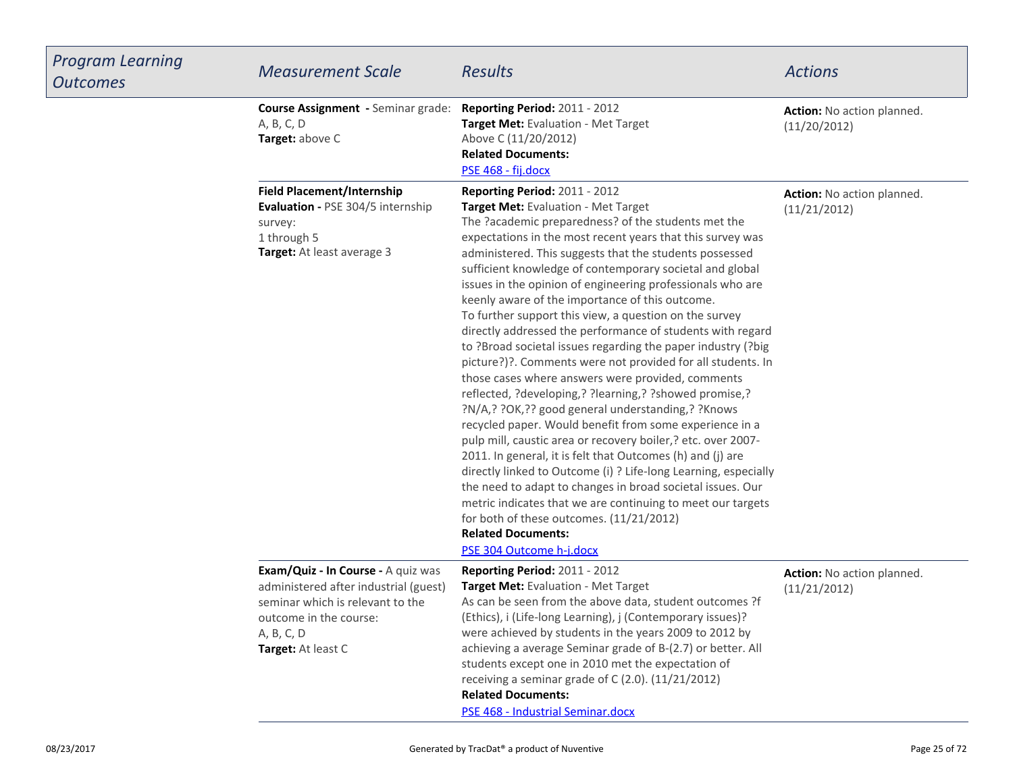| Program Learning<br><b>Outcomes</b> | <b>Measurement Scale</b>                                                                                                                                                      | <b>Results</b>                                                                                                                                                                                                                                                                                                                                                                                                                                                                                                                                                                                                                                                                                                                                                                                                                                                                                                                                                                                                                                                                                                                                                                                                                                                                                                                                             | <b>Actions</b>                             |
|-------------------------------------|-------------------------------------------------------------------------------------------------------------------------------------------------------------------------------|------------------------------------------------------------------------------------------------------------------------------------------------------------------------------------------------------------------------------------------------------------------------------------------------------------------------------------------------------------------------------------------------------------------------------------------------------------------------------------------------------------------------------------------------------------------------------------------------------------------------------------------------------------------------------------------------------------------------------------------------------------------------------------------------------------------------------------------------------------------------------------------------------------------------------------------------------------------------------------------------------------------------------------------------------------------------------------------------------------------------------------------------------------------------------------------------------------------------------------------------------------------------------------------------------------------------------------------------------------|--------------------------------------------|
|                                     | <b>Course Assignment - Seminar grade:</b><br>A, B, C, D<br>Target: above C                                                                                                    | Reporting Period: 2011 - 2012<br>Target Met: Evaluation - Met Target<br>Above C (11/20/2012)<br><b>Related Documents:</b><br>PSE 468 - fij.docx                                                                                                                                                                                                                                                                                                                                                                                                                                                                                                                                                                                                                                                                                                                                                                                                                                                                                                                                                                                                                                                                                                                                                                                                            | Action: No action planned.<br>(11/20/2012) |
|                                     | <b>Field Placement/Internship</b><br>Evaluation - PSE 304/5 internship<br>survey:<br>1 through 5<br>Target: At least average 3                                                | Reporting Period: 2011 - 2012<br>Target Met: Evaluation - Met Target<br>The ?academic preparedness? of the students met the<br>expectations in the most recent years that this survey was<br>administered. This suggests that the students possessed<br>sufficient knowledge of contemporary societal and global<br>issues in the opinion of engineering professionals who are<br>keenly aware of the importance of this outcome.<br>To further support this view, a question on the survey<br>directly addressed the performance of students with regard<br>to ?Broad societal issues regarding the paper industry (?big<br>picture?)?. Comments were not provided for all students. In<br>those cases where answers were provided, comments<br>reflected, ?developing,? ?learning,? ?showed promise,?<br>?N/A,? ?OK,?? good general understanding,? ?Knows<br>recycled paper. Would benefit from some experience in a<br>pulp mill, caustic area or recovery boiler,? etc. over 2007-<br>2011. In general, it is felt that Outcomes (h) and (j) are<br>directly linked to Outcome (i) ? Life-long Learning, especially<br>the need to adapt to changes in broad societal issues. Our<br>metric indicates that we are continuing to meet our targets<br>for both of these outcomes. (11/21/2012)<br><b>Related Documents:</b><br>PSE 304 Outcome h-j.docx | Action: No action planned.<br>(11/21/2012) |
|                                     | Exam/Quiz - In Course - A quiz was<br>administered after industrial (guest)<br>seminar which is relevant to the<br>outcome in the course:<br>A, B, C, D<br>Target: At least C | <b>Reporting Period: 2011 - 2012</b><br>Target Met: Evaluation - Met Target<br>As can be seen from the above data, student outcomes ?f<br>(Ethics), i (Life-long Learning), j (Contemporary issues)?<br>were achieved by students in the years 2009 to 2012 by<br>achieving a average Seminar grade of B-(2.7) or better. All<br>students except one in 2010 met the expectation of<br>receiving a seminar grade of C (2.0). (11/21/2012)<br><b>Related Documents:</b><br>PSE 468 - Industrial Seminar.docx                                                                                                                                                                                                                                                                                                                                                                                                                                                                                                                                                                                                                                                                                                                                                                                                                                                | Action: No action planned.<br>(11/21/2012) |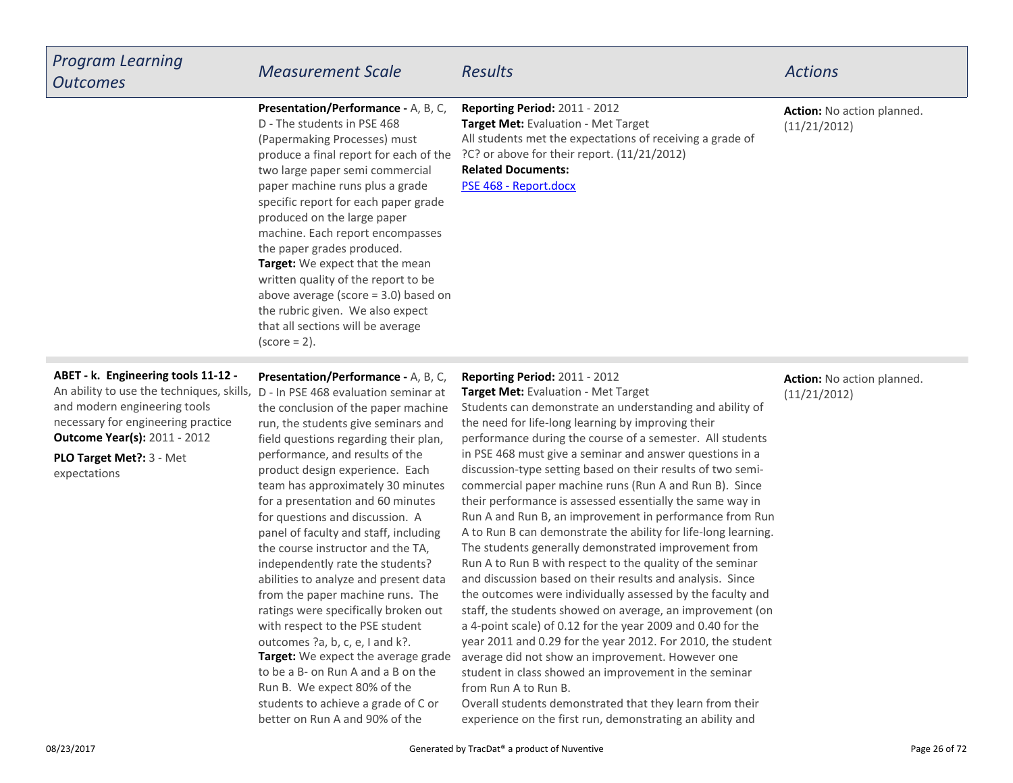| <b>Program Learning</b><br><b>Outcomes</b>                                                                                                                                                    | <b>Measurement Scale</b>                                                                                                                                                                                                                                                                                                                                                                                                                                                                                                                                                    | <b>Results</b>                                                                                                                                                                                                                                      | <b>Actions</b>                             |
|-----------------------------------------------------------------------------------------------------------------------------------------------------------------------------------------------|-----------------------------------------------------------------------------------------------------------------------------------------------------------------------------------------------------------------------------------------------------------------------------------------------------------------------------------------------------------------------------------------------------------------------------------------------------------------------------------------------------------------------------------------------------------------------------|-----------------------------------------------------------------------------------------------------------------------------------------------------------------------------------------------------------------------------------------------------|--------------------------------------------|
|                                                                                                                                                                                               | Presentation/Performance - A, B, C,<br>D - The students in PSE 468<br>(Papermaking Processes) must<br>produce a final report for each of the<br>two large paper semi commercial<br>paper machine runs plus a grade<br>specific report for each paper grade<br>produced on the large paper<br>machine. Each report encompasses<br>the paper grades produced.<br>Target: We expect that the mean<br>written quality of the report to be<br>above average (score $=$ 3.0) based on<br>the rubric given. We also expect<br>that all sections will be average<br>$(score = 2)$ . | Reporting Period: 2011 - 2012<br>Target Met: Evaluation - Met Target<br>All students met the expectations of receiving a grade of<br>?C? or above for their report. (11/21/2012)<br><b>Related Documents:</b><br>PSE 468 - Report.docx              | Action: No action planned.<br>(11/21/2012) |
| ABET - k. Engineering tools 11-12 -<br>An ability to use the techniques, skills,<br>and modern engineering tools<br>necessary for engineering practice<br><b>Outcome Year(s): 2011 - 2012</b> | Presentation/Performance - A, B, C,<br>D - In PSE 468 evaluation seminar at<br>the conclusion of the paper machine<br>run, the students give seminars and<br>field questions regarding their plan,                                                                                                                                                                                                                                                                                                                                                                          | Reporting Period: 2011 - 2012<br>Target Met: Evaluation - Met Target<br>Students can demonstrate an understanding and ability of<br>the need for life-long learning by improving their<br>performance during the course of a semester. All students | Action: No action planned.<br>(11/21/2012) |

**PLO Target Met?:** 3 - Metexpectations

**Target:** We expect the average gradeto be a B- on Run A and a B on theRun B. We expect 80% of the students to achieve a grade of C orbetter on Run A and 90% of theperformance, and results of the product design experience. Each team has approximately 30 minutesfor a presentation and 60 minutesfor questions and discussion. A panel of faculty and staff, includingthe course instructor and the TA,independently rate the students? abilities to analyze and present data from the paper machine runs. The ratings were specifically broken outwith respect to the PSE studentoutcomes ?a, b, c, e, I and k?.

in PSE 468 must give a seminar and answer questions in a discussion-type setting based on their results of two semicommercial paper machine runs (Run A and Run B). Since their performance is assessed essentially the same way in Run A and Run B, an improvement in performance from Run A to Run B can demonstrate the ability for life-long learning.The students generally demonstrated improvement from Run A to Run B with respect to the quality of the seminar and discussion based on their results and analysis. Since the outcomes were individually assessed by the faculty and staff, the students showed on average, an improvement (ona 4-point scale) of 0.12 for the year 2009 and 0.40 for the year 2011 and 0.29 for the year 2012. For 2010, the studentaverage did not show an improvement. However one student in class showed an improvement in the seminarfrom Run A to Run B.

Overall students demonstrated that they learn from theirexperience on the first run, demonstrating an ability and

### 08/23/2017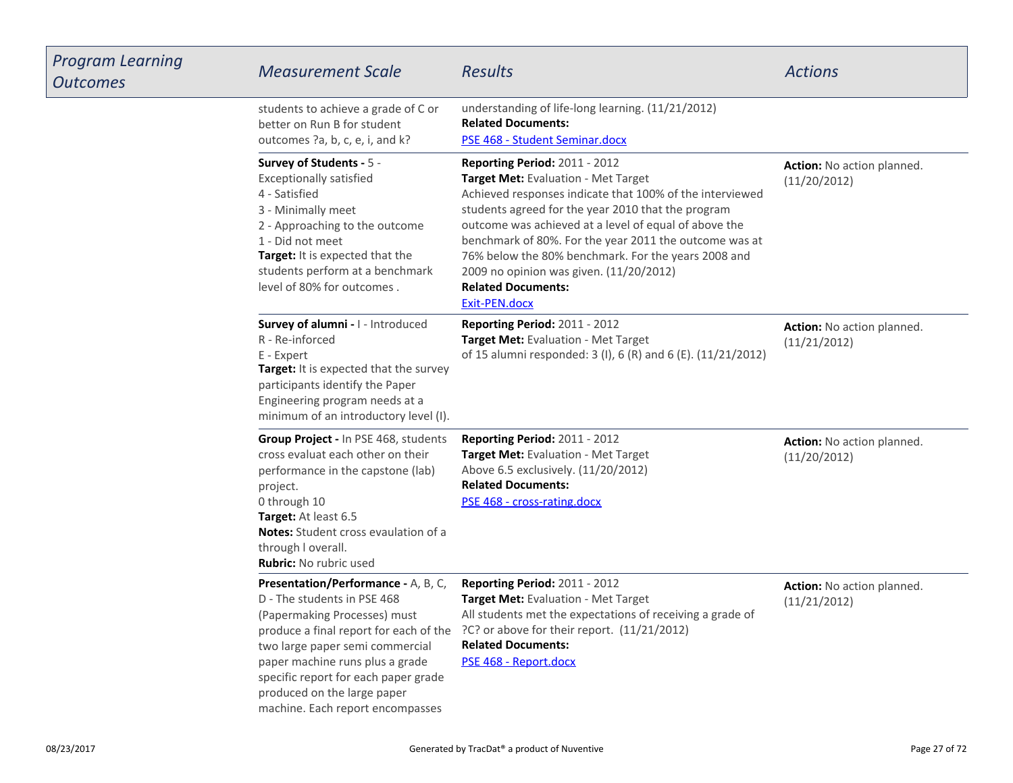| Program Learning<br><b>Outcomes</b> | <b>Measurement Scale</b>                                                                                                                                                                                                                                                            | Results                                                                                                                                                                                                                                                                                                                                                                                                                                                   | <b>Actions</b>                             |
|-------------------------------------|-------------------------------------------------------------------------------------------------------------------------------------------------------------------------------------------------------------------------------------------------------------------------------------|-----------------------------------------------------------------------------------------------------------------------------------------------------------------------------------------------------------------------------------------------------------------------------------------------------------------------------------------------------------------------------------------------------------------------------------------------------------|--------------------------------------------|
|                                     | students to achieve a grade of C or<br>better on Run B for student<br>outcomes ?a, b, c, e, i, and k?                                                                                                                                                                               | understanding of life-long learning. (11/21/2012)<br><b>Related Documents:</b><br>PSE 468 - Student Seminar.docx                                                                                                                                                                                                                                                                                                                                          |                                            |
|                                     | Survey of Students - 5 -<br><b>Exceptionally satisfied</b><br>4 - Satisfied<br>3 - Minimally meet<br>2 - Approaching to the outcome<br>1 - Did not meet<br>Target: It is expected that the<br>students perform at a benchmark<br>level of 80% for outcomes.                         | Reporting Period: 2011 - 2012<br>Target Met: Evaluation - Met Target<br>Achieved responses indicate that 100% of the interviewed<br>students agreed for the year 2010 that the program<br>outcome was achieved at a level of equal of above the<br>benchmark of 80%. For the year 2011 the outcome was at<br>76% below the 80% benchmark. For the years 2008 and<br>2009 no opinion was given. (11/20/2012)<br><b>Related Documents:</b><br>Exit-PEN.docx | Action: No action planned.<br>(11/20/2012) |
|                                     | Survey of alumni - I - Introduced<br>R - Re-inforced<br>E - Expert<br>Target: It is expected that the survey<br>participants identify the Paper<br>Engineering program needs at a<br>minimum of an introductory level (I).                                                          | Reporting Period: 2011 - 2012<br>Target Met: Evaluation - Met Target<br>of 15 alumni responded: 3 (I), 6 (R) and 6 (E). (11/21/2012)                                                                                                                                                                                                                                                                                                                      | Action: No action planned.<br>(11/21/2012) |
|                                     | Group Project - In PSE 468, students<br>cross evaluat each other on their<br>performance in the capstone (lab)<br>project.<br>0 through 10<br>Target: At least 6.5<br>Notes: Student cross evaulation of a<br>through I overall.<br>Rubric: No rubric used                          | <b>Reporting Period: 2011 - 2012</b><br>Target Met: Evaluation - Met Target<br>Above 6.5 exclusively. (11/20/2012)<br><b>Related Documents:</b><br>PSE 468 - cross-rating.docx                                                                                                                                                                                                                                                                            | Action: No action planned.<br>(11/20/2012) |
|                                     | Presentation/Performance - A, B, C,<br>D - The students in PSE 468<br>(Papermaking Processes) must<br>two large paper semi commercial<br>paper machine runs plus a grade<br>specific report for each paper grade<br>produced on the large paper<br>machine. Each report encompasses | <b>Reporting Period: 2011 - 2012</b><br>Target Met: Evaluation - Met Target<br>All students met the expectations of receiving a grade of<br>produce a final report for each of the ?C? or above for their report. (11/21/2012)<br><b>Related Documents:</b><br>PSE 468 - Report.docx                                                                                                                                                                      | Action: No action planned.<br>(11/21/2012) |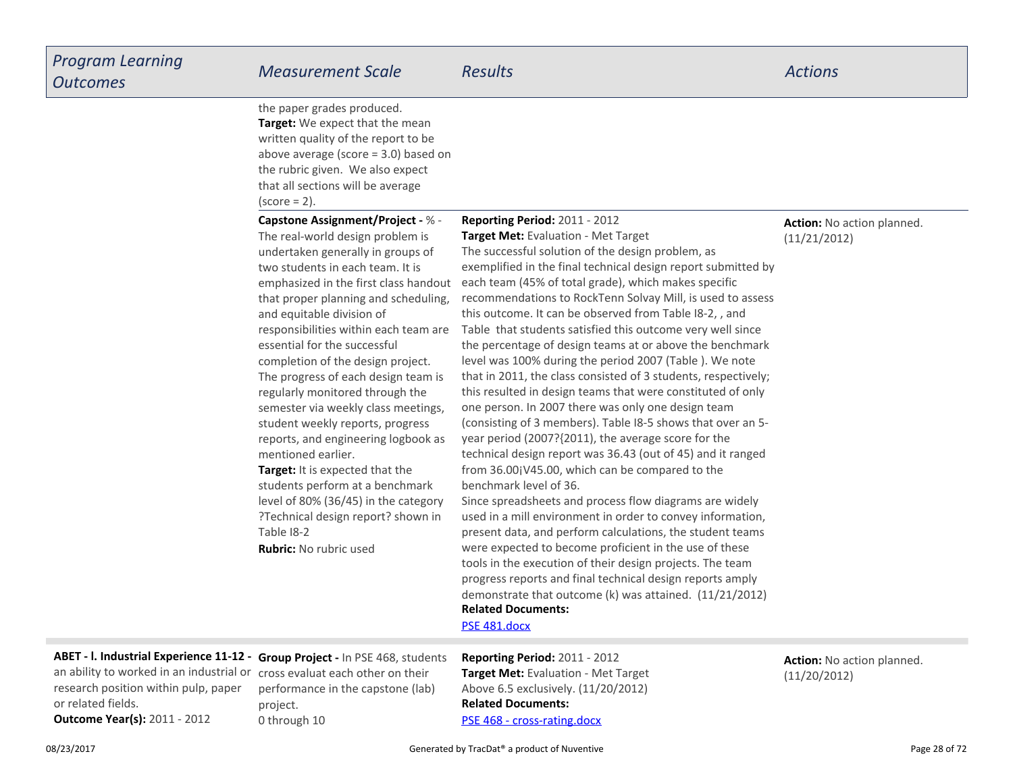**Reporting Period:** 2011 - 2012

**Target:** We expect that the mean written quality of the report to be above average (score = 3.0) based onthe rubric given. We also expectthat all sections will be average $(score = 2)$ . the paper grades produced.

**Target:** It is expected that the students perform at a benchmark**Capstone Assignment/Project -** % -The real-world design problem is undertaken generally in groups oftwo students in each team. It is emphasized in the first class handoutthat proper planning and scheduling,and equitable division ofresponsibilities within each team areessential for the successfulcompletion of the design project.The progress of each design team isregularly monitored through the semester via weekly class meetings,student weekly reports, progress reports, and engineering logbook asmentioned earlier.

 level of 80% (36/45) in the category ?Technical design report? shown inTable I8-2**Rubric:** No rubric used

**Action:** No action planned.(11/21/2012)

 **Target Met:** Evaluation - Met Target The successful solution of the design problem, as exemplified in the final technical design report submitted byeach team (45% of total grade), which makes specific recommendations to RockTenn Solvay Mill, is used to assessthis outcome. It can be observed from Table I8-2, , and Table that students satisfied this outcome very well since the percentage of design teams at or above the benchmarklevel was 100% during the period 2007 (Table ). We note that in 2011, the class consisted of 3 students, respectively;this resulted in design teams that were constituted of onlyone person. In 2007 there was only one design team (consisting of 3 members). Table I8-5 shows that over an 5year period (2007?{2011), the average score for the technical design report was 36.43 (out of 45) and it rangedfrom 36.00¡V45.00, which can be compared to thebenchmark level of 36.Since spreadsheets and process flow diagrams are widely

**Related Documents:** used in a mill environment in order to convey information,present data, and perform calculations, the student teamswere expected to become proficient in the use of these tools in the execution of their design projects. The team progress reports and final technical design reports amplydemonstrate that outcome (k) was attained. (11/21/2012)

[PSE 481.docx](https://esf.tracdat.com:443/tracdat/viewDocument?y=UjGP38Goe1JY)

**ABET - l. Industrial Experience 11-12 - Group Project -** In PSE 468, students an ability to worked in an industrial or

research position within pulp, paperor related fields.

cross evaluat each other on their performance in the capstone (lab)project.0 through 10

**Related Documents:**[PSE 468 - cross-rating.docx](https://esf.tracdat.com:443/tracdat/viewDocument?y=osYshJZvDCx9)**Reporting Period:** 2011 - 2012 **Target Met:** Evaluation - Met TargetAbove 6.5 exclusively. (11/20/2012)

**Action:** No action planned.(11/20/2012)

**Outcome Year(s):** 2011 - 2012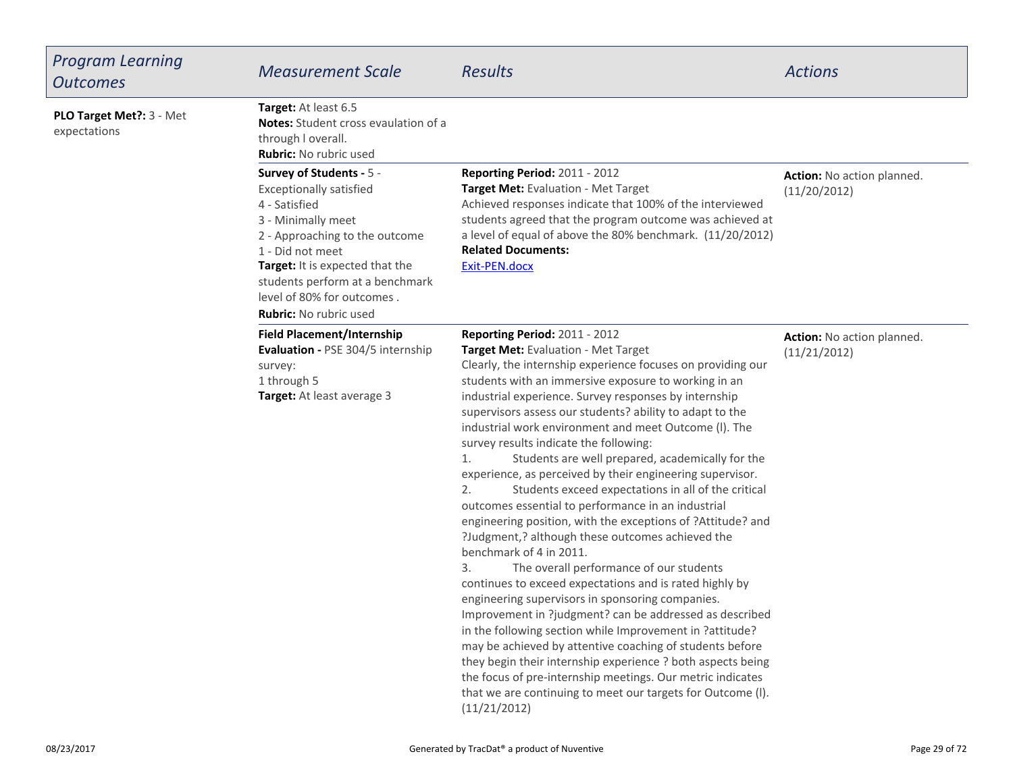| <b>Program Learning</b><br><b>Outcomes</b> | <b>Measurement Scale</b>                                                                                                                                                                                                                                                                     | <b>Results</b>                                                                                                                                                                                                                                                                                                                                                                                                                                                                                                                                                                                                                                                                                                                                                                                                                                                                                                                                                                                                                                                                                                                                                                                                                                                                                                                                                              | <b>Actions</b>                             |
|--------------------------------------------|----------------------------------------------------------------------------------------------------------------------------------------------------------------------------------------------------------------------------------------------------------------------------------------------|-----------------------------------------------------------------------------------------------------------------------------------------------------------------------------------------------------------------------------------------------------------------------------------------------------------------------------------------------------------------------------------------------------------------------------------------------------------------------------------------------------------------------------------------------------------------------------------------------------------------------------------------------------------------------------------------------------------------------------------------------------------------------------------------------------------------------------------------------------------------------------------------------------------------------------------------------------------------------------------------------------------------------------------------------------------------------------------------------------------------------------------------------------------------------------------------------------------------------------------------------------------------------------------------------------------------------------------------------------------------------------|--------------------------------------------|
| PLO Target Met ?: 3 - Met<br>expectations  | Target: At least 6.5<br>Notes: Student cross evaulation of a<br>through I overall.<br><b>Rubric:</b> No rubric used                                                                                                                                                                          |                                                                                                                                                                                                                                                                                                                                                                                                                                                                                                                                                                                                                                                                                                                                                                                                                                                                                                                                                                                                                                                                                                                                                                                                                                                                                                                                                                             |                                            |
|                                            | Survey of Students - 5 -<br><b>Exceptionally satisfied</b><br>4 - Satisfied<br>3 - Minimally meet<br>2 - Approaching to the outcome<br>1 - Did not meet<br>Target: It is expected that the<br>students perform at a benchmark<br>level of 80% for outcomes.<br><b>Rubric:</b> No rubric used | Reporting Period: 2011 - 2012<br>Target Met: Evaluation - Met Target<br>Achieved responses indicate that 100% of the interviewed<br>students agreed that the program outcome was achieved at<br>a level of equal of above the 80% benchmark. (11/20/2012)<br><b>Related Documents:</b><br>Exit-PEN.docx                                                                                                                                                                                                                                                                                                                                                                                                                                                                                                                                                                                                                                                                                                                                                                                                                                                                                                                                                                                                                                                                     | Action: No action planned.<br>(11/20/2012) |
|                                            | <b>Field Placement/Internship</b><br><b>Evaluation - PSE 304/5 internship</b><br>survey:<br>1 through 5<br>Target: At least average 3                                                                                                                                                        | Reporting Period: 2011 - 2012<br>Target Met: Evaluation - Met Target<br>Clearly, the internship experience focuses on providing our<br>students with an immersive exposure to working in an<br>industrial experience. Survey responses by internship<br>supervisors assess our students? ability to adapt to the<br>industrial work environment and meet Outcome (I). The<br>survey results indicate the following:<br>Students are well prepared, academically for the<br>1.<br>experience, as perceived by their engineering supervisor.<br>Students exceed expectations in all of the critical<br>2.<br>outcomes essential to performance in an industrial<br>engineering position, with the exceptions of ?Attitude? and<br>?Judgment,? although these outcomes achieved the<br>benchmark of 4 in 2011.<br>The overall performance of our students<br>3.<br>continues to exceed expectations and is rated highly by<br>engineering supervisors in sponsoring companies.<br>Improvement in ? judgment? can be addressed as described<br>in the following section while Improvement in ?attitude?<br>may be achieved by attentive coaching of students before<br>they begin their internship experience ? both aspects being<br>the focus of pre-internship meetings. Our metric indicates<br>that we are continuing to meet our targets for Outcome (I).<br>(11/21/2012) | Action: No action planned.<br>(11/21/2012) |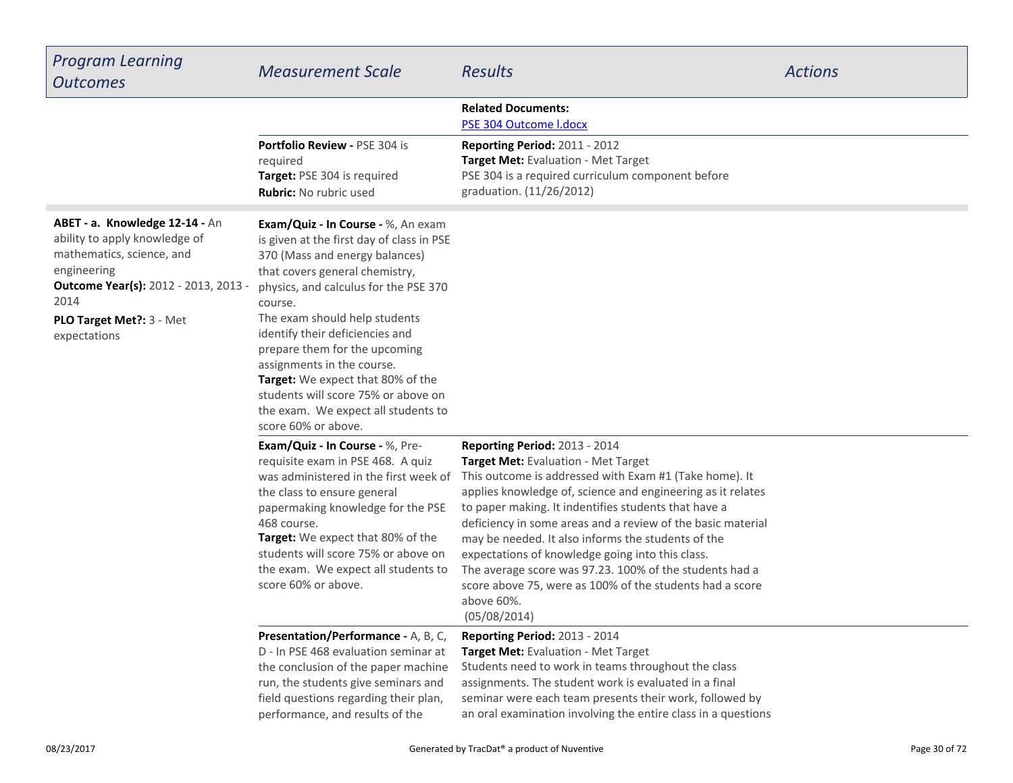| <b>Program Learning</b><br><b>Outcomes</b>                                                                                                                                                                      | <b>Measurement Scale</b>                                                                                                                                                                                                                                                                                                                                                                                                                                                             | <b>Results</b>                                                                                                                                                                                                                                                                                                                                                                                                                                                                                                                                                                      | <b>Actions</b> |
|-----------------------------------------------------------------------------------------------------------------------------------------------------------------------------------------------------------------|--------------------------------------------------------------------------------------------------------------------------------------------------------------------------------------------------------------------------------------------------------------------------------------------------------------------------------------------------------------------------------------------------------------------------------------------------------------------------------------|-------------------------------------------------------------------------------------------------------------------------------------------------------------------------------------------------------------------------------------------------------------------------------------------------------------------------------------------------------------------------------------------------------------------------------------------------------------------------------------------------------------------------------------------------------------------------------------|----------------|
|                                                                                                                                                                                                                 |                                                                                                                                                                                                                                                                                                                                                                                                                                                                                      | <b>Related Documents:</b><br>PSE 304 Outcome I.docx                                                                                                                                                                                                                                                                                                                                                                                                                                                                                                                                 |                |
|                                                                                                                                                                                                                 | Portfolio Review - PSE 304 is<br>required<br>Target: PSE 304 is required<br>Rubric: No rubric used                                                                                                                                                                                                                                                                                                                                                                                   | Reporting Period: 2011 - 2012<br>Target Met: Evaluation - Met Target<br>PSE 304 is a required curriculum component before<br>graduation. (11/26/2012)                                                                                                                                                                                                                                                                                                                                                                                                                               |                |
| ABET - a. Knowledge 12-14 - An<br>ability to apply knowledge of<br>mathematics, science, and<br>engineering<br><b>Outcome Year(s):</b> 2012 - 2013, 2013 -<br>2014<br>PLO Target Met ?: 3 - Met<br>expectations | Exam/Quiz - In Course - %, An exam<br>is given at the first day of class in PSE<br>370 (Mass and energy balances)<br>that covers general chemistry,<br>physics, and calculus for the PSE 370<br>course.<br>The exam should help students<br>identify their deficiencies and<br>prepare them for the upcoming<br>assignments in the course.<br>Target: We expect that 80% of the<br>students will score 75% or above on<br>the exam. We expect all students to<br>score 60% or above. |                                                                                                                                                                                                                                                                                                                                                                                                                                                                                                                                                                                     |                |
|                                                                                                                                                                                                                 | Exam/Quiz - In Course - %, Pre-<br>requisite exam in PSE 468. A quiz<br>was administered in the first week of<br>the class to ensure general<br>papermaking knowledge for the PSE<br>468 course.<br>Target: We expect that 80% of the<br>students will score 75% or above on<br>the exam. We expect all students to<br>score 60% or above.                                                                                                                                           | Reporting Period: 2013 - 2014<br>Target Met: Evaluation - Met Target<br>This outcome is addressed with Exam #1 (Take home). It<br>applies knowledge of, science and engineering as it relates<br>to paper making. It indentifies students that have a<br>deficiency in some areas and a review of the basic material<br>may be needed. It also informs the students of the<br>expectations of knowledge going into this class.<br>The average score was 97.23. 100% of the students had a<br>score above 75, were as 100% of the students had a score<br>above 60%.<br>(05/08/2014) |                |
|                                                                                                                                                                                                                 | Presentation/Performance - A, B, C,<br>D - In PSE 468 evaluation seminar at<br>the conclusion of the paper machine<br>run, the students give seminars and<br>field questions regarding their plan,<br>performance, and results of the                                                                                                                                                                                                                                                | <b>Reporting Period: 2013 - 2014</b><br>Target Met: Evaluation - Met Target<br>Students need to work in teams throughout the class<br>assignments. The student work is evaluated in a final<br>seminar were each team presents their work, followed by<br>an oral examination involving the entire class in a questions                                                                                                                                                                                                                                                             |                |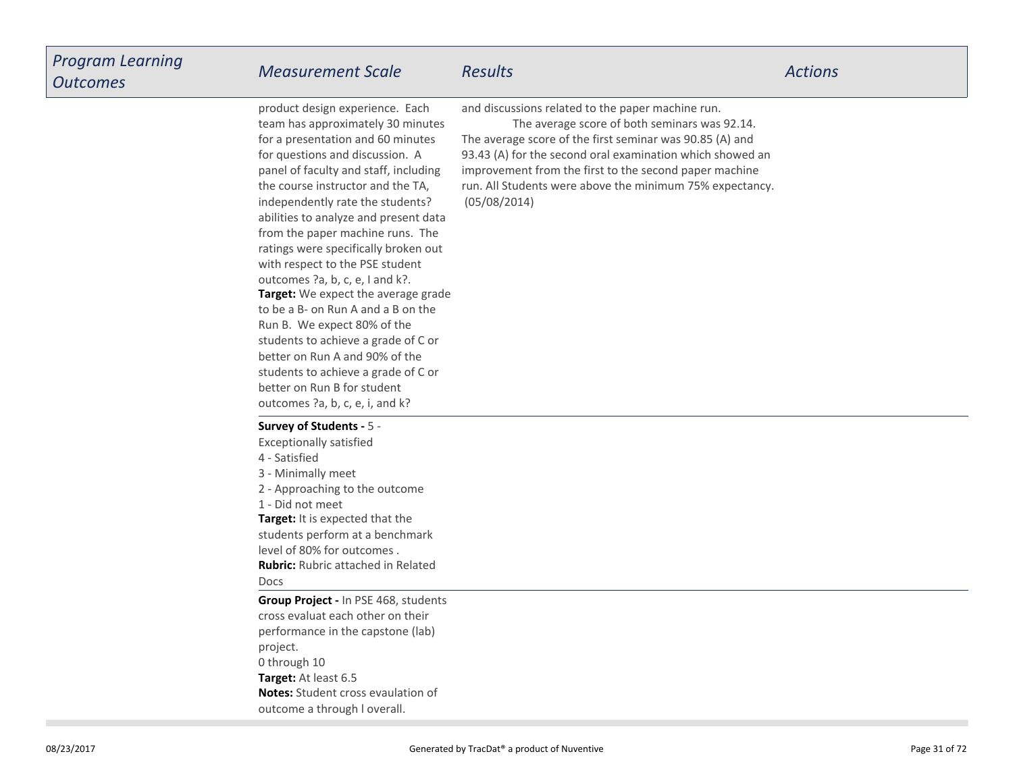**Target:** We expect the average grade to be a B- on Run A and a B on theRun B. We expect 80% of the students to achieve a grade of C orbetter on Run A and 90% of the students to achieve a grade of C orbetter on Run B for student outcomes ?a, b, c, e, i, and k?product design experience. Each team has approximately 30 minutesfor a presentation and 60 minutesfor questions and discussion. A panel of faculty and staff, includingthe course instructor and the TA,independently rate the students? abilities to analyze and present data from the paper machine runs. The ratings were specifically broken outwith respect to the PSE studentoutcomes ?a, b, c, e, I and k?.

and discussions related to the paper machine run.

The average score of both seminars was 92.14.

The average score of the first seminar was 90.85 (A) and 93.43 (A) for the second oral examination which showed animprovement from the first to the second paper machine run. All Students were above the minimum 75% expectancy.(05/08/2014)

#### **Survey of Students -** 5 -

Exceptionally satisfied4 - Satisfied 3 - Minimally meet 2 - Approaching to the outcome1 - Did not meet

**Target:** It is expected that the students perform at a benchmarklevel of 80% for outcomes .**Rubric:** Rubric attached in RelatedDocs

**Target:** At least 6.5 **Notes:** Student cross evaulation ofoutcome a through l overall.**Group Project -** In PSE 468, studentscross evaluat each other on theirperformance in the capstone (lab)project.0 through 10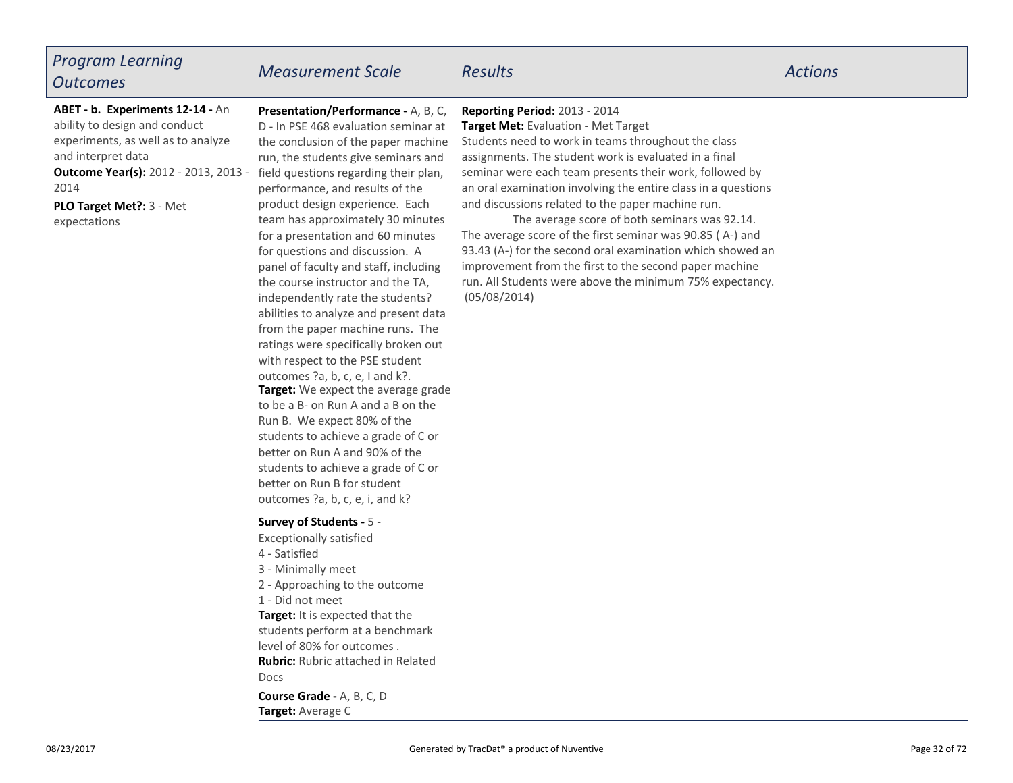### *Program LearningOutcomes*

# *Measurement Scale Results Actions*

**ABET - b. Experiments 12-14 -** Anability to design and conduct experiments, as well as to analyzeand interpret data

2014

**PLO Target Met?:** 3 - Metexpectations

**Presentation/Performance -** A, B, C,D - In PSE 468 evaluation seminar at the conclusion of the paper machine run, the students give seminars and**Outcome Year(s):** 2012 - 2013, 2013 - field questions regarding their plan, performance, and results of the product design experience. Each team has approximately 30 minutesfor a presentation and 60 minutesfor questions and discussion. A panel of faculty and staff, includingthe course instructor and the TA,independently rate the students? abilities to analyze and present data from the paper machine runs. The ratings were specifically broken outwith respect to the PSE student

> **Target:** We expect the average grade to be a B- on Run A and a B on theRun B. We expect 80% of the students to achieve a grade of C orbetter on Run A and 90% of the students to achieve a grade of C orbetter on Run B for studentoutcomes ?a, b, c, e, i, and k?

outcomes ?a, b, c, e, I and k?.

### **Reporting Period:** 2013 - 2014

 **Target Met:** Evaluation - Met Target Students need to work in teams throughout the class assignments. The student work is evaluated in a finalseminar were each team presents their work, followed by an oral examination involving the entire class in a questionsand discussions related to the paper machine run.

The average score of both seminars was 92.14.The average score of the first seminar was 90.85 ( A-) and 93.43 (A-) for the second oral examination which showed animprovement from the first to the second paper machine run. All Students were above the minimum 75% expectancy.(05/08/2014)

### **Survey of Students -** 5 -

Exceptionally satisfied

- 4 Satisfied
- 3 Minimally meet
- 2 Approaching to the outcome
- 1 Did not meet

**Target:** It is expected that the students perform at a benchmarklevel of 80% for outcomes .

**Rubric:** Rubric attached in Related

Docs

**Target:** Average C**Course Grade -** A, B, C, D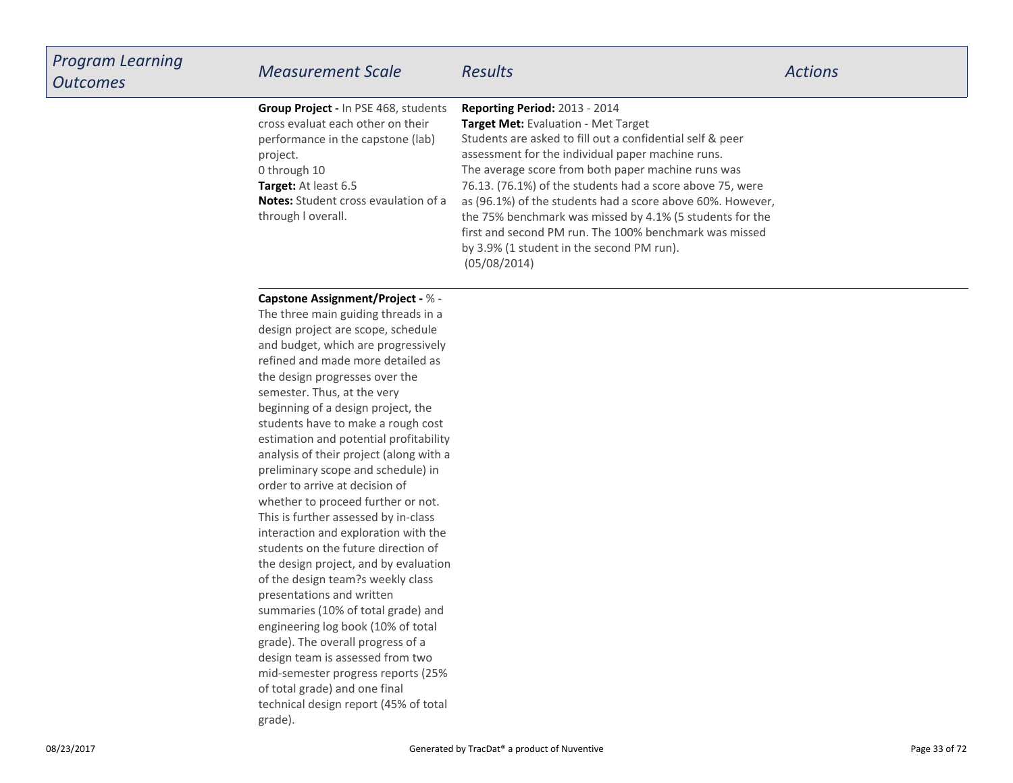| <b>Program Learning</b><br><b>Outcomes</b> | <b>Measurement Scale</b>                                                                                                                                                                                                                | <b>Results</b>                                                                                                                                                                                                                                                                                                                                                                                                                                                                                                                                                    | <b>Actions</b> |
|--------------------------------------------|-----------------------------------------------------------------------------------------------------------------------------------------------------------------------------------------------------------------------------------------|-------------------------------------------------------------------------------------------------------------------------------------------------------------------------------------------------------------------------------------------------------------------------------------------------------------------------------------------------------------------------------------------------------------------------------------------------------------------------------------------------------------------------------------------------------------------|----------------|
|                                            | Group Project - In PSE 468, students<br>cross evaluat each other on their<br>performance in the capstone (lab)<br>project.<br>0 through 10<br>Target: At least 6.5<br><b>Notes:</b> Student cross evaulation of a<br>through I overall. | <b>Reporting Period: 2013 - 2014</b><br>Target Met: Evaluation - Met Target<br>Students are asked to fill out a confidential self & peer<br>assessment for the individual paper machine runs.<br>The average score from both paper machine runs was<br>76.13. (76.1%) of the students had a score above 75, were<br>as (96.1%) of the students had a score above 60%. However,<br>the 75% benchmark was missed by 4.1% (5 students for the<br>first and second PM run. The 100% benchmark was missed<br>by 3.9% (1 student in the second PM run).<br>(05/08/2014) |                |

#### **Capstone Assignment/Project -** % -

 The three main guiding threads in a design project are scope, schedule and budget, which are progressively refined and made more detailed asthe design progresses over thesemester. Thus, at the very beginning of a design project, the students have to make a rough cost estimation and potential profitability analysis of their project (along with apreliminary scope and schedule) inorder to arrive at decision of whether to proceed further or not.This is further assessed by in-class interaction and exploration with the students on the future direction of the design project, and by evaluationof the design team?s weekly classpresentations and written summaries (10% of total grade) and engineering log book (10% of totalgrade). The overall progress of a design team is assessed from two mid-semester progress reports (25%of total grade) and one finaltechnical design report (45% of totalgrade).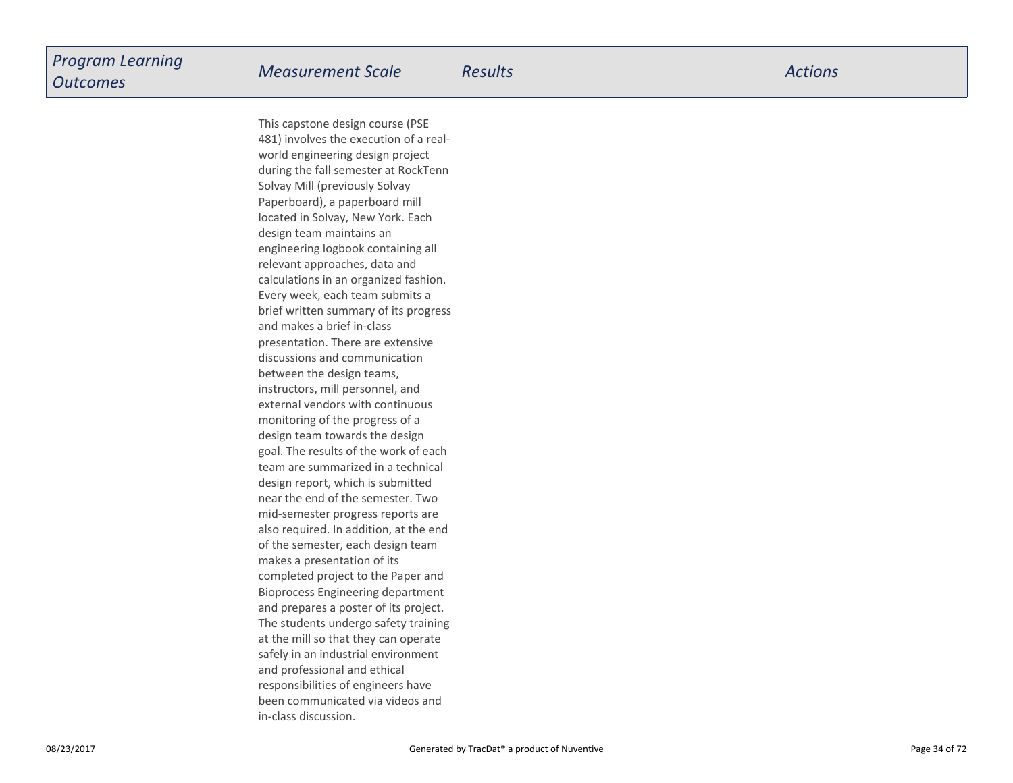This capstone design course (PSE 481) involves the execution of a realworld engineering design project during the fall semester at RockTennSolvay Mill (previously Solvay Paperboard), a paperboard milllocated in Solvay, New York. Eachdesign team maintains an engineering logbook containing allrelevant approaches, data and calculations in an organized fashion.Every week, each team submits a brief written summary of its progressand makes a brief in-class presentation. There are extensivediscussions and communicationbetween the design teams,instructors, mill personnel, and external vendors with continuousmonitoring of the progress of a design team towards the design goal. The results of the work of each team are summarized in a technicaldesign report, which is submitted near the end of the semester. Two mid-semester progress reports are also required. In addition, at the endof the semester, each design teammakes a presentation of its completed project to the Paper and Bioprocess Engineering departmentand prepares a poster of its project.The students undergo safety trainingat the mill so that they can operate safely in an industrial environmentand professional and ethicalresponsibilities of engineers have been communicated via videos andin-class discussion.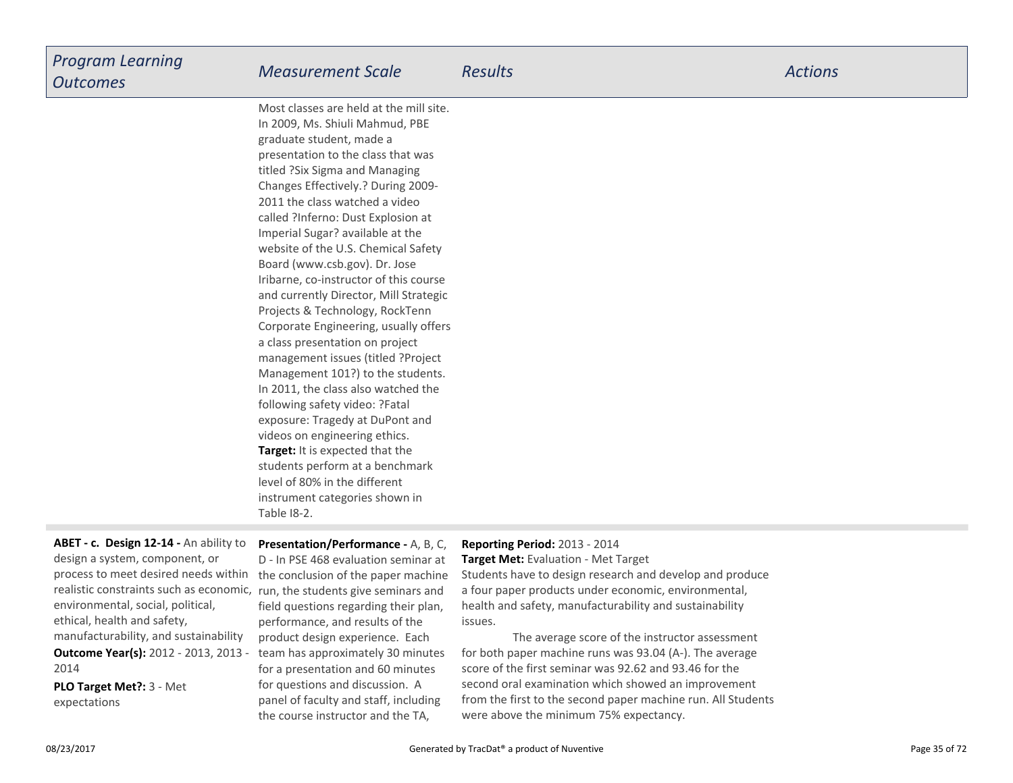| <b>Program Learning</b><br><b>Outcomes</b> | <b>Measurement Scale</b>                                                                                                                                                                                                                                                                                                                                                                                                | Results | <b>Actions</b> |
|--------------------------------------------|-------------------------------------------------------------------------------------------------------------------------------------------------------------------------------------------------------------------------------------------------------------------------------------------------------------------------------------------------------------------------------------------------------------------------|---------|----------------|
|                                            | Most classes are held at the mill site.<br>$\overline{1}$ 2000 $\overline{1}$ $\overline{2}$ $\overline{1}$ $\overline{1}$ $\overline{1}$ $\overline{1}$ $\overline{1}$ $\overline{1}$ $\overline{1}$ $\overline{1}$ $\overline{1}$ $\overline{1}$ $\overline{1}$ $\overline{1}$ $\overline{1}$ $\overline{1}$ $\overline{1}$ $\overline{1}$ $\overline{1}$ $\overline{1}$ $\overline{1}$ $\overline{1}$ $\overline{1}$ |         |                |

**Target:** It is expected that the students perform at a benchmarklevel of 80% in the different instrument categories shown inTable I8-2.In 2009, Ms. Shiuli Mahmud, PBEgraduate student, made a presentation to the class that wastitled ?Six Sigma and Managing Changes Effectively.? During 2009-2011 the class watched a video called ?Inferno: Dust Explosion atImperial Sugar? available at the website of the U.S. Chemical SafetyBoard (www.csb.gov). Dr. Jose Iribarne, co-instructor of this course and currently Director, Mill StrategicProjects & Technology, RockTenn Corporate Engineering, usually offersa class presentation on project management issues (titled ?Project Management 101?) to the students.In 2011, the class also watched thefollowing safety video: ?Fatalexposure: Tragedy at DuPont andvideos on engineering ethics.

### process to meet desired needs within the conclusion of the paper machine **Outcome Year(s):** 2012 - 2013, 2013 - 2014**ABET - c. Design 12-14 -** An ability todesign a system, component, or realistic constraints such as economic,environmental, social, political,ethical, health and safety,manufacturability, and sustainability

**PLO Target Met?:** 3 - Metexpectations

**Presentation/Performance -** A, B, C,D - In PSE 468 evaluation seminar at run, the students give seminars and field questions regarding their plan,performance, and results of the product design experience. Each team has approximately 30 minutesfor a presentation and 60 minutesfor questions and discussion. A panel of faculty and staff, includingthe course instructor and the TA,

### **Reporting Period:** 2013 - 2014

 **Target Met:** Evaluation - Met TargetStudents have to design research and develop and producea four paper products under economic, environmental,health and safety, manufacturability and sustainabilityissues.

The average score of the instructor assessment for both paper machine runs was 93.04 (A-). The averagescore of the first seminar was 92.62 and 93.46 for the second oral examination which showed an improvement from the first to the second paper machine run. All Studentswere above the minimum 75% expectancy.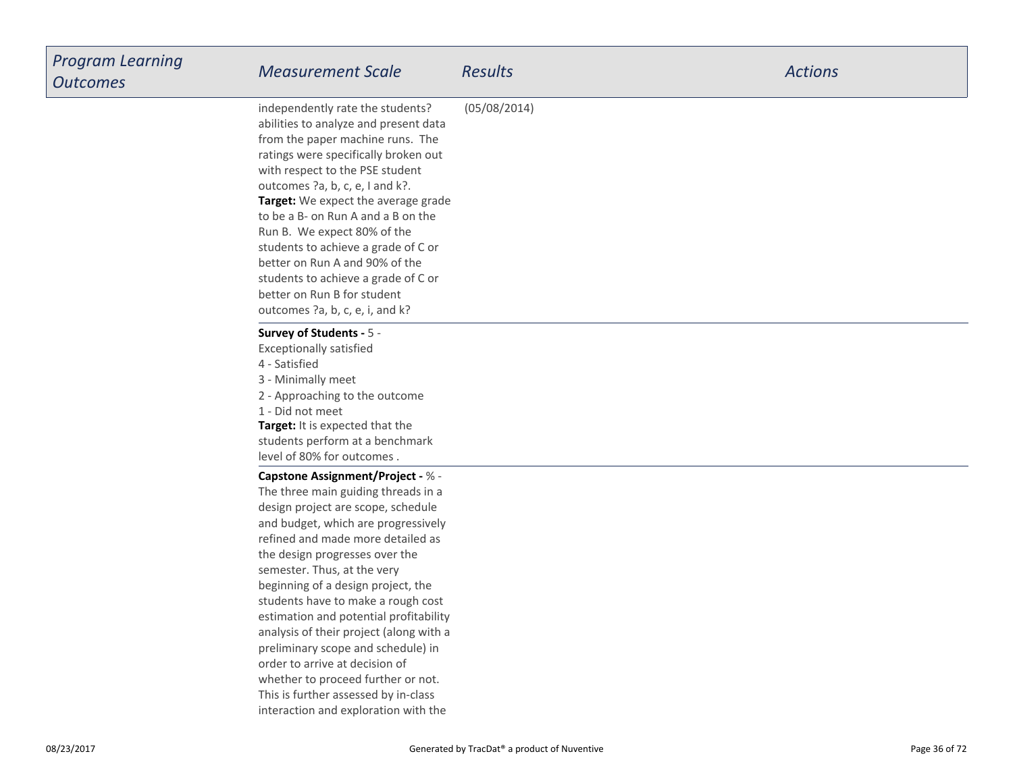| <b>Program Learning</b> |                                                                                                                                                                                                                                                                                                                                                                                                                                                                                                                                                                                                                                   |                |                |
|-------------------------|-----------------------------------------------------------------------------------------------------------------------------------------------------------------------------------------------------------------------------------------------------------------------------------------------------------------------------------------------------------------------------------------------------------------------------------------------------------------------------------------------------------------------------------------------------------------------------------------------------------------------------------|----------------|----------------|
| <b>Outcomes</b>         | <b>Measurement Scale</b>                                                                                                                                                                                                                                                                                                                                                                                                                                                                                                                                                                                                          | <b>Results</b> | <b>Actions</b> |
|                         | independently rate the students?<br>abilities to analyze and present data<br>from the paper machine runs. The<br>ratings were specifically broken out<br>with respect to the PSE student<br>outcomes ?a, b, c, e, I and k?.<br>Target: We expect the average grade<br>to be a B- on Run A and a B on the<br>Run B. We expect 80% of the<br>students to achieve a grade of C or<br>better on Run A and 90% of the<br>students to achieve a grade of C or<br>better on Run B for student<br>outcomes ?a, b, c, e, i, and k?                                                                                                         | (05/08/2014)   |                |
|                         | Survey of Students - 5 -<br><b>Exceptionally satisfied</b><br>4 - Satisfied<br>3 - Minimally meet<br>2 - Approaching to the outcome<br>1 - Did not meet<br>Target: It is expected that the<br>students perform at a benchmark<br>level of 80% for outcomes.                                                                                                                                                                                                                                                                                                                                                                       |                |                |
|                         | <b>Capstone Assignment/Project - % -</b><br>The three main guiding threads in a<br>design project are scope, schedule<br>and budget, which are progressively<br>refined and made more detailed as<br>the design progresses over the<br>semester. Thus, at the very<br>beginning of a design project, the<br>students have to make a rough cost<br>estimation and potential profitability<br>analysis of their project (along with a<br>preliminary scope and schedule) in<br>order to arrive at decision of<br>whether to proceed further or not.<br>This is further assessed by in-class<br>interaction and exploration with the |                |                |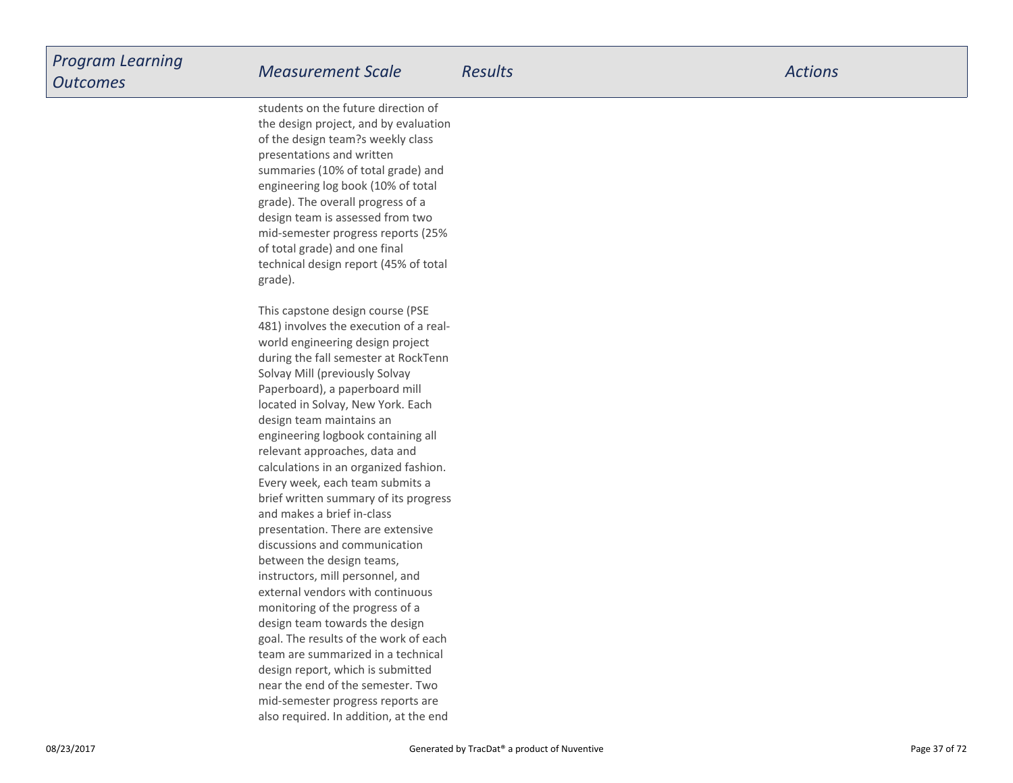students on the future direction of the design project, and by evaluationof the design team?s weekly classpresentations and written summaries (10% of total grade) and engineering log book (10% of totalgrade). The overall progress of a design team is assessed from two mid-semester progress reports (25%of total grade) and one finaltechnical design report (45% of totalgrade).

This capstone design course (PSE 481) involves the execution of a realworld engineering design project during the fall semester at RockTennSolvay Mill (previously Solvay Paperboard), a paperboard milllocated in Solvay, New York. Eachdesign team maintains an engineering logbook containing allrelevant approaches, data and calculations in an organized fashion.Every week, each team submits a brief written summary of its progressand makes a brief in-class presentation. There are extensivediscussions and communicationbetween the design teams,instructors, mill personnel, and external vendors with continuousmonitoring of the progress of a design team towards the design goal. The results of the work of each team are summarized in a technicaldesign report, which is submitted near the end of the semester. Two mid-semester progress reports arealso required. In addition, at the end

08/23/2017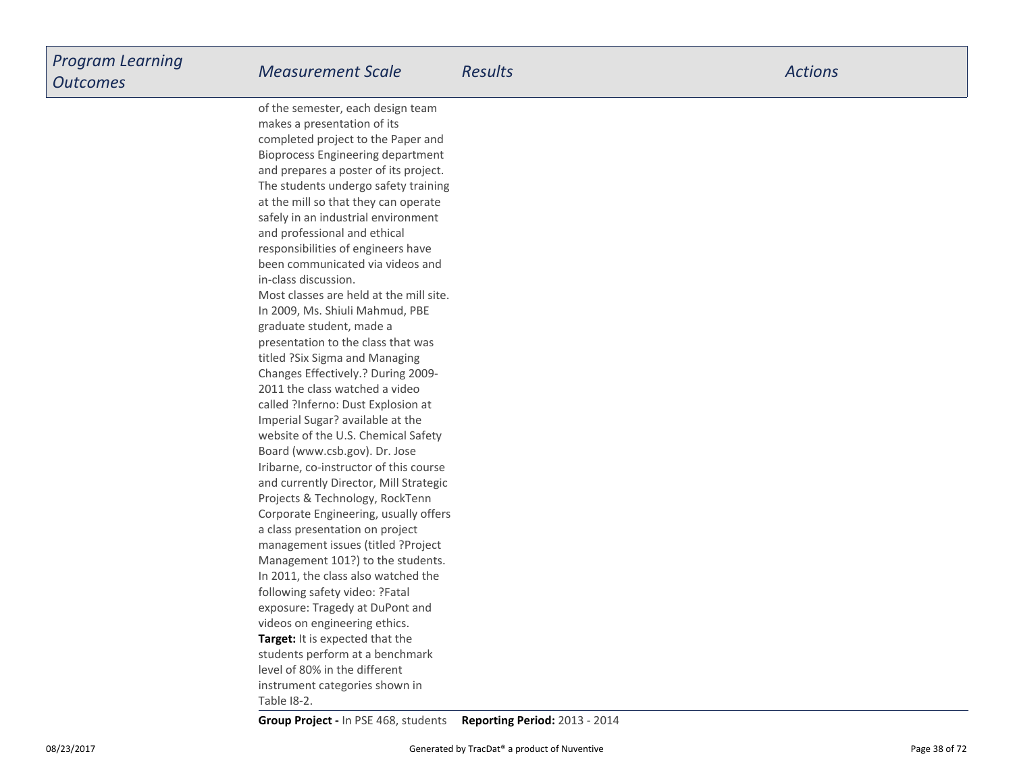**Target:** It is expected that the students perform at a benchmarklevel of 80% in the differentinstrument categories shown inof the semester, each design teammakes a presentation of its completed project to the Paper and Bioprocess Engineering department and prepares a poster of its project.The students undergo safety trainingat the mill so that they can operate safely in an industrial environmentand professional and ethicalresponsibilities of engineers have been communicated via videos andin-class discussion.Most classes are held at the mill site.In 2009, Ms. Shiuli Mahmud, PBEgraduate student, made a presentation to the class that wastitled ?Six Sigma and Managing Changes Effectively.? During 2009-2011 the class watched a video called ?Inferno: Dust Explosion atImperial Sugar? available at the website of the U.S. Chemical SafetyBoard (www.csb.gov). Dr. Jose Iribarne, co-instructor of this course and currently Director, Mill StrategicProjects & Technology, RockTenn Corporate Engineering, usually offersa class presentation on project management issues (titled ?ProjectManagement 101?) to the students.In 2011, the class also watched thefollowing safety video: ?Fatalexposure: Tragedy at DuPont andvideos on engineering ethics.

Table I8-2.

**Group Project -** In PSE 468, students**Reporting Period:** 2013 - 2014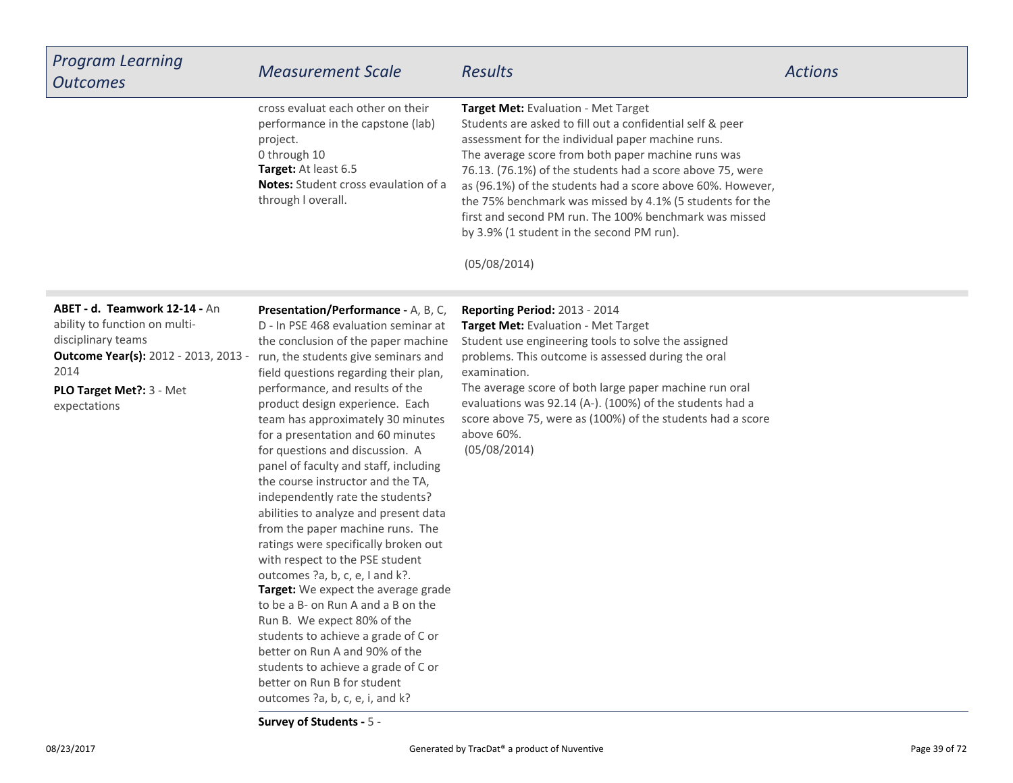| <b>Program Learning</b><br><b>Outcomes</b>                                                                                                                                                                                   | <b>Measurement Scale</b>                                                                                                                                                                                                                                                                                                                                                                                                                                                                                                                                                                                                                                                                                                                                                                                                                                                                                                                                  | <b>Results</b>                                                                                                                                                                                                                                                                                                                                                                                                                                                                                                            | <b>Actions</b> |
|------------------------------------------------------------------------------------------------------------------------------------------------------------------------------------------------------------------------------|-----------------------------------------------------------------------------------------------------------------------------------------------------------------------------------------------------------------------------------------------------------------------------------------------------------------------------------------------------------------------------------------------------------------------------------------------------------------------------------------------------------------------------------------------------------------------------------------------------------------------------------------------------------------------------------------------------------------------------------------------------------------------------------------------------------------------------------------------------------------------------------------------------------------------------------------------------------|---------------------------------------------------------------------------------------------------------------------------------------------------------------------------------------------------------------------------------------------------------------------------------------------------------------------------------------------------------------------------------------------------------------------------------------------------------------------------------------------------------------------------|----------------|
|                                                                                                                                                                                                                              | cross evaluat each other on their<br>performance in the capstone (lab)<br>project.<br>0 through 10<br>Target: At least 6.5<br><b>Notes:</b> Student cross evaulation of a<br>through I overall.                                                                                                                                                                                                                                                                                                                                                                                                                                                                                                                                                                                                                                                                                                                                                           | Target Met: Evaluation - Met Target<br>Students are asked to fill out a confidential self & peer<br>assessment for the individual paper machine runs.<br>The average score from both paper machine runs was<br>76.13. (76.1%) of the students had a score above 75, were<br>as (96.1%) of the students had a score above 60%. However,<br>the 75% benchmark was missed by 4.1% (5 students for the<br>first and second PM run. The 100% benchmark was missed<br>by 3.9% (1 student in the second PM run).<br>(05/08/2014) |                |
| ABET - d. Teamwork 12-14 - An<br>ability to function on multi-<br>disciplinary teams<br><b>Outcome Year(s):</b> 2012 - 2013, 2013 - run, the students give seminars and<br>2014<br>PLO Target Met ?: 3 - Met<br>expectations | Presentation/Performance - A, B, C,<br>D - In PSE 468 evaluation seminar at<br>the conclusion of the paper machine<br>field questions regarding their plan,<br>performance, and results of the<br>product design experience. Each<br>team has approximately 30 minutes<br>for a presentation and 60 minutes<br>for questions and discussion. A<br>panel of faculty and staff, including<br>the course instructor and the TA,<br>independently rate the students?<br>abilities to analyze and present data<br>from the paper machine runs. The<br>ratings were specifically broken out<br>with respect to the PSE student<br>outcomes ?a, b, c, e, I and k?.<br>Target: We expect the average grade<br>to be a B- on Run A and a B on the<br>Run B. We expect 80% of the<br>students to achieve a grade of C or<br>better on Run A and 90% of the<br>students to achieve a grade of C or<br>better on Run B for student<br>outcomes ?a, b, c, e, i, and k? | Reporting Period: 2013 - 2014<br>Target Met: Evaluation - Met Target<br>Student use engineering tools to solve the assigned<br>problems. This outcome is assessed during the oral<br>examination.<br>The average score of both large paper machine run oral<br>evaluations was 92.14 (A-). (100%) of the students had a<br>score above 75, were as (100%) of the students had a score<br>above 60%.<br>(05/08/2014)                                                                                                       |                |

**Survey of Students -** 5 -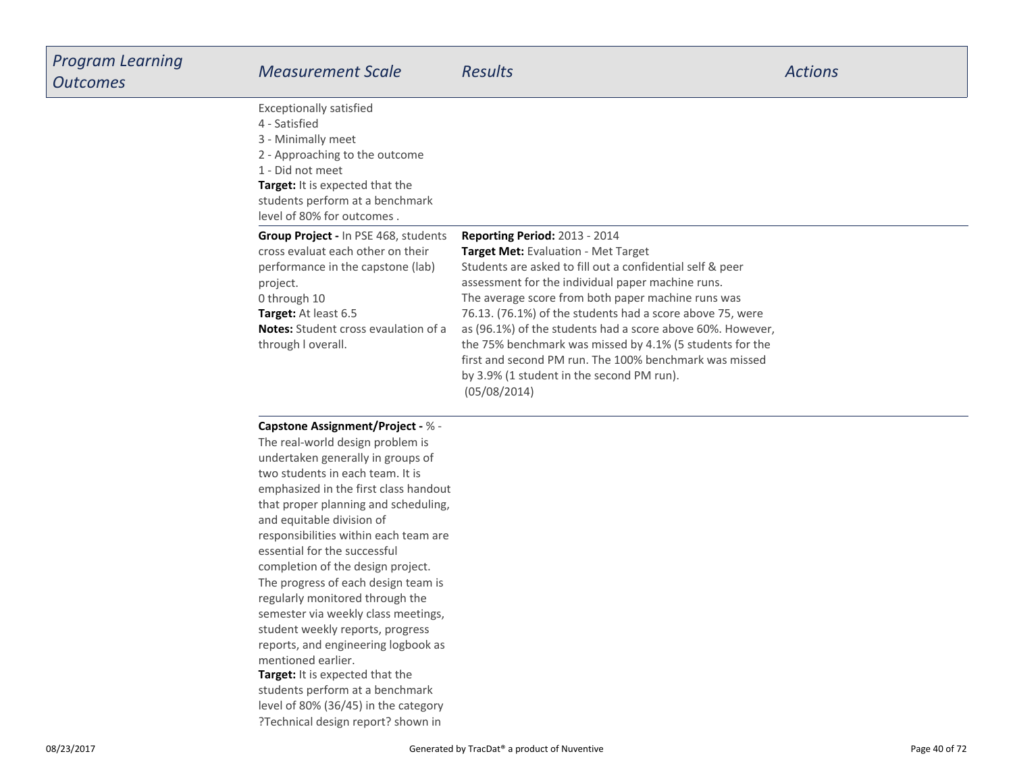| Program Learning<br><b>Outcomes</b> | <b>Measurement Scale</b>                                                                                                                                                                                                                                                                                                                                                                                                                                                                                                                                                                                                                                                                                                                                | <b>Results</b>                                                                                                                                                                                                                                                                                                                                                                                                                                                                                                                                             | <b>Actions</b> |
|-------------------------------------|---------------------------------------------------------------------------------------------------------------------------------------------------------------------------------------------------------------------------------------------------------------------------------------------------------------------------------------------------------------------------------------------------------------------------------------------------------------------------------------------------------------------------------------------------------------------------------------------------------------------------------------------------------------------------------------------------------------------------------------------------------|------------------------------------------------------------------------------------------------------------------------------------------------------------------------------------------------------------------------------------------------------------------------------------------------------------------------------------------------------------------------------------------------------------------------------------------------------------------------------------------------------------------------------------------------------------|----------------|
|                                     | <b>Exceptionally satisfied</b><br>4 - Satisfied<br>3 - Minimally meet<br>2 - Approaching to the outcome<br>1 - Did not meet<br>Target: It is expected that the<br>students perform at a benchmark<br>level of 80% for outcomes.                                                                                                                                                                                                                                                                                                                                                                                                                                                                                                                         |                                                                                                                                                                                                                                                                                                                                                                                                                                                                                                                                                            |                |
|                                     | Group Project - In PSE 468, students<br>cross evaluat each other on their<br>performance in the capstone (lab)<br>project.<br>0 through 10<br>Target: At least 6.5<br><b>Notes:</b> Student cross evaulation of a<br>through I overall.                                                                                                                                                                                                                                                                                                                                                                                                                                                                                                                 | Reporting Period: 2013 - 2014<br>Target Met: Evaluation - Met Target<br>Students are asked to fill out a confidential self & peer<br>assessment for the individual paper machine runs.<br>The average score from both paper machine runs was<br>76.13. (76.1%) of the students had a score above 75, were<br>as (96.1%) of the students had a score above 60%. However,<br>the 75% benchmark was missed by 4.1% (5 students for the<br>first and second PM run. The 100% benchmark was missed<br>by 3.9% (1 student in the second PM run).<br>(05/08/2014) |                |
|                                     | <b>Capstone Assignment/Project - % -</b><br>The real-world design problem is<br>undertaken generally in groups of<br>two students in each team. It is<br>emphasized in the first class handout<br>that proper planning and scheduling,<br>and equitable division of<br>responsibilities within each team are<br>essential for the successful<br>completion of the design project.<br>The progress of each design team is<br>regularly monitored through the<br>semester via weekly class meetings,<br>student weekly reports, progress<br>reports, and engineering logbook as<br>mentioned earlier.<br>Target: It is expected that the<br>students perform at a benchmark<br>level of 80% (36/45) in the category<br>?Technical design report? shown in |                                                                                                                                                                                                                                                                                                                                                                                                                                                                                                                                                            |                |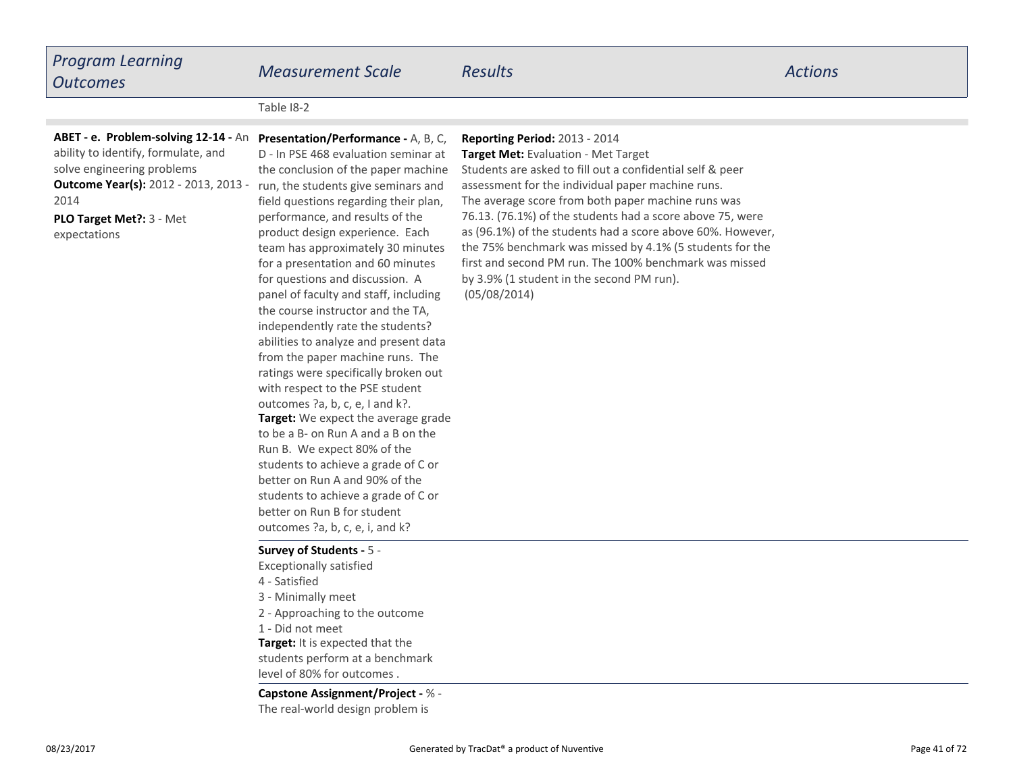# *Program LearningOutcomes*

*Measurement Scale Results Actions*

Table I8-2

### **ABET - e. Problem-solving 12-14 - An Presentation/Performance - A, B, C,**

**Outcome Year(s):** 2012 - 2013, 2013 - 2014ability to identify, formulate, andsolve engineering problems

**PLO Target Met?:** 3 - Metexpectations

**Target:** We expect the average grade to be a B- on Run A and a B on theRun B. We expect 80% of the students to achieve a grade of C orbetter on Run A and 90% of the students to achieve a grade of C orbetter on Run B for student outcomes ?a, b, c, e, i, and k?D - In PSE 468 evaluation seminar at the conclusion of the paper machine run, the students give seminars and field questions regarding their plan,performance, and results of the product design experience. Each team has approximately 30 minutesfor a presentation and 60 minutesfor questions and discussion. A panel of faculty and staff, includingthe course instructor and the TA,independently rate the students? abilities to analyze and present data from the paper machine runs. The ratings were specifically broken outwith respect to the PSE studentoutcomes ?a, b, c, e, I and k?.

#### **Survey of Students -** 5 -

**Target:** It is expected that the students perform at a benchmarklevel of 80% for outcomes .Exceptionally satisfied4 - Satisfied 3 - Minimally meet2 - Approaching to the outcome1 - Did not meet

#### **Capstone Assignment/Project -** % -

The real-world design problem is

#### **Reporting Period:** 2013 - 2014

 **Target Met:** Evaluation - Met TargetStudents are asked to fill out a confidential self & peerassessment for the individual paper machine runs.The average score from both paper machine runs was 76.13. (76.1%) of the students had a score above 75, were as (96.1%) of the students had a score above 60%. However,the 75% benchmark was missed by 4.1% (5 students for the first and second PM run. The 100% benchmark was missedby 3.9% (1 student in the second PM run).(05/08/2014)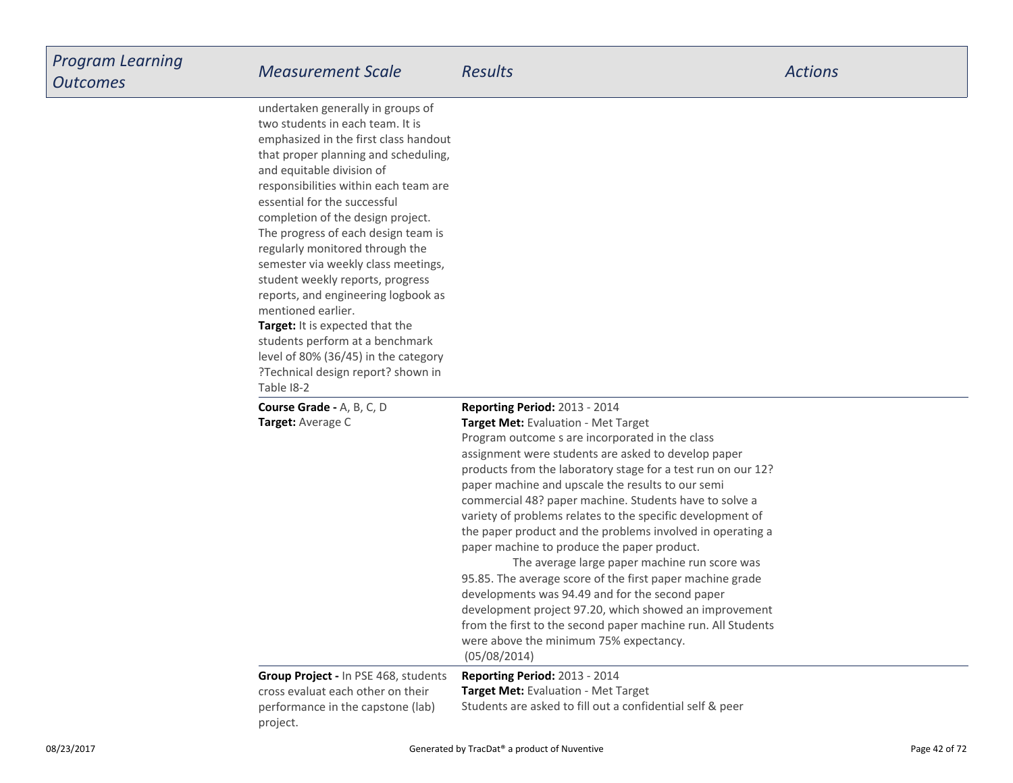| undertaken generally in groups of<br>two students in each team. It is<br>emphasized in the first class handout<br>that proper planning and scheduling,<br>and equitable division of<br>responsibilities within each team are<br>essential for the successful<br>completion of the design project.<br>The progress of each design team is<br>regularly monitored through the<br>semester via weekly class meetings,<br>student weekly reports, progress<br>reports, and engineering logbook as<br>mentioned earlier.<br><b>Target:</b> It is expected that the<br>students perform at a benchmark<br>level of 80% (36/45) in the category<br>?Technical design report? shown in<br>Table 18-2 |                                                                                                                                                                                                                                                                                                                                                                                                                                                                                                                                                                                                                                                                                                                                                                                                                                                                                               |
|----------------------------------------------------------------------------------------------------------------------------------------------------------------------------------------------------------------------------------------------------------------------------------------------------------------------------------------------------------------------------------------------------------------------------------------------------------------------------------------------------------------------------------------------------------------------------------------------------------------------------------------------------------------------------------------------|-----------------------------------------------------------------------------------------------------------------------------------------------------------------------------------------------------------------------------------------------------------------------------------------------------------------------------------------------------------------------------------------------------------------------------------------------------------------------------------------------------------------------------------------------------------------------------------------------------------------------------------------------------------------------------------------------------------------------------------------------------------------------------------------------------------------------------------------------------------------------------------------------|
| Course Grade - A, B, C, D<br>Target: Average C                                                                                                                                                                                                                                                                                                                                                                                                                                                                                                                                                                                                                                               | Reporting Period: 2013 - 2014<br>Target Met: Evaluation - Met Target<br>Program outcome s are incorporated in the class<br>assignment were students are asked to develop paper<br>products from the laboratory stage for a test run on our 12?<br>paper machine and upscale the results to our semi<br>commercial 48? paper machine. Students have to solve a<br>variety of problems relates to the specific development of<br>the paper product and the problems involved in operating a<br>paper machine to produce the paper product.<br>The average large paper machine run score was<br>95.85. The average score of the first paper machine grade<br>developments was 94.49 and for the second paper<br>development project 97.20, which showed an improvement<br>from the first to the second paper machine run. All Students<br>were above the minimum 75% expectancy.<br>(05/08/2014) |
| Group Project - In PSE 468, students<br>cross evaluat each other on their<br>performance in the capstone (lab)<br>project.                                                                                                                                                                                                                                                                                                                                                                                                                                                                                                                                                                   | Reporting Period: 2013 - 2014<br>Target Met: Evaluation - Met Target<br>Students are asked to fill out a confidential self & peer                                                                                                                                                                                                                                                                                                                                                                                                                                                                                                                                                                                                                                                                                                                                                             |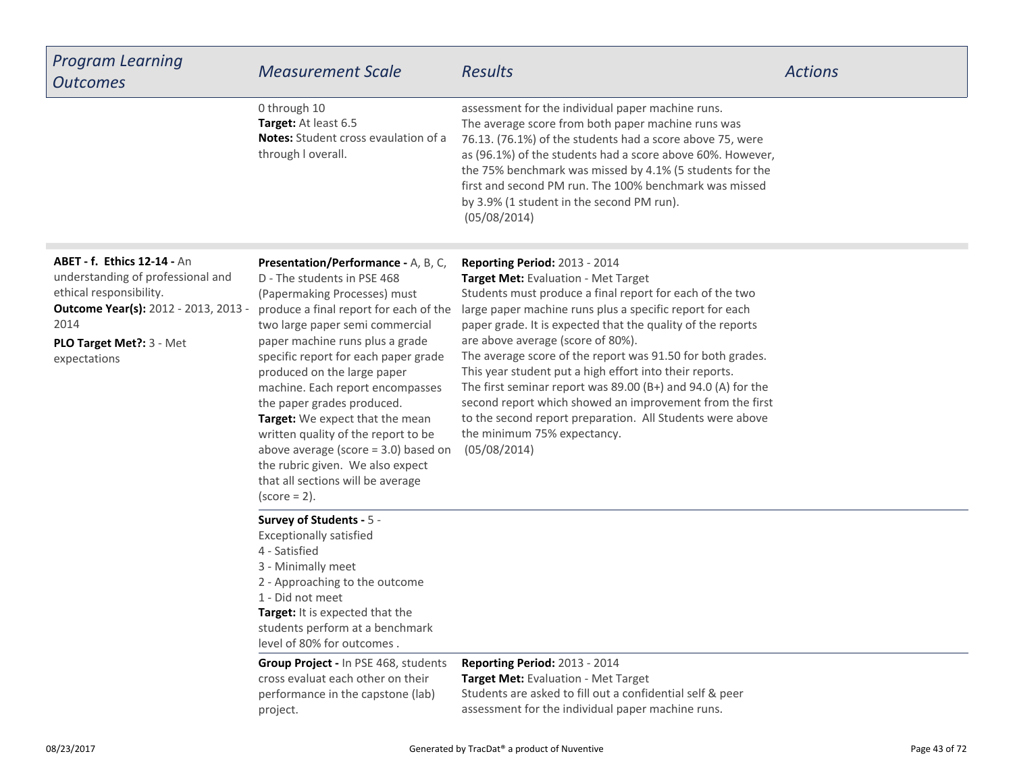| <b>Program Learning</b><br><b>Outcomes</b>                                                                                                                                                             | <b>Measurement Scale</b>                                                                                                                                                                                                                                                                                                                                                                                                                                                                                                                                                    | <b>Results</b>                                                                                                                                                                                                                                                                                                                                                                                                                                                                                                                                                                                                                                                               | <b>Actions</b> |
|--------------------------------------------------------------------------------------------------------------------------------------------------------------------------------------------------------|-----------------------------------------------------------------------------------------------------------------------------------------------------------------------------------------------------------------------------------------------------------------------------------------------------------------------------------------------------------------------------------------------------------------------------------------------------------------------------------------------------------------------------------------------------------------------------|------------------------------------------------------------------------------------------------------------------------------------------------------------------------------------------------------------------------------------------------------------------------------------------------------------------------------------------------------------------------------------------------------------------------------------------------------------------------------------------------------------------------------------------------------------------------------------------------------------------------------------------------------------------------------|----------------|
|                                                                                                                                                                                                        | 0 through 10<br>Target: At least 6.5<br><b>Notes:</b> Student cross evaulation of a<br>through I overall.                                                                                                                                                                                                                                                                                                                                                                                                                                                                   | assessment for the individual paper machine runs.<br>The average score from both paper machine runs was<br>76.13. (76.1%) of the students had a score above 75, were<br>as (96.1%) of the students had a score above 60%. However,<br>the 75% benchmark was missed by 4.1% (5 students for the<br>first and second PM run. The 100% benchmark was missed<br>by 3.9% (1 student in the second PM run).<br>(05/08/2014)                                                                                                                                                                                                                                                        |                |
| <b>ABET - f. Ethics 12-14 - An</b><br>understanding of professional and<br>ethical responsibility.<br><b>Outcome Year(s):</b> 2012 - 2013, 2013 -<br>2014<br>PLO Target Met ?: 3 - Met<br>expectations | Presentation/Performance - A, B, C,<br>D - The students in PSE 468<br>(Papermaking Processes) must<br>produce a final report for each of the<br>two large paper semi commercial<br>paper machine runs plus a grade<br>specific report for each paper grade<br>produced on the large paper<br>machine. Each report encompasses<br>the paper grades produced.<br>Target: We expect that the mean<br>written quality of the report to be<br>above average (score $=$ 3.0) based on<br>the rubric given. We also expect<br>that all sections will be average<br>$(score = 2)$ . | Reporting Period: 2013 - 2014<br><b>Target Met: Evaluation - Met Target</b><br>Students must produce a final report for each of the two<br>large paper machine runs plus a specific report for each<br>paper grade. It is expected that the quality of the reports<br>are above average (score of 80%).<br>The average score of the report was 91.50 for both grades.<br>This year student put a high effort into their reports.<br>The first seminar report was $89.00$ (B+) and $94.0$ (A) for the<br>second report which showed an improvement from the first<br>to the second report preparation. All Students were above<br>the minimum 75% expectancy.<br>(05/08/2014) |                |
|                                                                                                                                                                                                        | Survey of Students - 5 -<br><b>Exceptionally satisfied</b><br>4 - Satisfied<br>3 - Minimally meet<br>2 - Approaching to the outcome<br>1 - Did not meet<br>Target: It is expected that the<br>students perform at a benchmark<br>level of 80% for outcomes.                                                                                                                                                                                                                                                                                                                 |                                                                                                                                                                                                                                                                                                                                                                                                                                                                                                                                                                                                                                                                              |                |
|                                                                                                                                                                                                        | <b>Group Project - In PSE 468, students</b><br>cross evaluat each other on their<br>performance in the capstone (lab)<br>project.                                                                                                                                                                                                                                                                                                                                                                                                                                           | Reporting Period: 2013 - 2014<br>Target Met: Evaluation - Met Target<br>Students are asked to fill out a confidential self & peer<br>assessment for the individual paper machine runs.                                                                                                                                                                                                                                                                                                                                                                                                                                                                                       |                |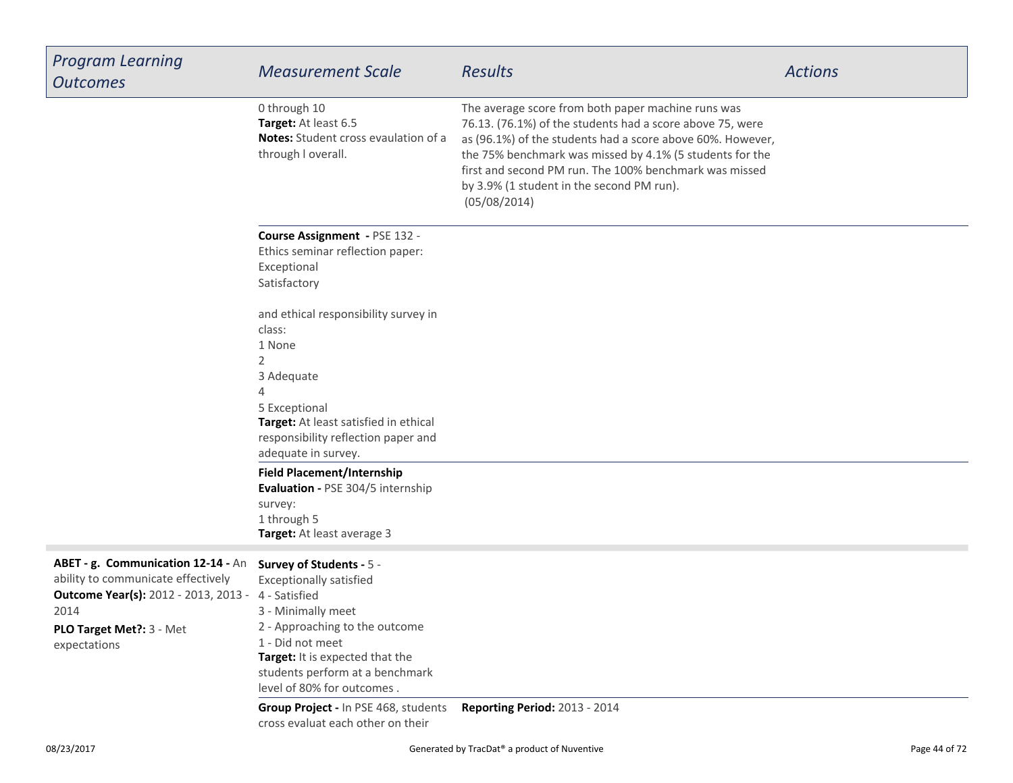| <b>Program Learning</b><br><b>Outcomes</b>                                                                                                                                   | <b>Measurement Scale</b>                                                                                                                                                                                                                                    | <b>Results</b>                                                                                                                                                                                                                                                                                                                                                   | <b>Actions</b> |
|------------------------------------------------------------------------------------------------------------------------------------------------------------------------------|-------------------------------------------------------------------------------------------------------------------------------------------------------------------------------------------------------------------------------------------------------------|------------------------------------------------------------------------------------------------------------------------------------------------------------------------------------------------------------------------------------------------------------------------------------------------------------------------------------------------------------------|----------------|
|                                                                                                                                                                              | 0 through 10<br>Target: At least 6.5<br><b>Notes:</b> Student cross evaulation of a<br>through I overall.                                                                                                                                                   | The average score from both paper machine runs was<br>76.13. (76.1%) of the students had a score above 75, were<br>as (96.1%) of the students had a score above 60%. However,<br>the 75% benchmark was missed by 4.1% (5 students for the<br>first and second PM run. The 100% benchmark was missed<br>by 3.9% (1 student in the second PM run).<br>(05/08/2014) |                |
|                                                                                                                                                                              | Course Assignment - PSE 132 -<br>Ethics seminar reflection paper:<br>Exceptional<br>Satisfactory                                                                                                                                                            |                                                                                                                                                                                                                                                                                                                                                                  |                |
|                                                                                                                                                                              | and ethical responsibility survey in<br>class:<br>1 None<br>2                                                                                                                                                                                               |                                                                                                                                                                                                                                                                                                                                                                  |                |
|                                                                                                                                                                              | 3 Adequate<br>$\Delta$<br>5 Exceptional<br>Target: At least satisfied in ethical<br>responsibility reflection paper and<br>adequate in survey.                                                                                                              |                                                                                                                                                                                                                                                                                                                                                                  |                |
|                                                                                                                                                                              | <b>Field Placement/Internship</b><br>Evaluation - PSE 304/5 internship<br>survey:<br>1 through 5<br>Target: At least average 3                                                                                                                              |                                                                                                                                                                                                                                                                                                                                                                  |                |
| ABET - g. Communication 12-14 - An<br>ability to communicate effectively<br><b>Outcome Year(s):</b> 2012 - 2013, 2013 -<br>2014<br>PLO Target Met ?: 3 - Met<br>expectations | Survey of Students - 5 -<br><b>Exceptionally satisfied</b><br>4 - Satisfied<br>3 - Minimally meet<br>2 - Approaching to the outcome<br>1 - Did not meet<br>Target: It is expected that the<br>students perform at a benchmark<br>level of 80% for outcomes. |                                                                                                                                                                                                                                                                                                                                                                  |                |
|                                                                                                                                                                              | Group Project - In PSE 468, students<br>cross evaluat each other on their                                                                                                                                                                                   | Reporting Period: 2013 - 2014                                                                                                                                                                                                                                                                                                                                    |                |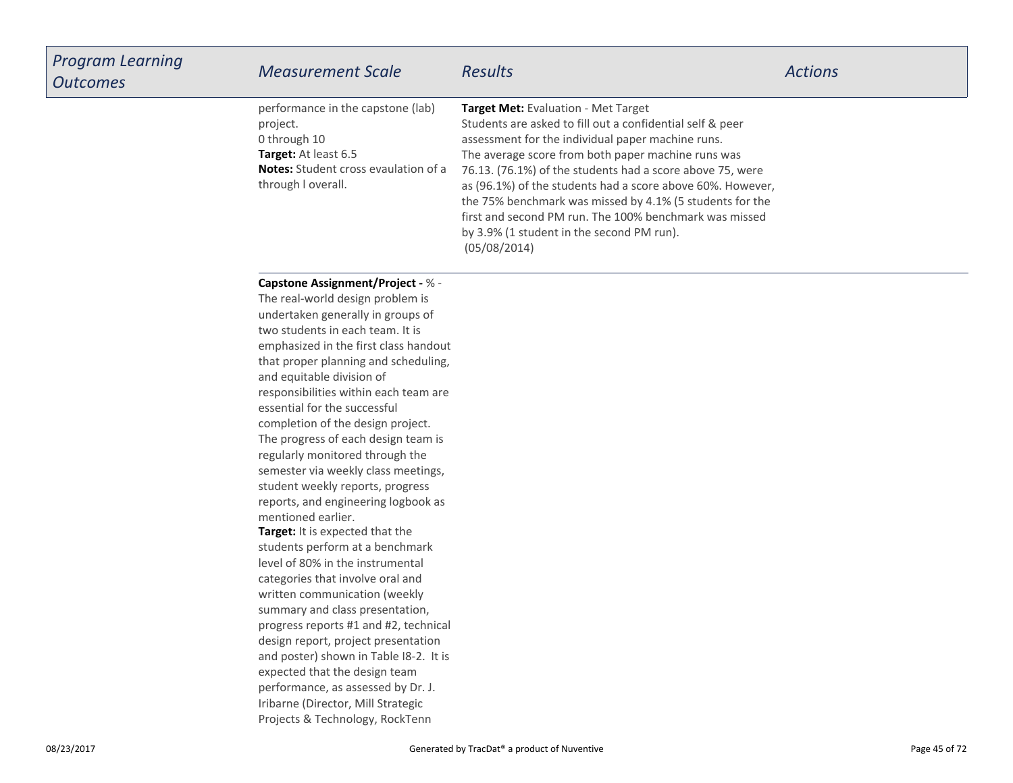| <b>Program Learning</b><br><b>Outcomes</b> | <b>Measurement Scale</b>                                                                                                                                                                                                                                                                                                                                                          | <b>Results</b>                                                                                                                                                                                                                                                                                                                                                                                                                                                                                                            | <b>Actions</b> |
|--------------------------------------------|-----------------------------------------------------------------------------------------------------------------------------------------------------------------------------------------------------------------------------------------------------------------------------------------------------------------------------------------------------------------------------------|---------------------------------------------------------------------------------------------------------------------------------------------------------------------------------------------------------------------------------------------------------------------------------------------------------------------------------------------------------------------------------------------------------------------------------------------------------------------------------------------------------------------------|----------------|
|                                            | performance in the capstone (lab)<br>project.<br>0 through 10<br>Target: At least 6.5<br><b>Notes:</b> Student cross evaulation of a<br>through I overall.                                                                                                                                                                                                                        | Target Met: Evaluation - Met Target<br>Students are asked to fill out a confidential self & peer<br>assessment for the individual paper machine runs.<br>The average score from both paper machine runs was<br>76.13. (76.1%) of the students had a score above 75, were<br>as (96.1%) of the students had a score above 60%. However,<br>the 75% benchmark was missed by 4.1% (5 students for the<br>first and second PM run. The 100% benchmark was missed<br>by 3.9% (1 student in the second PM run).<br>(05/08/2014) |                |
|                                            | <b>Capstone Assignment/Project - % -</b><br>The real-world design problem is<br>undertaken generally in groups of<br>two students in each team. It is<br>emphasized in the first class handout<br>that proper planning and scheduling,<br>and equitable division of<br>responsibilities within each team are<br>essential for the successful<br>completion of the design project. |                                                                                                                                                                                                                                                                                                                                                                                                                                                                                                                           |                |

**Target:** It is expected that the students perform at a benchmarklevel of 80% in the instrumentalcategories that involve oral and written communication (weekly summary and class presentation, progress reports #1 and #2, technicaldesign report, project presentation and poster) shown in Table I8-2. It isexpected that the design team performance, as assessed by Dr. J.Iribarne (Director, Mill StrategicProjects & Technology, RockTenn

mentioned earlier.

The progress of each design team isregularly monitored through the semester via weekly class meetings,student weekly reports, progressreports, and engineering logbook as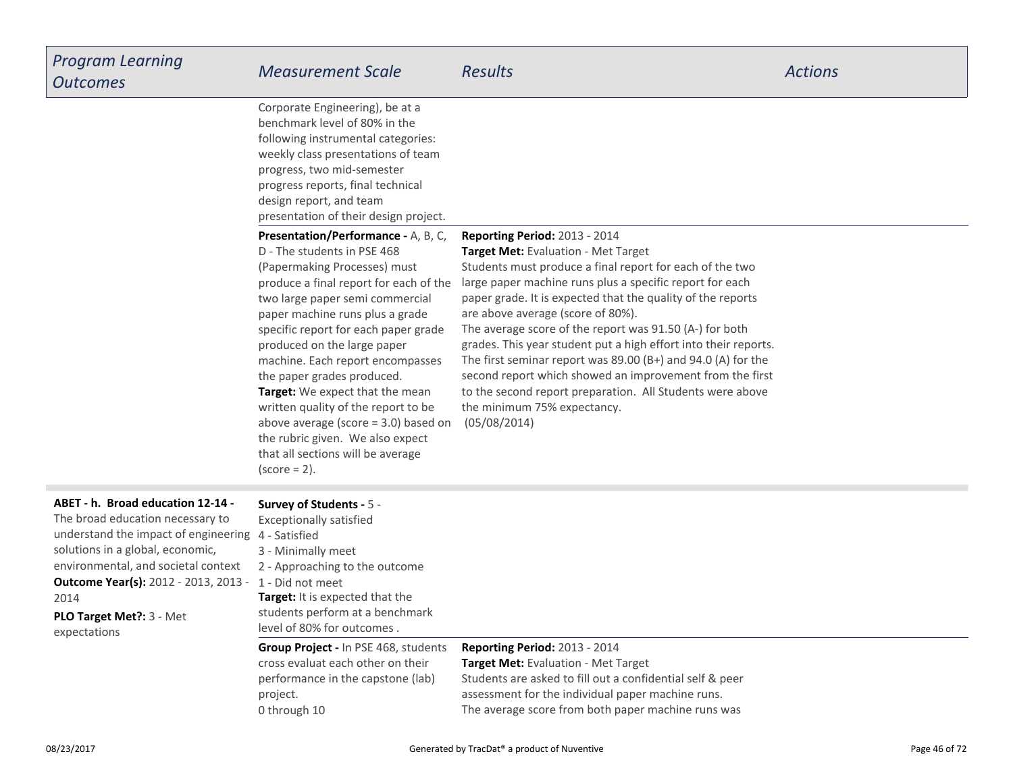| <b>Program Learning</b><br><b>Outcomes</b>                                                                                                                                                                                                                                                                                  | <b>Measurement Scale</b>                                                                                                                                                                                                                                                                                                                                                                                                                                                                                                                                                           | <b>Results</b>                                                                                                                                                                                                                                                                                                                                                                                                                                                                                                                                                                                                                                                                    | <b>Actions</b> |
|-----------------------------------------------------------------------------------------------------------------------------------------------------------------------------------------------------------------------------------------------------------------------------------------------------------------------------|------------------------------------------------------------------------------------------------------------------------------------------------------------------------------------------------------------------------------------------------------------------------------------------------------------------------------------------------------------------------------------------------------------------------------------------------------------------------------------------------------------------------------------------------------------------------------------|-----------------------------------------------------------------------------------------------------------------------------------------------------------------------------------------------------------------------------------------------------------------------------------------------------------------------------------------------------------------------------------------------------------------------------------------------------------------------------------------------------------------------------------------------------------------------------------------------------------------------------------------------------------------------------------|----------------|
|                                                                                                                                                                                                                                                                                                                             | Corporate Engineering), be at a<br>benchmark level of 80% in the<br>following instrumental categories:<br>weekly class presentations of team<br>progress, two mid-semester<br>progress reports, final technical<br>design report, and team<br>presentation of their design project.                                                                                                                                                                                                                                                                                                |                                                                                                                                                                                                                                                                                                                                                                                                                                                                                                                                                                                                                                                                                   |                |
|                                                                                                                                                                                                                                                                                                                             | <b>Presentation/Performance - A, B, C,</b><br>D - The students in PSE 468<br>(Papermaking Processes) must<br>produce a final report for each of the<br>two large paper semi commercial<br>paper machine runs plus a grade<br>specific report for each paper grade<br>produced on the large paper<br>machine. Each report encompasses<br>the paper grades produced.<br>Target: We expect that the mean<br>written quality of the report to be<br>above average (score $=$ 3.0) based on<br>the rubric given. We also expect<br>that all sections will be average<br>$(score = 2)$ . | <b>Reporting Period: 2013 - 2014</b><br>Target Met: Evaluation - Met Target<br>Students must produce a final report for each of the two<br>large paper machine runs plus a specific report for each<br>paper grade. It is expected that the quality of the reports<br>are above average (score of 80%).<br>The average score of the report was 91.50 (A-) for both<br>grades. This year student put a high effort into their reports.<br>The first seminar report was $89.00$ (B+) and $94.0$ (A) for the<br>second report which showed an improvement from the first<br>to the second report preparation. All Students were above<br>the minimum 75% expectancy.<br>(05/08/2014) |                |
| ABET - h. Broad education 12-14 -<br>The broad education necessary to<br>understand the impact of engineering 4 - Satisfied<br>solutions in a global, economic,<br>environmental, and societal context<br><b>Outcome Year(s):</b> 2012 - 2013, 2013 - 1 - Did not meet<br>2014<br>PLO Target Met ?: 3 - Met<br>expectations | Survey of Students - 5 -<br><b>Exceptionally satisfied</b><br>3 - Minimally meet<br>2 - Approaching to the outcome<br>Target: It is expected that the<br>students perform at a benchmark<br>level of 80% for outcomes.                                                                                                                                                                                                                                                                                                                                                             |                                                                                                                                                                                                                                                                                                                                                                                                                                                                                                                                                                                                                                                                                   |                |
|                                                                                                                                                                                                                                                                                                                             | <b>Group Project - In PSE 468, students</b><br>cross evaluat each other on their<br>performance in the capstone (lab)<br>project.<br>0 through 10                                                                                                                                                                                                                                                                                                                                                                                                                                  | Reporting Period: 2013 - 2014<br>Target Met: Evaluation - Met Target<br>Students are asked to fill out a confidential self & peer<br>assessment for the individual paper machine runs.<br>The average score from both paper machine runs was                                                                                                                                                                                                                                                                                                                                                                                                                                      |                |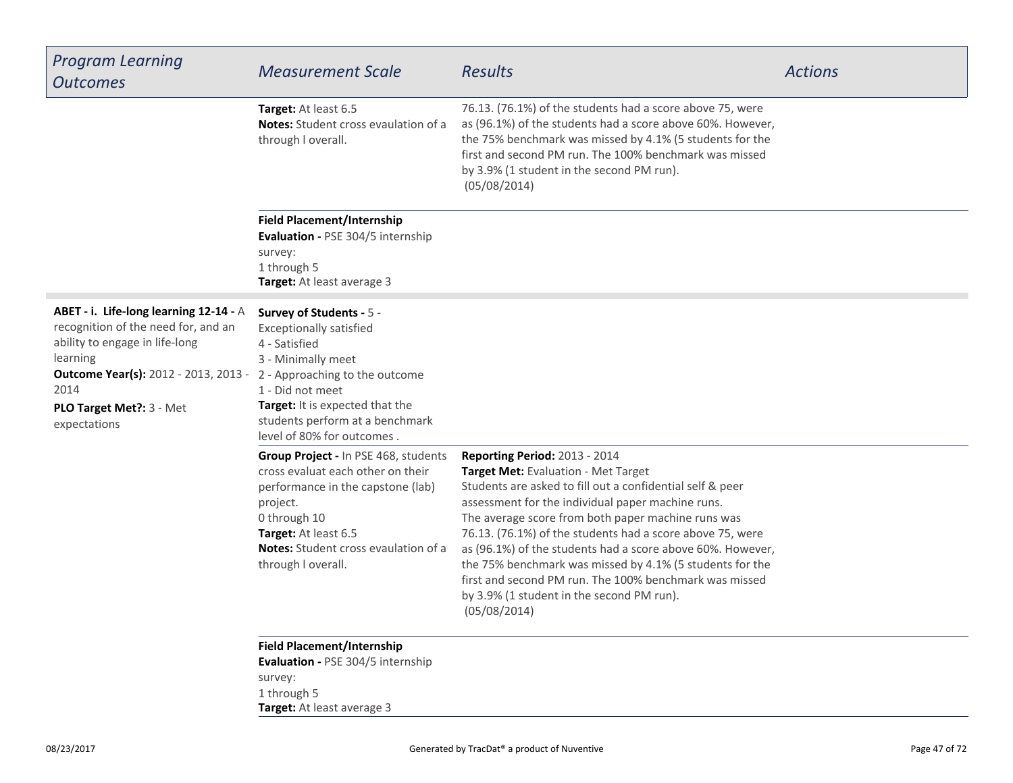| <b>Program Learning</b><br><b>Outcomes</b>                                                                                                                                                                                      | <b>Measurement Scale</b>                                                                                                                                                                                                                                    | <b>Results</b>                                                                                                                                                                                                                                                                                                                                                                                                                                                                                                                                             | <b>Actions</b> |
|---------------------------------------------------------------------------------------------------------------------------------------------------------------------------------------------------------------------------------|-------------------------------------------------------------------------------------------------------------------------------------------------------------------------------------------------------------------------------------------------------------|------------------------------------------------------------------------------------------------------------------------------------------------------------------------------------------------------------------------------------------------------------------------------------------------------------------------------------------------------------------------------------------------------------------------------------------------------------------------------------------------------------------------------------------------------------|----------------|
|                                                                                                                                                                                                                                 | Target: At least 6.5<br><b>Notes:</b> Student cross evaulation of a<br>through I overall.                                                                                                                                                                   | 76.13. (76.1%) of the students had a score above 75, were<br>as (96.1%) of the students had a score above 60%. However,<br>the 75% benchmark was missed by 4.1% (5 students for the<br>first and second PM run. The 100% benchmark was missed<br>by 3.9% (1 student in the second PM run).<br>(05/08/2014)                                                                                                                                                                                                                                                 |                |
|                                                                                                                                                                                                                                 | <b>Field Placement/Internship</b><br>Evaluation - PSE 304/5 internship<br>survey:<br>1 through 5<br>Target: At least average 3                                                                                                                              |                                                                                                                                                                                                                                                                                                                                                                                                                                                                                                                                                            |                |
| ABET - i. Life-long learning 12-14 - A<br>recognition of the need for, and an<br>ability to engage in life-long<br>learning<br><b>Outcome Year(s):</b> 2012 - 2013, 2013 -<br>2014<br>PLO Target Met ?: 3 - Met<br>expectations | Survey of Students - 5 -<br><b>Exceptionally satisfied</b><br>4 - Satisfied<br>3 - Minimally meet<br>2 - Approaching to the outcome<br>1 - Did not meet<br>Target: It is expected that the<br>students perform at a benchmark<br>level of 80% for outcomes. |                                                                                                                                                                                                                                                                                                                                                                                                                                                                                                                                                            |                |
|                                                                                                                                                                                                                                 | Group Project - In PSE 468, students<br>cross evaluat each other on their<br>performance in the capstone (lab)<br>project.<br>0 through 10<br>Target: At least 6.5<br><b>Notes:</b> Student cross evaulation of a<br>through I overall.                     | Reporting Period: 2013 - 2014<br>Target Met: Evaluation - Met Target<br>Students are asked to fill out a confidential self & peer<br>assessment for the individual paper machine runs.<br>The average score from both paper machine runs was<br>76.13. (76.1%) of the students had a score above 75, were<br>as (96.1%) of the students had a score above 60%. However,<br>the 75% benchmark was missed by 4.1% (5 students for the<br>first and second PM run. The 100% benchmark was missed<br>by 3.9% (1 student in the second PM run).<br>(05/08/2014) |                |
|                                                                                                                                                                                                                                 | <b>Field Placement/Internship</b><br>Evaluation - PSE 304/5 internship<br>survey:<br>1 through 5<br>Target: At least average 3                                                                                                                              |                                                                                                                                                                                                                                                                                                                                                                                                                                                                                                                                                            |                |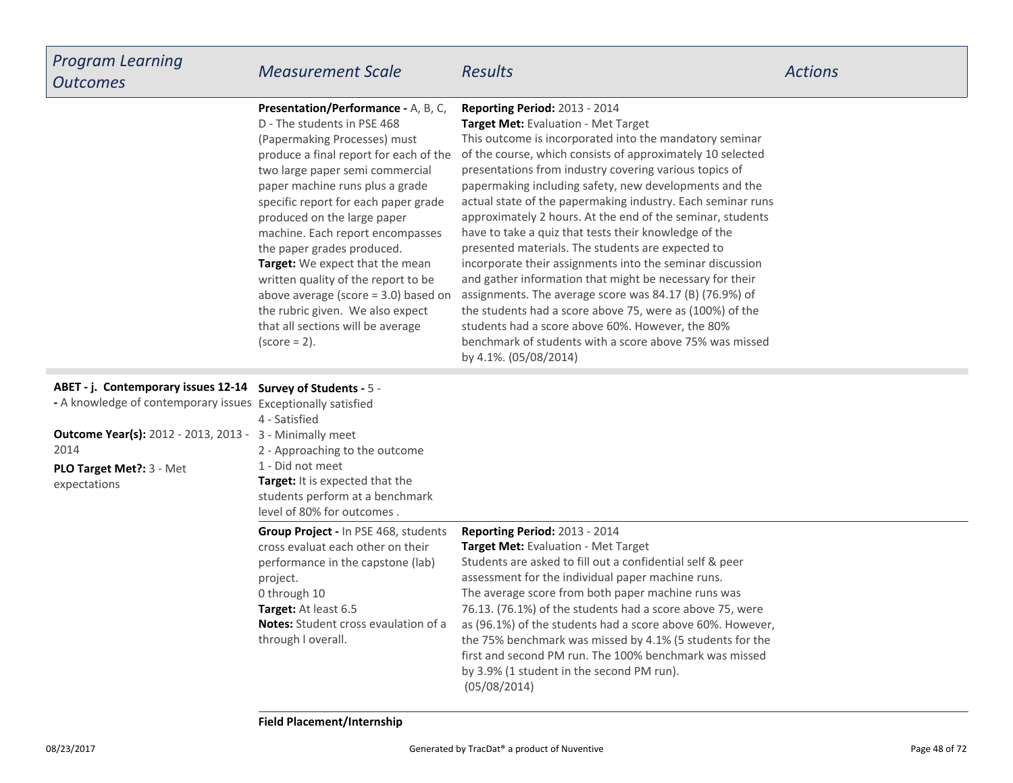### **Presentation/Performance -** A, B, C,

D - The students in PSE 468

**Target:** We expect that the mean written quality of the report to be above average (score = 3.0) based onthe rubric given. We also expectthat all sections will be average $(score = 2)$ . (Papermaking Processes) must produce a final report for each of thetwo large paper semi commercialpaper machine runs plus a grade specific report for each paper gradeproduced on the large paper machine. Each report encompassesthe paper grades produced.

## **Reporting Period:** 2013 - 2014

#### **Target Met:** Evaluation - Met Target

 This outcome is incorporated into the mandatory seminar of the course, which consists of approximately 10 selectedpresentations from industry covering various topics ofpapermaking including safety, new developments and the actual state of the papermaking industry. Each seminar runs approximately 2 hours. At the end of the seminar, studentshave to take a quiz that tests their knowledge of thepresented materials. The students are expected to incorporate their assignments into the seminar discussion and gather information that might be necessary for their assignments. The average score was 84.17 (B) (76.9%) of the students had a score above 75, were as (100%) of thestudents had a score above 60%. However, the 80% benchmark of students with a score above 75% was missedby 4.1%. (05/08/2014)

#### **ABET - j. Contemporary issues 12-14 Survey of Students -** 5 -

| - A knowledge of contemporary issues Exceptionally satisfied |                                                                                                                                                                     |
|--------------------------------------------------------------|---------------------------------------------------------------------------------------------------------------------------------------------------------------------|
|                                                              |                                                                                                                                                                     |
|                                                              |                                                                                                                                                                     |
| 2 - Approaching to the outcome                               |                                                                                                                                                                     |
| 1 - Did not meet                                             |                                                                                                                                                                     |
| <b>Target:</b> It is expected that the                       |                                                                                                                                                                     |
|                                                              |                                                                                                                                                                     |
| level of 80% for outcomes.                                   |                                                                                                                                                                     |
| Group Project - In PSE 468, students                         | <b>Reporting Period: 2013 - 2014</b>                                                                                                                                |
| cross evaluat each other on their                            | <b>Target Met: Evaluation - Met Target</b>                                                                                                                          |
|                                                              | Students are asked to fill out a confidential self & peer                                                                                                           |
|                                                              | assessment for the individual paper machine runs.                                                                                                                   |
| 0 through 10                                                 | The average score from both paper machine runs was                                                                                                                  |
| <b>Target:</b> At least 6.5                                  | 76.13. (76.1%) of the students had a score above 75, were                                                                                                           |
| <b>Notes:</b> Student cross evaulation of a                  | as (96.1%) of the students had a score above 60%. However,                                                                                                          |
| through I overall.                                           | the 75% benchmark was missed by 4.1% (5 students for the                                                                                                            |
|                                                              | first and second PM run. The 100% benchmark was missed                                                                                                              |
|                                                              | by 3.9% (1 student in the second PM run).                                                                                                                           |
|                                                              | (05/08/2014)                                                                                                                                                        |
|                                                              | 4 - Satisfied<br><b>Outcome Year(s):</b> 2012 - 2013, 2013 - 3 - Minimally meet<br>students perform at a benchmark<br>performance in the capstone (lab)<br>project. |

**Field Placement/Internship**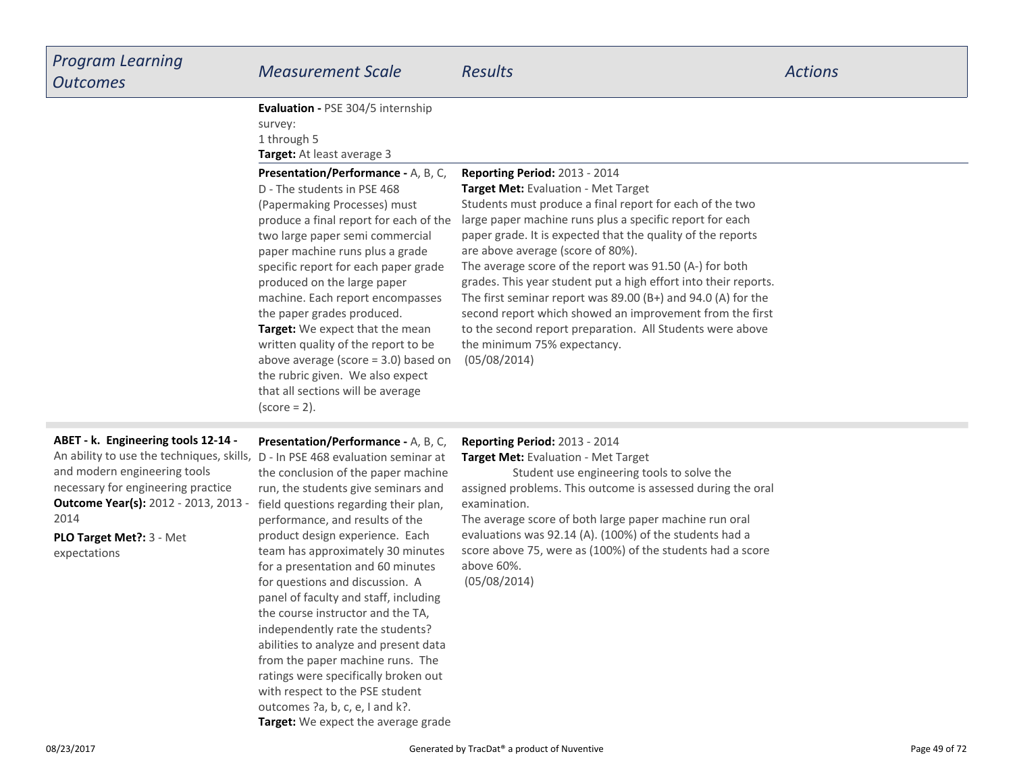| <b>Program Learning</b><br><b>Outcomes</b>                                                                                                                                                                                                                                               | <b>Measurement Scale</b>                                                                                                                                                                                                                                                                                                                                                                                                                                                                                                                                                             | <b>Results</b>                                                                                                                                                                                                                                                                                                                                                                                                                                                                                                                                                                                                                                                             | <b>Actions</b> |
|------------------------------------------------------------------------------------------------------------------------------------------------------------------------------------------------------------------------------------------------------------------------------------------|--------------------------------------------------------------------------------------------------------------------------------------------------------------------------------------------------------------------------------------------------------------------------------------------------------------------------------------------------------------------------------------------------------------------------------------------------------------------------------------------------------------------------------------------------------------------------------------|----------------------------------------------------------------------------------------------------------------------------------------------------------------------------------------------------------------------------------------------------------------------------------------------------------------------------------------------------------------------------------------------------------------------------------------------------------------------------------------------------------------------------------------------------------------------------------------------------------------------------------------------------------------------------|----------------|
|                                                                                                                                                                                                                                                                                          | Evaluation - PSE 304/5 internship<br>survey:<br>1 through 5<br>Target: At least average 3                                                                                                                                                                                                                                                                                                                                                                                                                                                                                            |                                                                                                                                                                                                                                                                                                                                                                                                                                                                                                                                                                                                                                                                            |                |
|                                                                                                                                                                                                                                                                                          | Presentation/Performance - A, B, C,<br>D - The students in PSE 468<br>(Papermaking Processes) must<br>produce a final report for each of the<br>two large paper semi commercial<br>paper machine runs plus a grade<br>specific report for each paper grade<br>produced on the large paper<br>machine. Each report encompasses<br>the paper grades produced.<br>Target: We expect that the mean<br>written quality of the report to be<br>above average (score $=$ 3.0) based on<br>the rubric given. We also expect<br>that all sections will be average<br>$(score = 2)$ .          | Reporting Period: 2013 - 2014<br>Target Met: Evaluation - Met Target<br>Students must produce a final report for each of the two<br>large paper machine runs plus a specific report for each<br>paper grade. It is expected that the quality of the reports<br>are above average (score of 80%).<br>The average score of the report was 91.50 (A-) for both<br>grades. This year student put a high effort into their reports.<br>The first seminar report was $89.00$ (B+) and $94.0$ (A) for the<br>second report which showed an improvement from the first<br>to the second report preparation. All Students were above<br>the minimum 75% expectancy.<br>(05/08/2014) |                |
| ABET - k. Engineering tools 12-14 -<br>An ability to use the techniques, skills, D - In PSE 468 evaluation seminar at<br>and modern engineering tools<br>necessary for engineering practice<br>Outcome Year(s): 2012 - 2013, 2013 -<br>2014<br>PLO Target Met ?: 3 - Met<br>expectations | Presentation/Performance - A, B, C,<br>the conclusion of the paper machine<br>run, the students give seminars and<br>field questions regarding their plan,<br>performance, and results of the<br>product design experience. Each<br>team has approximately 30 minutes<br>for a presentation and 60 minutes<br>for questions and discussion. A<br>panel of faculty and staff, including<br>the course instructor and the TA,<br>independently rate the students?<br>abilities to analyze and present data<br>from the paper machine runs. The<br>ratings were specifically broken out | Reporting Period: 2013 - 2014<br>Target Met: Evaluation - Met Target<br>Student use engineering tools to solve the<br>assigned problems. This outcome is assessed during the oral<br>examination.<br>The average score of both large paper machine run oral<br>evaluations was 92.14 (A). (100%) of the students had a<br>score above 75, were as (100%) of the students had a score<br>above 60%.<br>(05/08/2014)                                                                                                                                                                                                                                                         |                |

**Target:** We expect the average grade

with respect to the PSE studentoutcomes ?a, b, c, e, I and k?.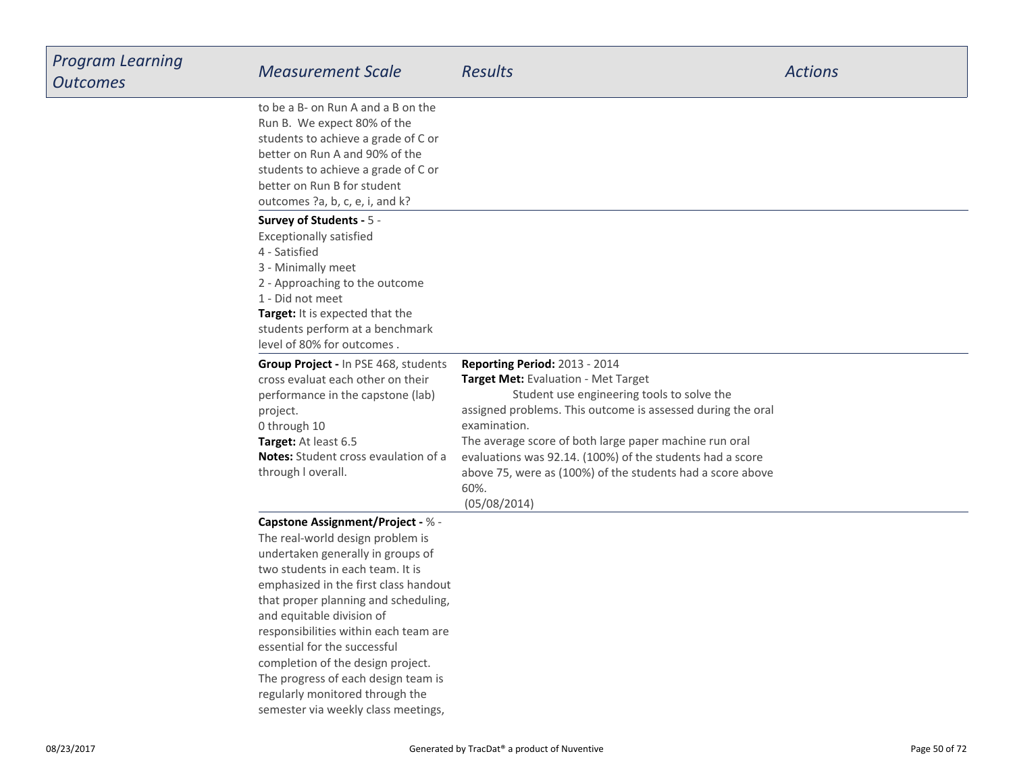| <b>Program Learning</b><br><b>Outcomes</b> | <b>Measurement Scale</b>                                                                                                                                                                                                                                                                                                                                                                                                                                                                           | <b>Results</b>                                                                                                                                                                                                                                                                                                                                                                                                 | <b>Actions</b> |
|--------------------------------------------|----------------------------------------------------------------------------------------------------------------------------------------------------------------------------------------------------------------------------------------------------------------------------------------------------------------------------------------------------------------------------------------------------------------------------------------------------------------------------------------------------|----------------------------------------------------------------------------------------------------------------------------------------------------------------------------------------------------------------------------------------------------------------------------------------------------------------------------------------------------------------------------------------------------------------|----------------|
|                                            | to be a B- on Run A and a B on the<br>Run B. We expect 80% of the<br>students to achieve a grade of C or<br>better on Run A and 90% of the<br>students to achieve a grade of C or<br>better on Run B for student<br>outcomes ?a, b, c, e, i, and k?                                                                                                                                                                                                                                                |                                                                                                                                                                                                                                                                                                                                                                                                                |                |
|                                            | Survey of Students - 5 -<br><b>Exceptionally satisfied</b><br>4 - Satisfied<br>3 - Minimally meet<br>2 - Approaching to the outcome<br>1 - Did not meet<br>Target: It is expected that the<br>students perform at a benchmark<br>level of 80% for outcomes.                                                                                                                                                                                                                                        |                                                                                                                                                                                                                                                                                                                                                                                                                |                |
|                                            | Group Project - In PSE 468, students<br>cross evaluat each other on their<br>performance in the capstone (lab)<br>project.<br>0 through 10<br>Target: At least 6.5<br><b>Notes:</b> Student cross evaulation of a<br>through I overall.                                                                                                                                                                                                                                                            | Reporting Period: 2013 - 2014<br>Target Met: Evaluation - Met Target<br>Student use engineering tools to solve the<br>assigned problems. This outcome is assessed during the oral<br>examination.<br>The average score of both large paper machine run oral<br>evaluations was 92.14. (100%) of the students had a score<br>above 75, were as (100%) of the students had a score above<br>60%.<br>(05/08/2014) |                |
|                                            | <b>Capstone Assignment/Project - % -</b><br>The real-world design problem is<br>undertaken generally in groups of<br>two students in each team. It is<br>emphasized in the first class handout<br>that proper planning and scheduling,<br>and equitable division of<br>responsibilities within each team are<br>essential for the successful<br>completion of the design project.<br>The progress of each design team is<br>regularly monitored through the<br>semester via weekly class meetings, |                                                                                                                                                                                                                                                                                                                                                                                                                |                |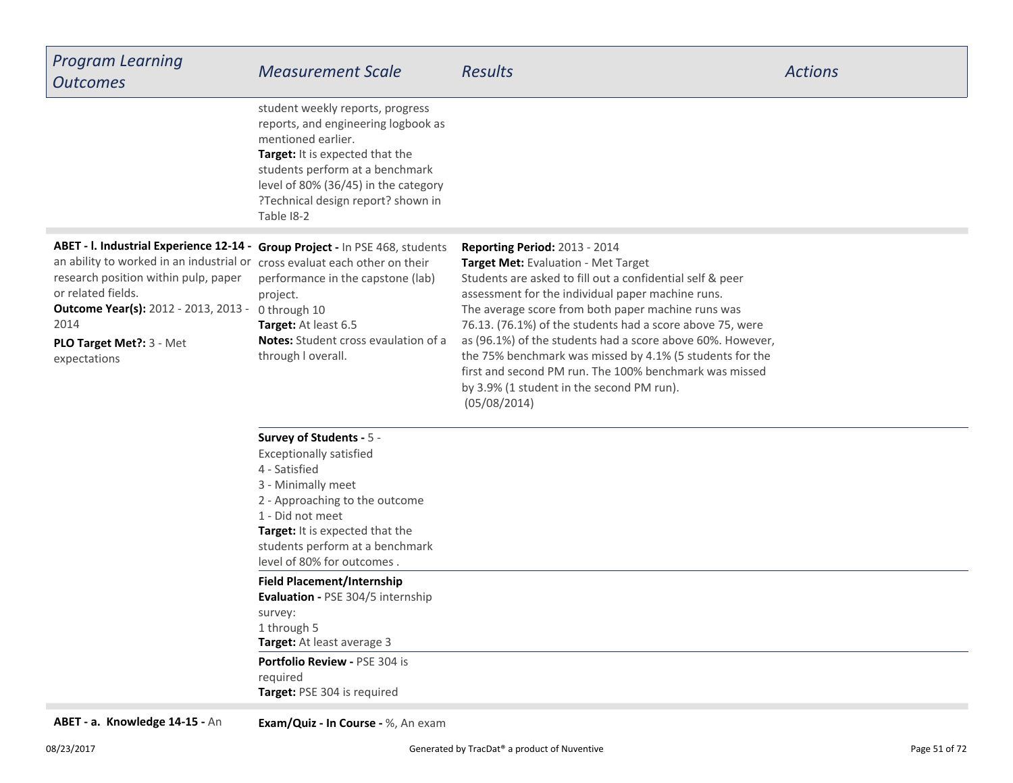| <b>Program Learning</b><br><b>Outcomes</b>                                                                                                                                                                                                                                                           | <b>Measurement Scale</b>                                                                                                                                                                                                                                        | <b>Results</b>                                                                                                                                                                                                                                                                                                                                                                                                                                                                                                                                                    | <b>Actions</b> |
|------------------------------------------------------------------------------------------------------------------------------------------------------------------------------------------------------------------------------------------------------------------------------------------------------|-----------------------------------------------------------------------------------------------------------------------------------------------------------------------------------------------------------------------------------------------------------------|-------------------------------------------------------------------------------------------------------------------------------------------------------------------------------------------------------------------------------------------------------------------------------------------------------------------------------------------------------------------------------------------------------------------------------------------------------------------------------------------------------------------------------------------------------------------|----------------|
|                                                                                                                                                                                                                                                                                                      | student weekly reports, progress<br>reports, and engineering logbook as<br>mentioned earlier.<br>Target: It is expected that the<br>students perform at a benchmark<br>level of 80% (36/45) in the category<br>?Technical design report? shown in<br>Table I8-2 |                                                                                                                                                                                                                                                                                                                                                                                                                                                                                                                                                                   |                |
| ABET - I. Industrial Experience 12-14 -<br>an ability to worked in an industrial or cross evaluat each other on their<br>research position within pulp, paper<br>or related fields.<br><b>Outcome Year(s):</b> 2012 - 2013, 2013 - 0 through 10<br>2014<br>PLO Target Met ?: 3 - Met<br>expectations | Group Project - In PSE 468, students<br>performance in the capstone (lab)<br>project.<br>Target: At least 6.5<br><b>Notes:</b> Student cross evaulation of a<br>through I overall.                                                                              | <b>Reporting Period: 2013 - 2014</b><br>Target Met: Evaluation - Met Target<br>Students are asked to fill out a confidential self & peer<br>assessment for the individual paper machine runs.<br>The average score from both paper machine runs was<br>76.13. (76.1%) of the students had a score above 75, were<br>as (96.1%) of the students had a score above 60%. However,<br>the 75% benchmark was missed by 4.1% (5 students for the<br>first and second PM run. The 100% benchmark was missed<br>by 3.9% (1 student in the second PM run).<br>(05/08/2014) |                |
|                                                                                                                                                                                                                                                                                                      | Survey of Students - 5 -<br><b>Exceptionally satisfied</b><br>4 - Satisfied<br>3 - Minimally meet<br>2 - Approaching to the outcome<br>1 - Did not meet<br>Target: It is expected that the<br>students perform at a benchmark<br>level of 80% for outcomes.     |                                                                                                                                                                                                                                                                                                                                                                                                                                                                                                                                                                   |                |
|                                                                                                                                                                                                                                                                                                      | <b>Field Placement/Internship</b><br>Evaluation - PSE 304/5 internship<br>survey:<br>1 through 5<br>Target: At least average 3                                                                                                                                  |                                                                                                                                                                                                                                                                                                                                                                                                                                                                                                                                                                   |                |
|                                                                                                                                                                                                                                                                                                      | Portfolio Review - PSE 304 is<br>required<br>Target: PSE 304 is required                                                                                                                                                                                        |                                                                                                                                                                                                                                                                                                                                                                                                                                                                                                                                                                   |                |
| ABET - a. Knowledge 14-15 - An                                                                                                                                                                                                                                                                       | Exam/Quiz - In Course - %, An exam                                                                                                                                                                                                                              |                                                                                                                                                                                                                                                                                                                                                                                                                                                                                                                                                                   |                |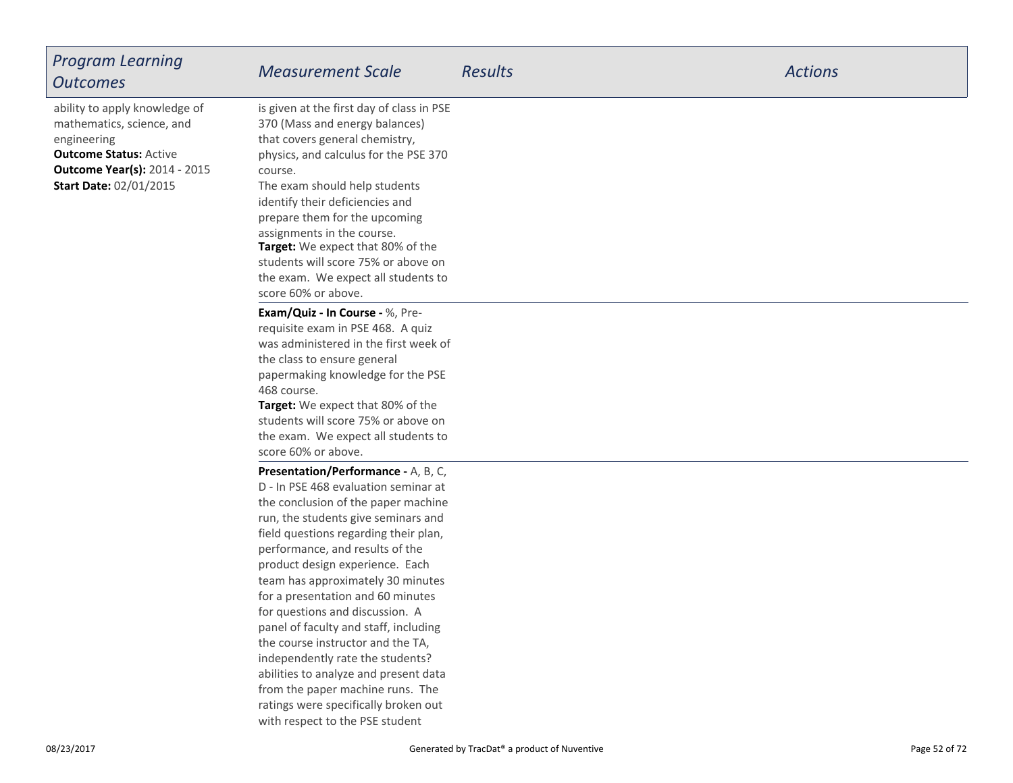| <b>Program Learning</b><br><b>Outcomes</b>                                                                                                                                         | <b>Measurement Scale</b>                                                                                                                                                                                                                                                                                                                                                                                                                                                                                                                                                             | <b>Results</b> | <b>Actions</b> |
|------------------------------------------------------------------------------------------------------------------------------------------------------------------------------------|--------------------------------------------------------------------------------------------------------------------------------------------------------------------------------------------------------------------------------------------------------------------------------------------------------------------------------------------------------------------------------------------------------------------------------------------------------------------------------------------------------------------------------------------------------------------------------------|----------------|----------------|
| ability to apply knowledge of<br>mathematics, science, and<br>engineering<br><b>Outcome Status: Active</b><br><b>Outcome Year(s): 2014 - 2015</b><br><b>Start Date: 02/01/2015</b> | is given at the first day of class in PSE<br>370 (Mass and energy balances)<br>that covers general chemistry,<br>physics, and calculus for the PSE 370<br>course.<br>The exam should help students<br>identify their deficiencies and<br>prepare them for the upcoming<br>assignments in the course.<br>Target: We expect that 80% of the<br>students will score 75% or above on<br>the exam. We expect all students to<br>score 60% or above.                                                                                                                                       |                |                |
|                                                                                                                                                                                    | Exam/Quiz - In Course - %, Pre-<br>requisite exam in PSE 468. A quiz<br>was administered in the first week of<br>the class to ensure general<br>papermaking knowledge for the PSE<br>468 course.<br>Target: We expect that 80% of the<br>students will score 75% or above on<br>the exam. We expect all students to<br>score 60% or above.                                                                                                                                                                                                                                           |                |                |
|                                                                                                                                                                                    | Presentation/Performance - A, B, C,<br>D - In PSE 468 evaluation seminar at<br>the conclusion of the paper machine<br>run, the students give seminars and<br>field questions regarding their plan,<br>performance, and results of the<br>product design experience. Each<br>team has approximately 30 minutes<br>for a presentation and 60 minutes<br>for questions and discussion. A<br>panel of faculty and staff, including<br>the course instructor and the TA,<br>independently rate the students?<br>abilities to analyze and present data<br>from the paper machine runs. The |                |                |

 ratings were specifically broken outwith respect to the PSE student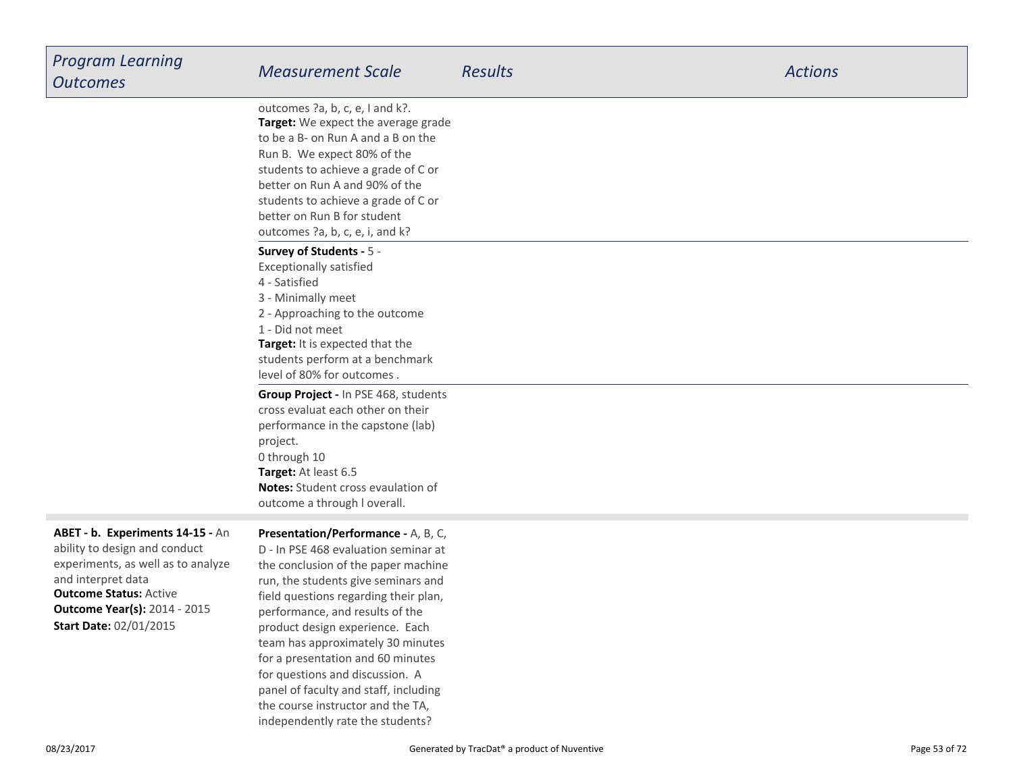| <b>Program Learning</b><br><b>Outcomes</b>                                                                                                                                                                                             | <b>Measurement Scale</b>                                                                                                                                                                                                                                                                                                                           | <b>Results</b> | <b>Actions</b> |
|----------------------------------------------------------------------------------------------------------------------------------------------------------------------------------------------------------------------------------------|----------------------------------------------------------------------------------------------------------------------------------------------------------------------------------------------------------------------------------------------------------------------------------------------------------------------------------------------------|----------------|----------------|
|                                                                                                                                                                                                                                        | outcomes ?a, b, c, e, I and k?.<br>Target: We expect the average grade<br>to be a B- on Run A and a B on the<br>Run B. We expect 80% of the<br>students to achieve a grade of C or<br>better on Run A and 90% of the<br>students to achieve a grade of C or<br>better on Run B for student<br>outcomes ?a, b, c, e, i, and k?                      |                |                |
|                                                                                                                                                                                                                                        | Survey of Students - 5 -<br><b>Exceptionally satisfied</b><br>4 - Satisfied<br>3 - Minimally meet<br>2 - Approaching to the outcome<br>1 - Did not meet<br>Target: It is expected that the<br>students perform at a benchmark<br>level of 80% for outcomes.                                                                                        |                |                |
|                                                                                                                                                                                                                                        | Group Project - In PSE 468, students<br>cross evaluat each other on their<br>performance in the capstone (lab)<br>project.<br>0 through 10<br>Target: At least 6.5<br>Notes: Student cross evaulation of<br>outcome a through I overall.                                                                                                           |                |                |
| ABET - b. Experiments 14-15 - An<br>ability to design and conduct<br>experiments, as well as to analyze<br>and interpret data<br><b>Outcome Status: Active</b><br><b>Outcome Year(s): 2014 - 2015</b><br><b>Start Date: 02/01/2015</b> | Presentation/Performance - A, B, C,<br>D - In PSE 468 evaluation seminar at<br>the conclusion of the paper machine<br>run, the students give seminars and<br>field questions regarding their plan,<br>performance, and results of the<br>product design experience. Each<br>team has approximately 30 minutes<br>for a presentation and 60 minutes |                |                |

for questions and discussion. A panel of faculty and staff, includingthe course instructor and the TA,independently rate the students?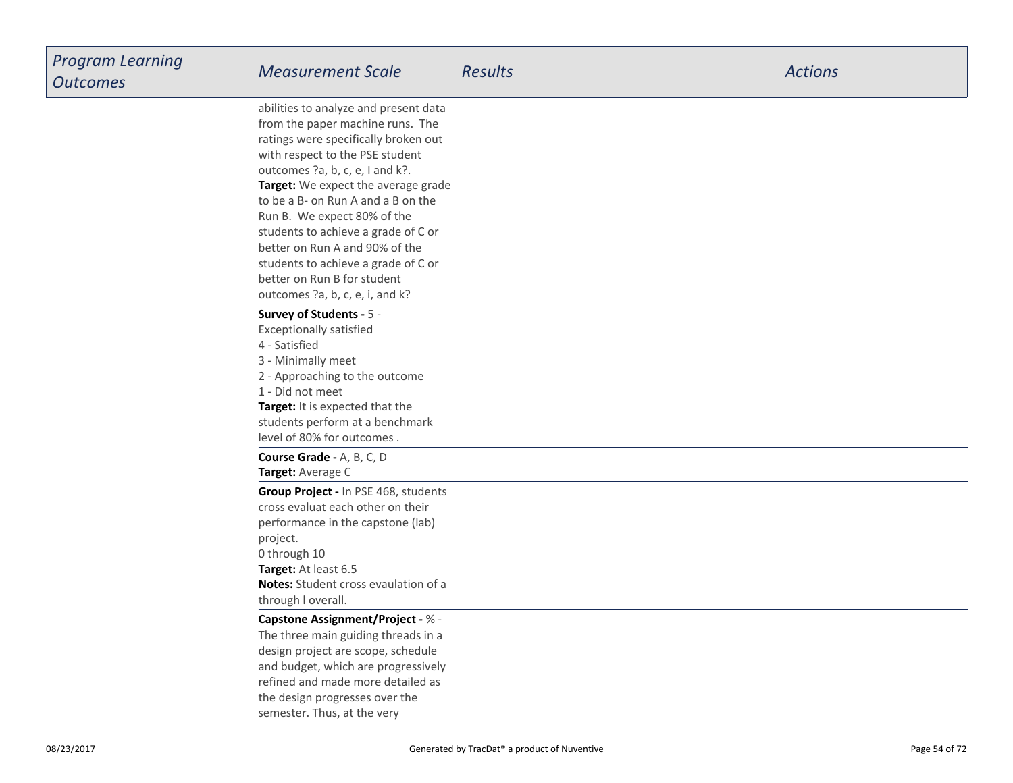| Program Learning<br><b>Outcomes</b> | <b>Measurement Scale</b>                                                                                                                                                                                                                                                                                                                                                                                                                                                              | <b>Results</b> | <b>Actions</b> |
|-------------------------------------|---------------------------------------------------------------------------------------------------------------------------------------------------------------------------------------------------------------------------------------------------------------------------------------------------------------------------------------------------------------------------------------------------------------------------------------------------------------------------------------|----------------|----------------|
|                                     | abilities to analyze and present data<br>from the paper machine runs. The<br>ratings were specifically broken out<br>with respect to the PSE student<br>outcomes ?a, b, c, e, I and k?.<br>Target: We expect the average grade<br>to be a B- on Run A and a B on the<br>Run B. We expect 80% of the<br>students to achieve a grade of C or<br>better on Run A and 90% of the<br>students to achieve a grade of C or<br>better on Run B for student<br>outcomes ?a, b, c, e, i, and k? |                |                |
|                                     | Survey of Students - 5 -<br><b>Exceptionally satisfied</b><br>4 - Satisfied<br>3 - Minimally meet<br>2 - Approaching to the outcome<br>1 - Did not meet<br>Target: It is expected that the<br>students perform at a benchmark<br>level of 80% for outcomes.                                                                                                                                                                                                                           |                |                |
|                                     | Course Grade - A, B, C, D<br>Target: Average C<br>Group Project - In PSE 468, students<br>cross evaluat each other on their<br>performance in the capstone (lab)<br>project.<br>0 through 10<br>Target: At least 6.5<br><b>Notes:</b> Student cross evaulation of a<br>through I overall.                                                                                                                                                                                             |                |                |
|                                     | Capstone Assignment/Project - % -<br>The three main guiding threads in a<br>design project are scope, schedule<br>and budget, which are progressively<br>refined and made more detailed as<br>the design progresses over the<br>semester. Thus, at the very                                                                                                                                                                                                                           |                |                |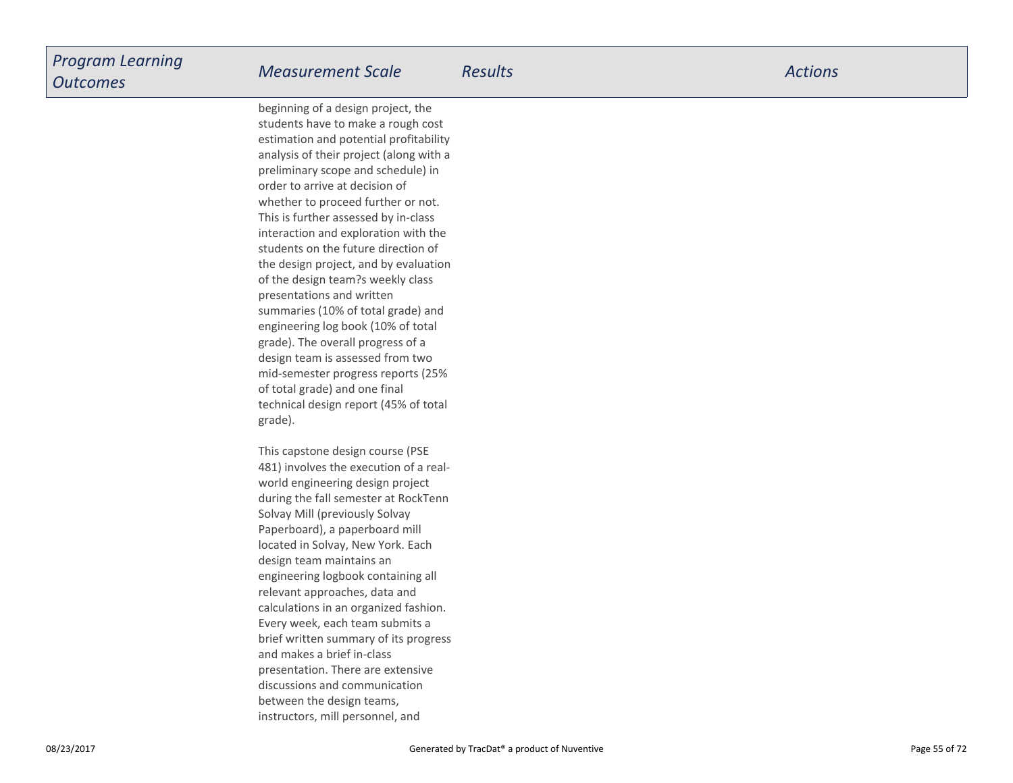beginning of a design project, the students have to make a rough cost estimation and potential profitability analysis of their project (along with apreliminary scope and schedule) inorder to arrive at decision ofwhether to proceed further or not.This is further assessed by in-class interaction and exploration with the students on the future direction ofthe design project, and by evaluationof the design team?s weekly classpresentations and written summaries (10% of total grade) and engineering log book (10% of totalgrade). The overall progress of a design team is assessed from two mid-semester progress reports (25%of total grade) and one finaltechnical design report (45% of totalgrade).

This capstone design course (PSE 481) involves the execution of a realworld engineering design project during the fall semester at RockTennSolvay Mill (previously Solvay Paperboard), a paperboard milllocated in Solvay, New York. Eachdesign team maintains an engineering logbook containing allrelevant approaches, data and calculations in an organized fashion.Every week, each team submits a brief written summary of its progressand makes a brief in-class presentation. There are extensivediscussions and communicationbetween the design teams,instructors, mill personnel, and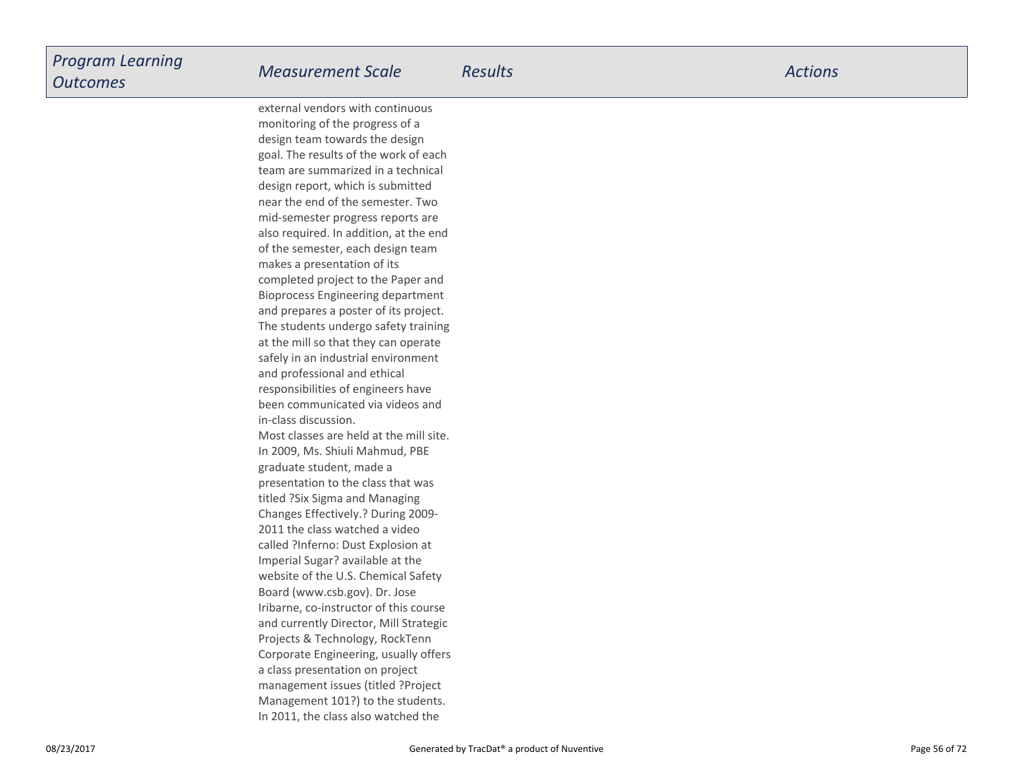external vendors with continuousmonitoring of the progress of a design team towards the design goal. The results of the work of each team are summarized in a technicaldesign report, which is submitted near the end of the semester. Two mid-semester progress reports are also required. In addition, at the endof the semester, each design teammakes a presentation of its completed project to the Paper and Bioprocess Engineering department and prepares a poster of its project.The students undergo safety trainingat the mill so that they can operate safely in an industrial environmentand professional and ethicalresponsibilities of engineers have been communicated via videos andin-class discussion.Most classes are held at the mill site.In 2009, Ms. Shiuli Mahmud, PBEgraduate student, made a presentation to the class that wastitled ?Six Sigma and Managing Changes Effectively.? During 2009-2011 the class watched a video called ?Inferno: Dust Explosion atImperial Sugar? available at the website of the U.S. Chemical SafetyBoard (www.csb.gov). Dr. Jose Iribarne, co-instructor of this course and currently Director, Mill StrategicProjects & Technology, RockTenn Corporate Engineering, usually offersa class presentation on project management issues (titled ?ProjectManagement 101?) to the students.In 2011, the class also watched the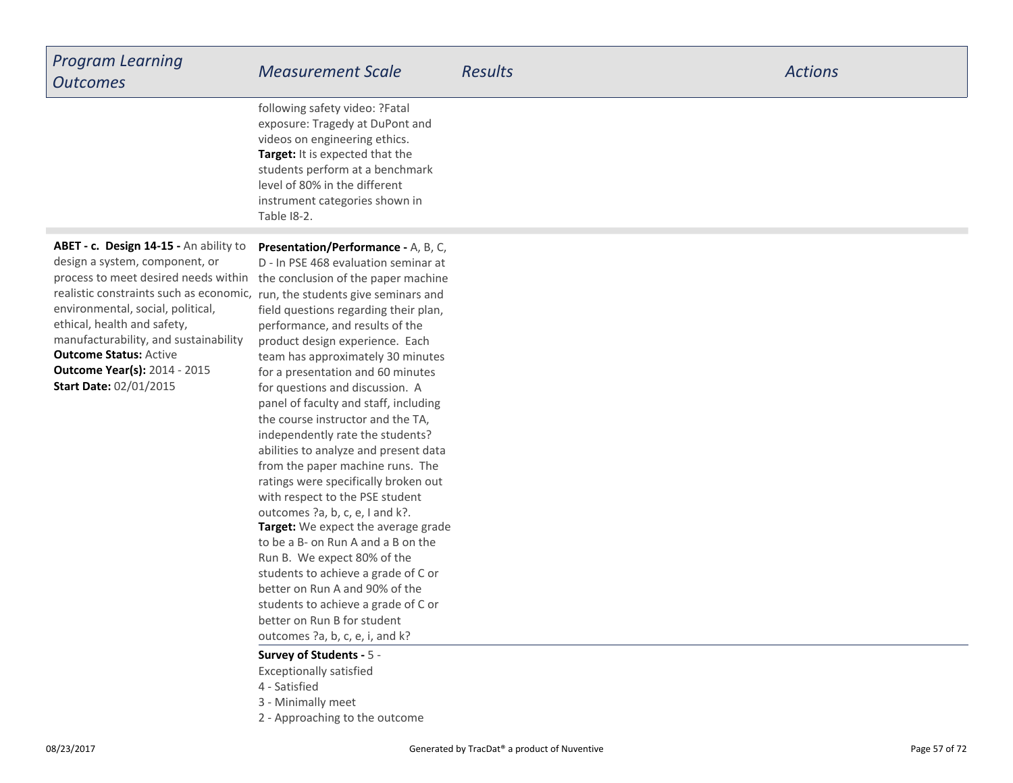| <b>Program Learning</b><br><b>Outcomes</b>                                                                                                                                                                                                                                                                                                                                                                            | <b>Measurement Scale</b>                                                                                                                                                                                                                                                                                                                                                                                                                                         | <b>Results</b> | <b>Actions</b> |
|-----------------------------------------------------------------------------------------------------------------------------------------------------------------------------------------------------------------------------------------------------------------------------------------------------------------------------------------------------------------------------------------------------------------------|------------------------------------------------------------------------------------------------------------------------------------------------------------------------------------------------------------------------------------------------------------------------------------------------------------------------------------------------------------------------------------------------------------------------------------------------------------------|----------------|----------------|
|                                                                                                                                                                                                                                                                                                                                                                                                                       | following safety video: ?Fatal<br>exposure: Tragedy at DuPont and<br>videos on engineering ethics.<br>Target: It is expected that the<br>students perform at a benchmark<br>level of 80% in the different<br>instrument categories shown in<br>Table 18-2.                                                                                                                                                                                                       |                |                |
| ABET - c. Design 14-15 - An ability to<br>design a system, component, or<br>process to meet desired needs within<br>realistic constraints such as economic, run, the students give seminars and<br>environmental, social, political,<br>ethical, health and safety,<br>manufacturability, and sustainability<br><b>Outcome Status: Active</b><br><b>Outcome Year(s): 2014 - 2015</b><br><b>Start Date: 02/01/2015</b> | Presentation/Performance - A, B, C,<br>D - In PSE 468 evaluation seminar at<br>the conclusion of the paper machine<br>field questions regarding their plan,<br>performance, and results of the<br>product design experience. Each<br>team has approximately 30 minutes<br>for a presentation and 60 minutes<br>for questions and discussion. A<br>panel of faculty and staff, including<br>the course instructor and the TA,<br>independently rate the students? |                |                |

# **Survey of Students -** 5 -

Exceptionally satisfied

- 4 Satisfied
- 3 Minimally meet
- 2 Approaching to the outcome

**Target:** We expect the average grade to be a B- on Run A and a B on theRun B. We expect 80% of the students to achieve a grade of C orbetter on Run A and 90% of the students to achieve a grade of C orbetter on Run B for studentoutcomes ?a, b, c, e, i, and k?

 from the paper machine runs. The ratings were specifically broken outwith respect to the PSE studentoutcomes ?a, b, c, e, I and k?.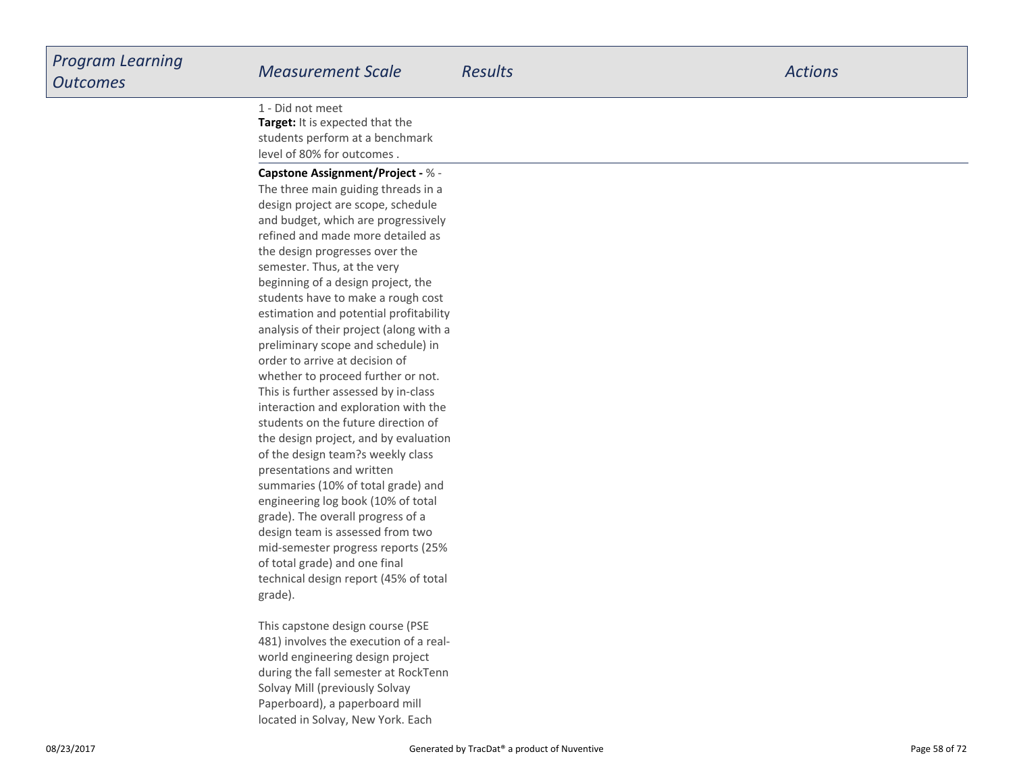**Target:** It is expected that the students perform at a benchmarklevel of 80% for outcomes .1 - Did not meet

**Capstone Assignment/Project -** % - The three main guiding threads in a design project are scope, schedule and budget, which are progressively refined and made more detailed asthe design progresses over thesemester. Thus, at the very beginning of a design project, the students have to make a rough costestimation and potential profitability analysis of their project (along with apreliminary scope and schedule) inorder to arrive at decision ofwhether to proceed further or not.This is further assessed by in-class interaction and exploration with the students on the future direction ofthe design project, and by evaluationof the design team?s weekly classpresentations and written summaries (10% of total grade) and engineering log book (10% of totalgrade). The overall progress of a design team is assessed from two mid-semester progress reports (25%of total grade) and one finaltechnical design report (45% of totalgrade).

This capstone design course (PSE 481) involves the execution of a realworld engineering design project during the fall semester at RockTennSolvay Mill (previously Solvay Paperboard), a paperboard milllocated in Solvay, New York. Each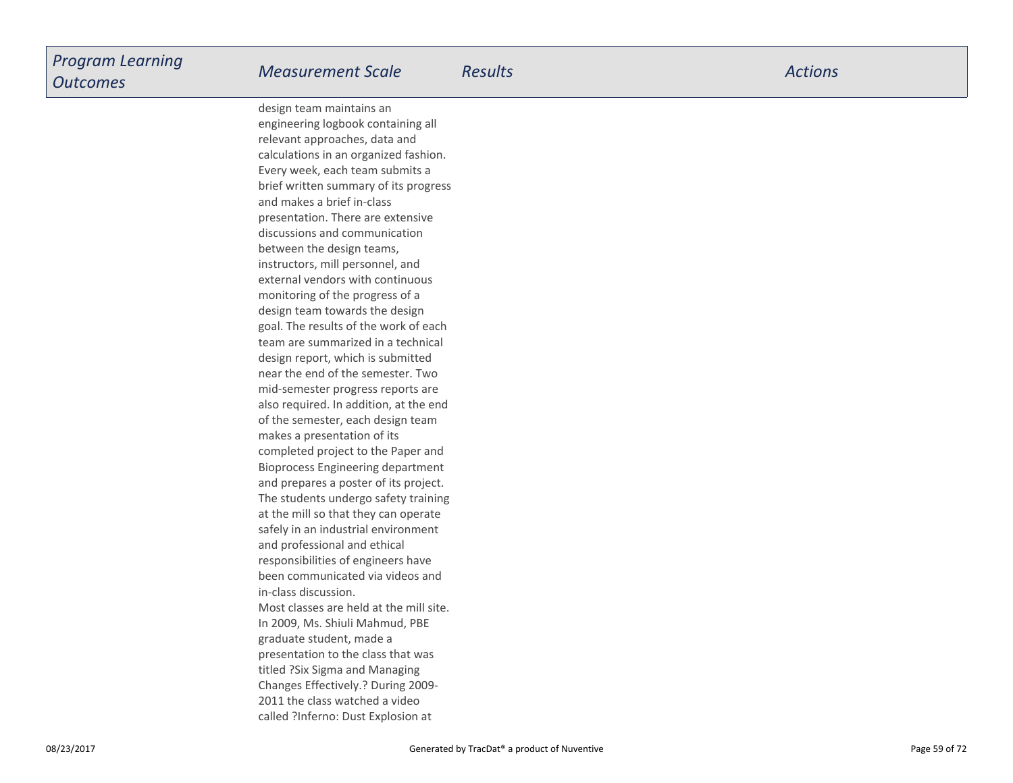design team maintains an engineering logbook containing allrelevant approaches, data and calculations in an organized fashion.Every week, each team submits a brief written summary of its progressand makes a brief in-class presentation. There are extensivediscussions and communicationbetween the design teams,instructors, mill personnel, and external vendors with continuousmonitoring of the progress of a design team towards the design goal. The results of the work of each team are summarized in a technicaldesign report, which is submitted near the end of the semester. Two mid-semester progress reports are also required. In addition, at the endof the semester, each design teammakes a presentation of its completed project to the Paper and Bioprocess Engineering departmentand prepares a poster of its project.The students undergo safety trainingat the mill so that they can operate safely in an industrial environmentand professional and ethicalresponsibilities of engineers have been communicated via videos andin-class discussion.Most classes are held at the mill site.In 2009, Ms. Shiuli Mahmud, PBEgraduate student, made a presentation to the class that wastitled ?Six Sigma and Managing Changes Effectively.? During 2009-2011 the class watched a videocalled ?Inferno: Dust Explosion at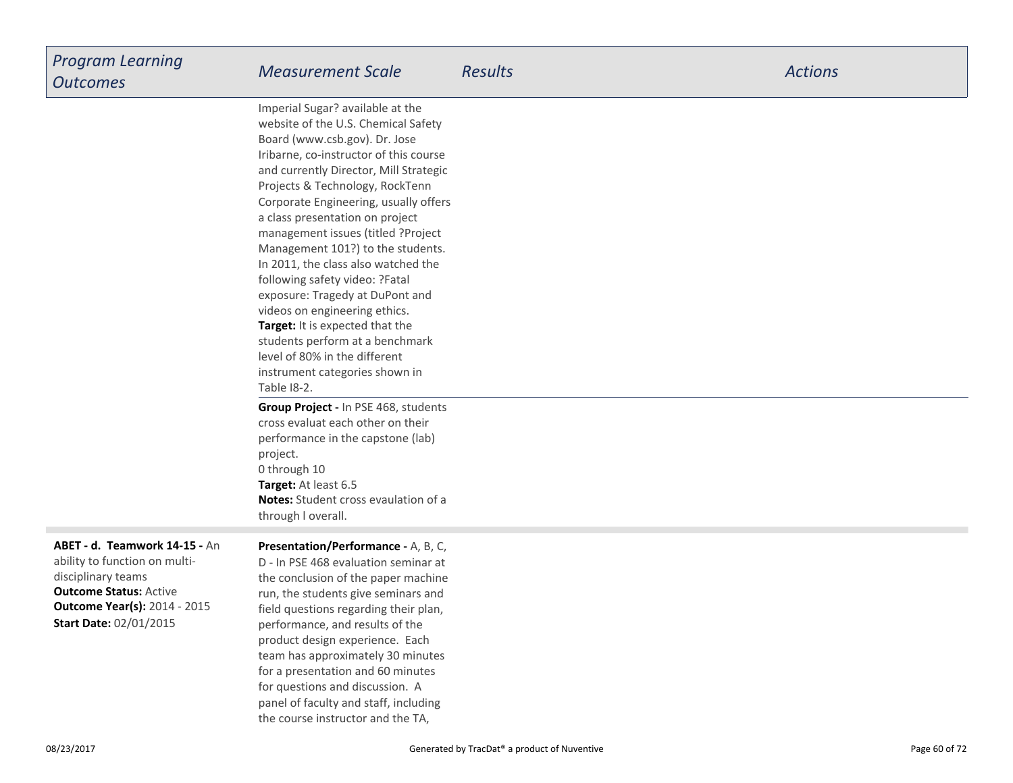| <b>Program Learning</b><br><b>Outcomes</b> | <b>Measurement Scale</b>                                         | <b>Results</b> | <b>Actions</b> |
|--------------------------------------------|------------------------------------------------------------------|----------------|----------------|
|                                            | Imperial Sugar? available at the                                 |                |                |
|                                            | website of the U.S. Chemical Safety                              |                |                |
|                                            | Board (www.csb.gov). Dr. Jose                                    |                |                |
|                                            | Iribarne, co-instructor of this course                           |                |                |
|                                            | and currently Director, Mill Strategic                           |                |                |
|                                            | Projects & Technology, RockTenn                                  |                |                |
|                                            | Corporate Engineering, usually offers                            |                |                |
|                                            | a class presentation on project                                  |                |                |
|                                            | management issues (titled ?Project                               |                |                |
|                                            | Management 101?) to the students.                                |                |                |
|                                            | In 2011, the class also watched the                              |                |                |
|                                            | following safety video: ?Fatal                                   |                |                |
|                                            | exposure: Tragedy at DuPont and                                  |                |                |
|                                            | videos on engineering ethics.<br>Target: It is expected that the |                |                |
|                                            | students perform at a benchmark                                  |                |                |
|                                            | level of 80% in the different                                    |                |                |
|                                            | instrument categories shown in                                   |                |                |
|                                            | Table 18-2.                                                      |                |                |
|                                            | Group Project - In PSE 468, students                             |                |                |
|                                            | cross evaluat each other on their                                |                |                |

**Outcome Status:** Active **Outcome Year(s):** 2014 - 2015**ABET - d. Teamwork 14-15 -** Anability to function on multidisciplinary teams**Start Date:** 02/01/2015

#### **Presentation/Performance -** A, B, C,

**Notes:** Student cross evaulation of a

performance in the capstone (lab)

**Target:** At least 6.5

project.0 through 10

through l overall.

D - In PSE 468 evaluation seminar at the conclusion of the paper machine run, the students give seminars and field questions regarding their plan,performance, and results of the product design experience. Each team has approximately 30 minutesfor a presentation and 60 minutesfor questions and discussion. A panel of faculty and staff, includingthe course instructor and the TA,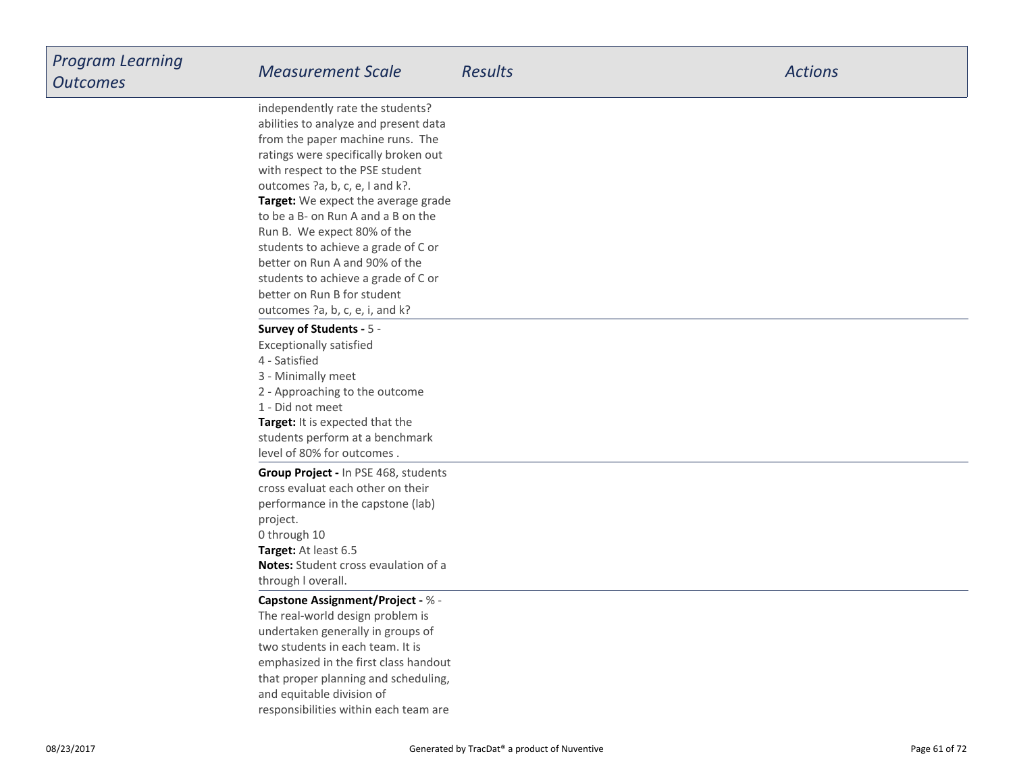| Program Learning<br><b>Outcomes</b> | <b>Measurement Scale</b>                                                                                                                                                                                                                                                                                                                                                                                                                                                                                                  | <b>Results</b> | <b>Actions</b> |
|-------------------------------------|---------------------------------------------------------------------------------------------------------------------------------------------------------------------------------------------------------------------------------------------------------------------------------------------------------------------------------------------------------------------------------------------------------------------------------------------------------------------------------------------------------------------------|----------------|----------------|
|                                     | independently rate the students?<br>abilities to analyze and present data<br>from the paper machine runs. The<br>ratings were specifically broken out<br>with respect to the PSE student<br>outcomes ?a, b, c, e, I and k?.<br>Target: We expect the average grade<br>to be a B- on Run A and a B on the<br>Run B. We expect 80% of the<br>students to achieve a grade of C or<br>better on Run A and 90% of the<br>students to achieve a grade of C or<br>better on Run B for student<br>outcomes ?a, b, c, e, i, and k? |                |                |
|                                     | Survey of Students - 5 -<br><b>Exceptionally satisfied</b><br>4 - Satisfied<br>3 - Minimally meet<br>2 - Approaching to the outcome<br>1 - Did not meet<br>Target: It is expected that the<br>students perform at a benchmark<br>level of 80% for outcomes.                                                                                                                                                                                                                                                               |                |                |
|                                     | Group Project - In PSE 468, students<br>cross evaluat each other on their<br>performance in the capstone (lab)<br>project.<br>0 through 10<br>Target: At least 6.5<br><b>Notes:</b> Student cross evaulation of a<br>through I overall.                                                                                                                                                                                                                                                                                   |                |                |
|                                     | <b>Capstone Assignment/Project - % -</b><br>The real-world design problem is<br>undertaken generally in groups of<br>two students in each team. It is<br>emphasized in the first class handout<br>that proper planning and scheduling,<br>and equitable division of<br>responsibilities within each team are                                                                                                                                                                                                              |                |                |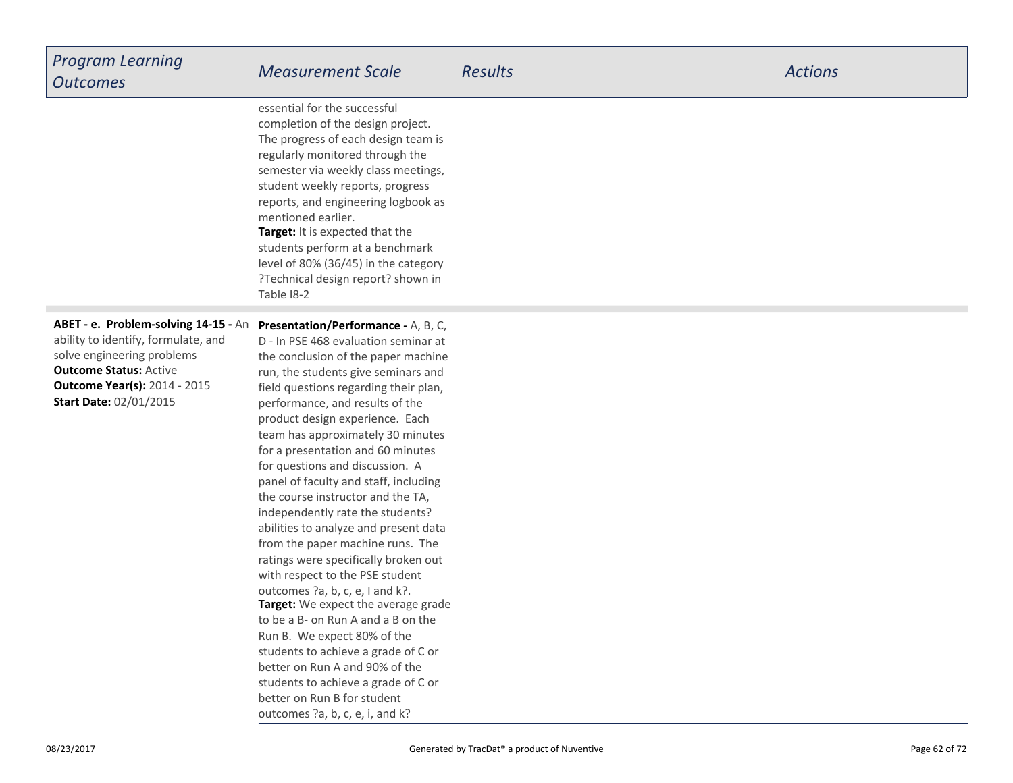| <b>Program Learning</b> |
|-------------------------|
| <b>Outcomes</b>         |

**Target:** It is expected that the students perform at a benchmark level of 80% (36/45) in the category ?Technical design report? shown inTable I8-2essential for the successfulcompletion of the design project.The progress of each design team isregularly monitored through the semester via weekly class meetings,student weekly reports, progressreports, and engineering logbook asmentioned earlier.

**Outcome Status:** Active **Outcome Year(s):** 2014 - 2015**ABET - e. Problem-solving 14-15 -** Anability to identify, formulate, andsolve engineering problems**Start Date:** 02/01/2015

**Target:** We expect the average gradeto be a B- on Run A and a B on theRun B. We expect 80% of the students to achieve a grade of C orbetter on Run A and 90% of the students to achieve a grade of C orbetter on Run B for student outcomes ?a, b, c, e, i, and k?**Presentation/Performance -** A, B, C,D - In PSE 468 evaluation seminar at the conclusion of the paper machine run, the students give seminars and field questions regarding their plan,performance, and results of the product design experience. Each team has approximately 30 minutesfor a presentation and 60 minutesfor questions and discussion. A panel of faculty and staff, includingthe course instructor and the TA,independently rate the students? abilities to analyze and present data from the paper machine runs. The ratings were specifically broken outwith respect to the PSE studentoutcomes ?a, b, c, e, I and k?.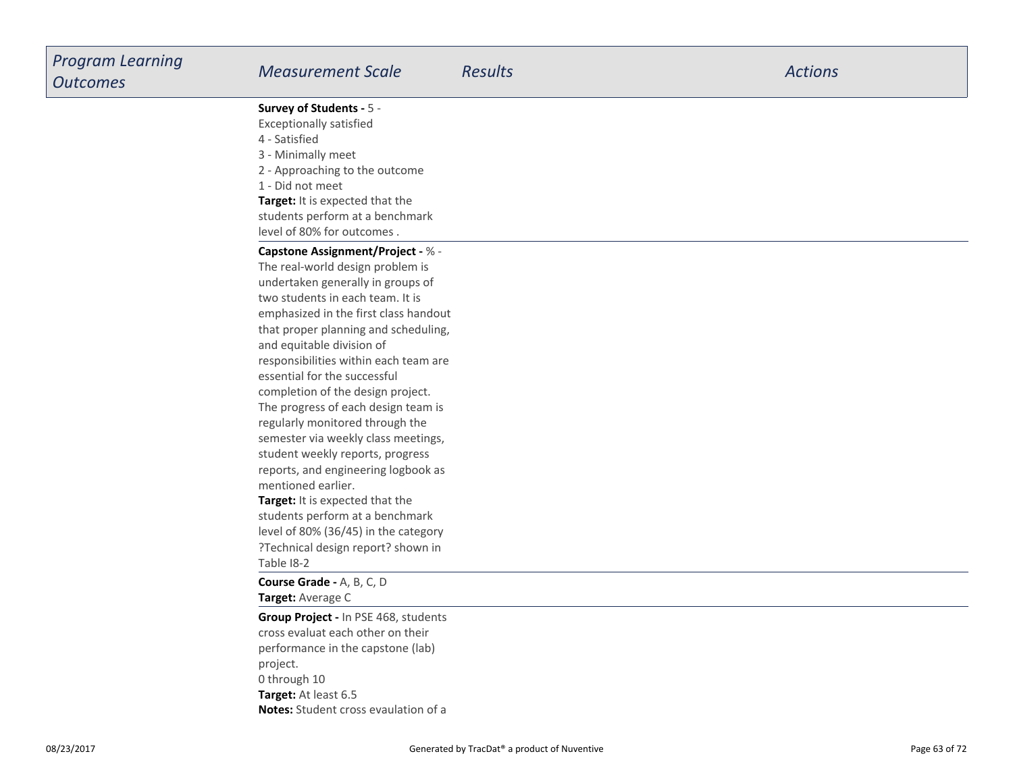**Survey of Students -** 5 -

Exceptionally satisfied

- 4 Satisfied
- 3 Minimally meet
- 2 Approaching to the outcome
- 1 Did not meet

**Target:** It is expected that the students perform at a benchmarklevel of 80% for outcomes .

#### **Capstone Assignment/Project -** % -

**Target:** It is expected that the students perform at a benchmarkThe real-world design problem is undertaken generally in groups oftwo students in each team. It is emphasized in the first class handout that proper planning and scheduling,and equitable division of responsibilities within each team areessential for the successfulcompletion of the design project.The progress of each design team isregularly monitored through the semester via weekly class meetings,student weekly reports, progress reports, and engineering logbook asmentioned earlier.

 level of 80% (36/45) in the category ?Technical design report? shown inTable I8-2

**Target:** Average C**Course Grade -** A, B, C, D

**Target:** At least 6.5 **Notes:** Student cross evaulation of a**Group Project -** In PSE 468, studentscross evaluat each other on theirperformance in the capstone (lab)project.0 through 10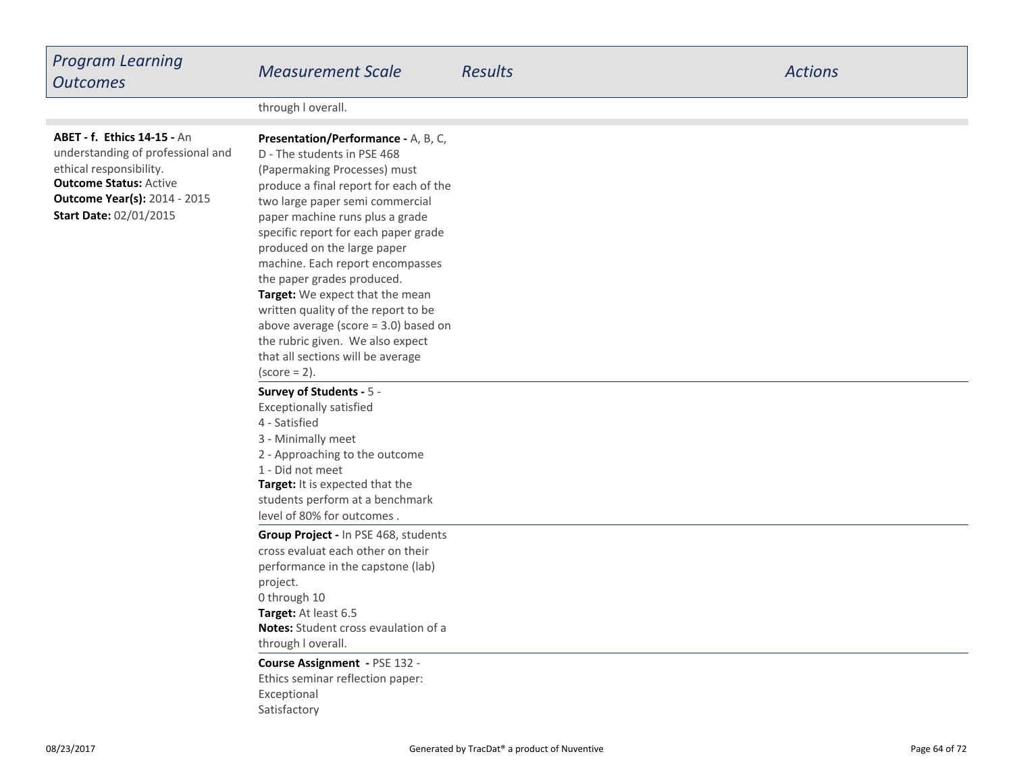| <b>Program Learning</b><br><b>Outcomes</b>                                                                                                                                                                  | <b>Measurement Scale</b>                                                                                                                                                                                                                                                                                                                                                                                                                                                                                                                                                    | <b>Results</b> | <b>Actions</b> |
|-------------------------------------------------------------------------------------------------------------------------------------------------------------------------------------------------------------|-----------------------------------------------------------------------------------------------------------------------------------------------------------------------------------------------------------------------------------------------------------------------------------------------------------------------------------------------------------------------------------------------------------------------------------------------------------------------------------------------------------------------------------------------------------------------------|----------------|----------------|
|                                                                                                                                                                                                             | through I overall.                                                                                                                                                                                                                                                                                                                                                                                                                                                                                                                                                          |                |                |
| <b>ABET - f. Ethics 14-15 - An</b><br>understanding of professional and<br>ethical responsibility.<br><b>Outcome Status: Active</b><br><b>Outcome Year(s): 2014 - 2015</b><br><b>Start Date: 02/01/2015</b> | Presentation/Performance - A, B, C,<br>D - The students in PSE 468<br>(Papermaking Processes) must<br>produce a final report for each of the<br>two large paper semi commercial<br>paper machine runs plus a grade<br>specific report for each paper grade<br>produced on the large paper<br>machine. Each report encompasses<br>the paper grades produced.<br>Target: We expect that the mean<br>written quality of the report to be<br>above average (score $=$ 3.0) based on<br>the rubric given. We also expect<br>that all sections will be average<br>$(score = 2)$ . |                |                |
|                                                                                                                                                                                                             | Survey of Students - 5 -<br><b>Exceptionally satisfied</b><br>4 - Satisfied<br>3 - Minimally meet<br>2 - Approaching to the outcome<br>1 - Did not meet<br>Target: It is expected that the<br>students perform at a benchmark<br>level of 80% for outcomes.                                                                                                                                                                                                                                                                                                                 |                |                |
|                                                                                                                                                                                                             | Group Project - In PSE 468, students<br>cross evaluat each other on their<br>performance in the capstone (lab)<br>project.<br>0 through 10<br>Target: At least 6.5<br>Notes: Student cross evaulation of a<br>through I overall.                                                                                                                                                                                                                                                                                                                                            |                |                |
|                                                                                                                                                                                                             | Course Assignment - PSE 132 -<br>Ethics seminar reflection paper:<br>Exceptional                                                                                                                                                                                                                                                                                                                                                                                                                                                                                            |                |                |

08/23/2017

Satisfactory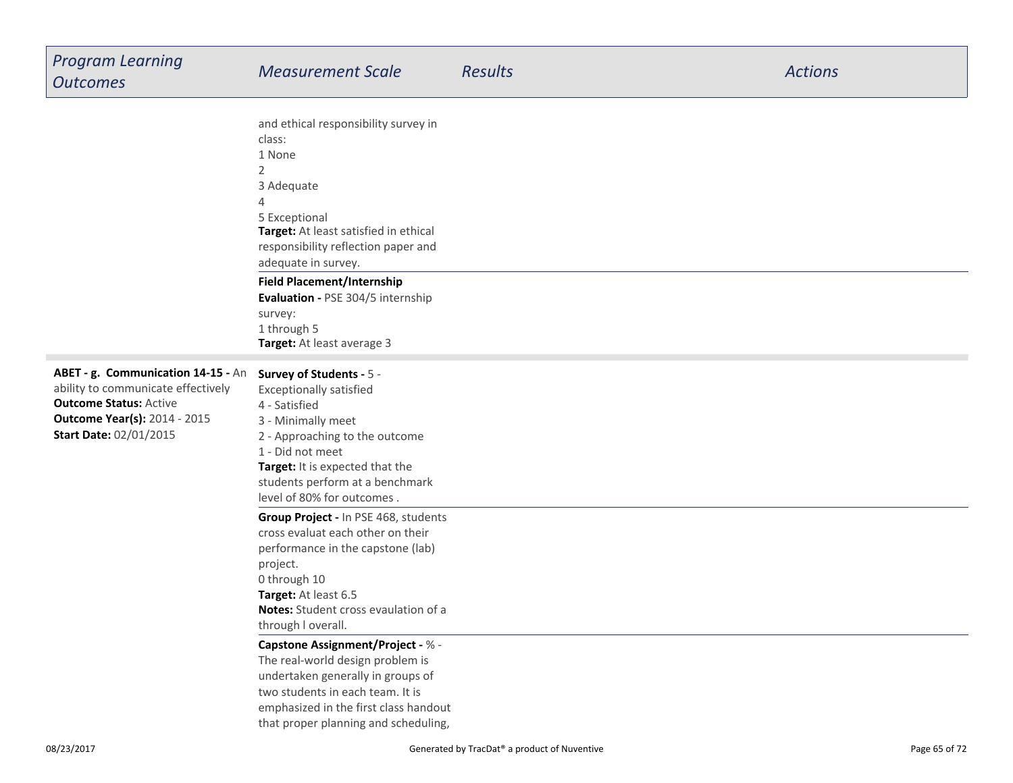| <b>Program Learning</b><br><b>Outcomes</b>                                                                                                                                        | <b>Measurement Scale</b>                                                                                                                                                                                                                                                                                                                                | <b>Results</b> | <b>Actions</b> |
|-----------------------------------------------------------------------------------------------------------------------------------------------------------------------------------|---------------------------------------------------------------------------------------------------------------------------------------------------------------------------------------------------------------------------------------------------------------------------------------------------------------------------------------------------------|----------------|----------------|
|                                                                                                                                                                                   | and ethical responsibility survey in<br>class:<br>1 None<br>$\overline{2}$<br>3 Adequate<br>4<br>5 Exceptional<br>Target: At least satisfied in ethical<br>responsibility reflection paper and<br>adequate in survey.<br><b>Field Placement/Internship</b><br>Evaluation - PSE 304/5 internship<br>survey:<br>1 through 5<br>Target: At least average 3 |                |                |
| ABET - g. Communication 14-15 - An<br>ability to communicate effectively<br><b>Outcome Status: Active</b><br><b>Outcome Year(s): 2014 - 2015</b><br><b>Start Date: 02/01/2015</b> | Survey of Students - 5 -<br><b>Exceptionally satisfied</b><br>4 - Satisfied<br>3 - Minimally meet<br>2 - Approaching to the outcome<br>1 - Did not meet<br>Target: It is expected that the<br>students perform at a benchmark<br>level of 80% for outcomes.                                                                                             |                |                |
|                                                                                                                                                                                   | Group Project - In PSE 468, students<br>cross evaluat each other on their<br>performance in the capstone (lab)<br>project.<br>0 through 10<br>Target: At least 6.5<br>Notes: Student cross evaulation of a<br>through I overall.                                                                                                                        |                |                |
|                                                                                                                                                                                   | <b>Capstone Assignment/Project - % -</b><br>The real-world design problem is<br>undertaken generally in groups of<br>two students in each team. It is<br>emphasized in the first class handout<br>that proper planning and scheduling,                                                                                                                  |                |                |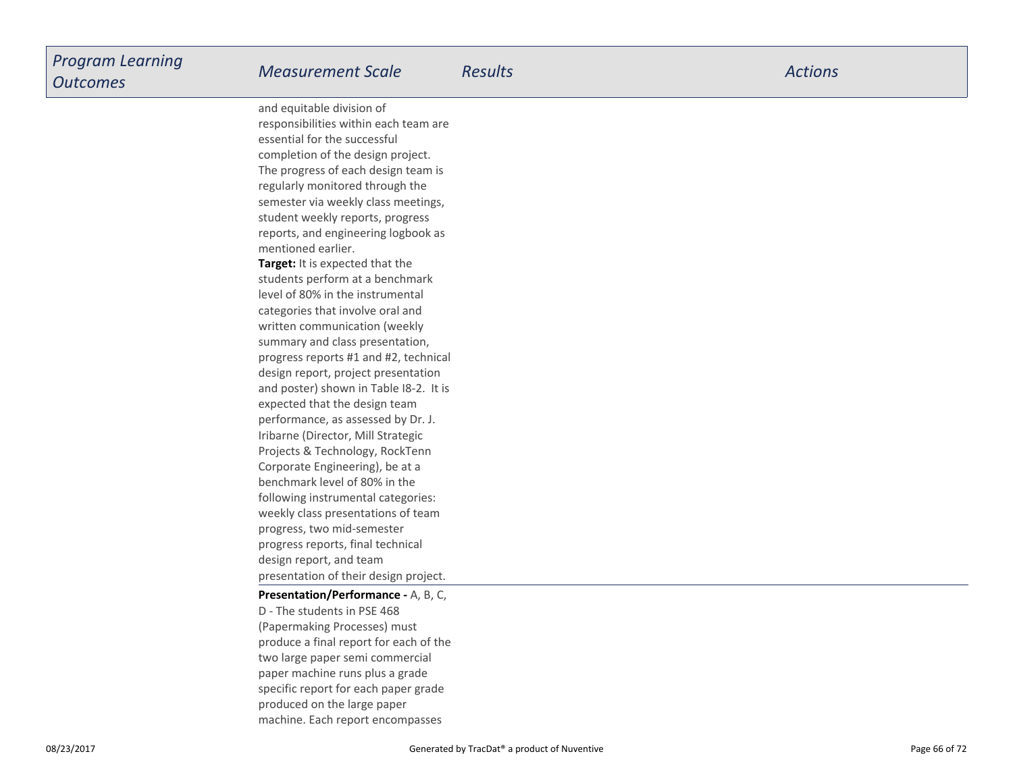**Target:** It is expected that the students perform at a benchmarklevel of 80% in the instrumentalcategories that involve oral and written communication (weekly summary and class presentation,progress reports #1 and #2, technicaldesign report, project presentation and poster) shown in Table I8-2. It isexpected that the design team performance, as assessed by Dr. J.Iribarne (Director, Mill Strategic Projects & Technology, RockTennCorporate Engineering), be at a benchmark level of 80% in the following instrumental categories:weekly class presentations of teamprogress, two mid-semesterprogress reports, final technicaldesign report, and team presentation of their design project.and equitable division of responsibilities within each team areessential for the successfulcompletion of the design project.The progress of each design team isregularly monitored through the semester via weekly class meetings,student weekly reports, progress reports, and engineering logbook asmentioned earlier.

### **Presentation/Performance -** A, B, C,D - The students in PSE 468 (Papermaking Processes) must produce a final report for each of thetwo large paper semi commercialpaper machine runs plus a grade specific report for each paper gradeproduced on the large paper

machine. Each report encompasses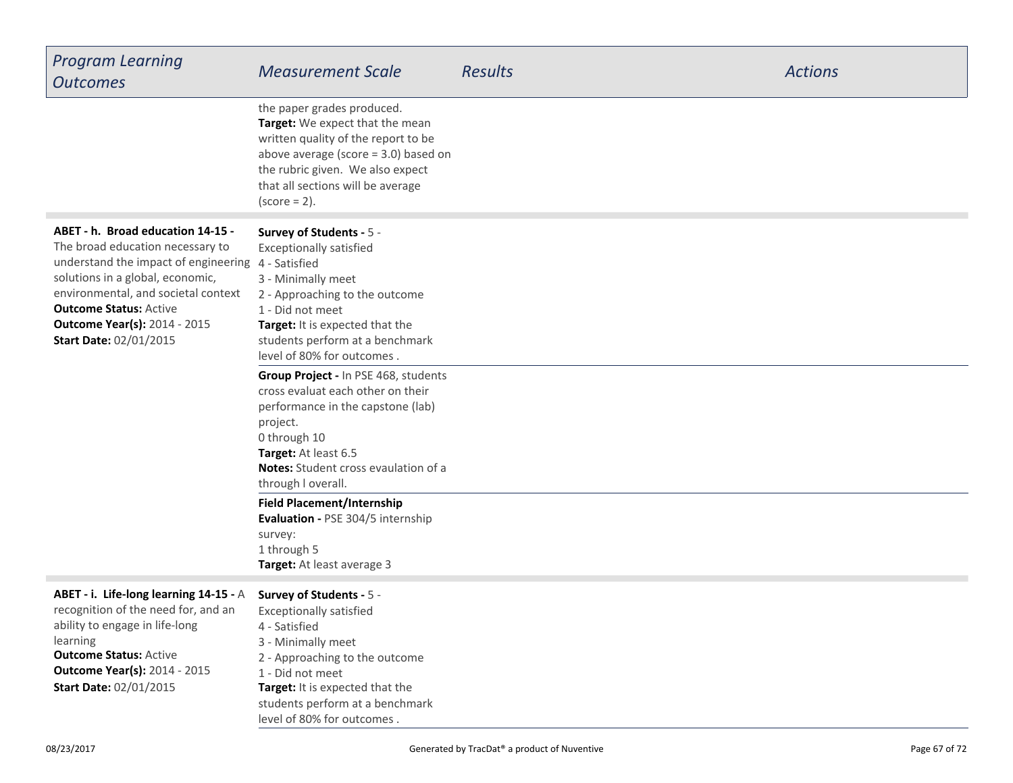| <b>Program Learning</b><br><b>Outcomes</b>                                                                                                                                                                                                                                                                      | <b>Measurement Scale</b>                                                                                                                                                                                                                                                                                                                                                                                                                                                              | <b>Results</b> | <b>Actions</b> |
|-----------------------------------------------------------------------------------------------------------------------------------------------------------------------------------------------------------------------------------------------------------------------------------------------------------------|---------------------------------------------------------------------------------------------------------------------------------------------------------------------------------------------------------------------------------------------------------------------------------------------------------------------------------------------------------------------------------------------------------------------------------------------------------------------------------------|----------------|----------------|
|                                                                                                                                                                                                                                                                                                                 | the paper grades produced.<br>Target: We expect that the mean<br>written quality of the report to be<br>above average (score $=$ 3.0) based on<br>the rubric given. We also expect<br>that all sections will be average<br>$(score = 2)$ .                                                                                                                                                                                                                                            |                |                |
| ABET - h. Broad education 14-15 -<br>The broad education necessary to<br>understand the impact of engineering 4 - Satisfied<br>solutions in a global, economic,<br>environmental, and societal context<br><b>Outcome Status: Active</b><br><b>Outcome Year(s): 2014 - 2015</b><br><b>Start Date: 02/01/2015</b> | Survey of Students - 5 -<br><b>Exceptionally satisfied</b><br>3 - Minimally meet<br>2 - Approaching to the outcome<br>1 - Did not meet<br>Target: It is expected that the<br>students perform at a benchmark<br>level of 80% for outcomes.<br>Group Project - In PSE 468, students<br>cross evaluat each other on their<br>performance in the capstone (lab)<br>project.<br>0 through 10<br>Target: At least 6.5<br><b>Notes:</b> Student cross evaulation of a<br>through I overall. |                |                |
|                                                                                                                                                                                                                                                                                                                 | <b>Field Placement/Internship</b><br>Evaluation - PSE 304/5 internship<br>survey:<br>1 through 5<br>Target: At least average 3                                                                                                                                                                                                                                                                                                                                                        |                |                |
| ABET - i. Life-long learning 14-15 - A<br>recognition of the need for, and an<br>ability to engage in life-long<br>learning<br><b>Outcome Status: Active</b><br><b>Outcome Year(s): 2014 - 2015</b><br><b>Start Date: 02/01/2015</b>                                                                            | Survey of Students - 5 -<br><b>Exceptionally satisfied</b><br>4 - Satisfied<br>3 - Minimally meet<br>2 - Approaching to the outcome<br>1 - Did not meet<br>Target: It is expected that the<br>students perform at a benchmark<br>level of 80% for outcomes.                                                                                                                                                                                                                           |                |                |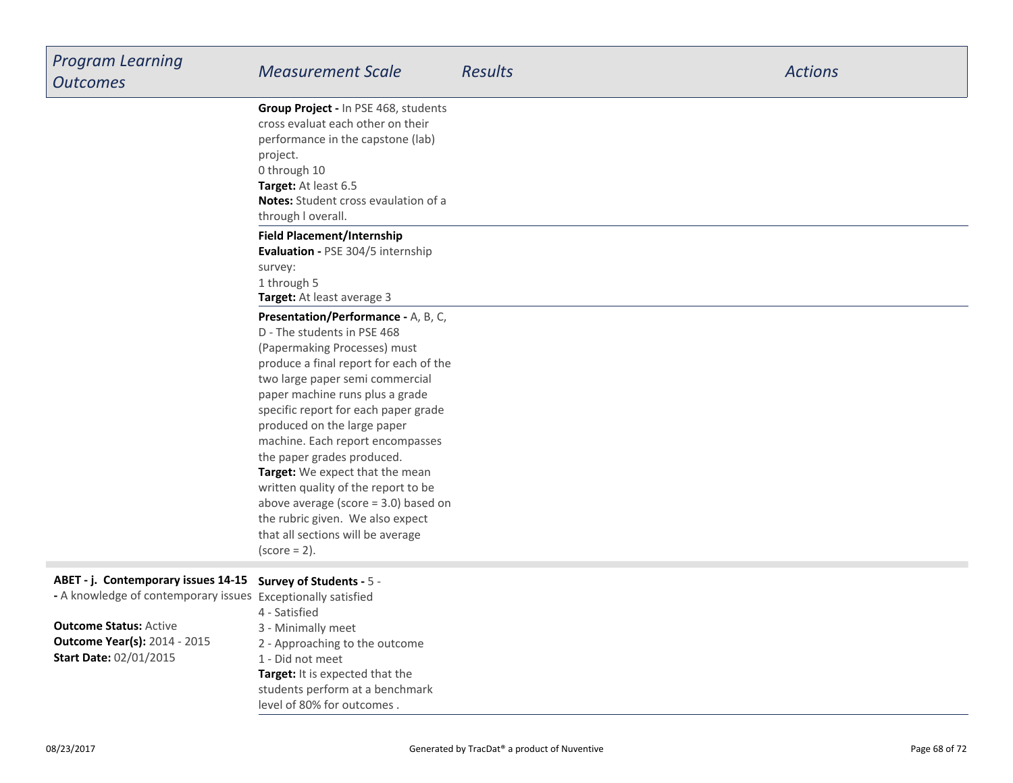| <b>Program Learning</b>                                      | <b>Measurement Scale</b>                                           | <b>Results</b> | <b>Actions</b> |
|--------------------------------------------------------------|--------------------------------------------------------------------|----------------|----------------|
| <b>Outcomes</b>                                              |                                                                    |                |                |
|                                                              | Group Project - In PSE 468, students                               |                |                |
|                                                              | cross evaluat each other on their                                  |                |                |
|                                                              | performance in the capstone (lab)                                  |                |                |
|                                                              | project.                                                           |                |                |
|                                                              | 0 through 10                                                       |                |                |
|                                                              | Target: At least 6.5<br>Notes: Student cross evaulation of a       |                |                |
|                                                              | through I overall.                                                 |                |                |
|                                                              | <b>Field Placement/Internship</b>                                  |                |                |
|                                                              | Evaluation - PSE 304/5 internship                                  |                |                |
|                                                              | survey:                                                            |                |                |
|                                                              | 1 through 5                                                        |                |                |
|                                                              | Target: At least average 3                                         |                |                |
|                                                              | Presentation/Performance - A, B, C,                                |                |                |
|                                                              | D - The students in PSE 468                                        |                |                |
|                                                              | (Papermaking Processes) must                                       |                |                |
|                                                              | produce a final report for each of the                             |                |                |
|                                                              | two large paper semi commercial<br>paper machine runs plus a grade |                |                |
|                                                              | specific report for each paper grade                               |                |                |
|                                                              | produced on the large paper                                        |                |                |
|                                                              | machine. Each report encompasses                                   |                |                |
|                                                              | the paper grades produced.                                         |                |                |
|                                                              | Target: We expect that the mean                                    |                |                |
|                                                              | written quality of the report to be                                |                |                |
|                                                              | above average (score $=$ 3.0) based on                             |                |                |
|                                                              | the rubric given. We also expect                                   |                |                |
|                                                              | that all sections will be average                                  |                |                |
|                                                              | $(score = 2)$ .                                                    |                |                |
| ABET - j. Contemporary issues 14-15                          | Survey of Students - 5 -                                           |                |                |
| - A knowledge of contemporary issues Exceptionally satisfied |                                                                    |                |                |
|                                                              | 4 - Satisfied                                                      |                |                |
| <b>Outcome Status: Active</b>                                | 3 - Minimally meet                                                 |                |                |
| <b>Outcome Year(s): 2014 - 2015</b>                          | 2 - Approaching to the outcome                                     |                |                |

**Start Date:** 02/01/2015

**Target:** It is expected that the students perform at a benchmarklevel of 80% for outcomes .2 - Approaching to the outcome1 - Did not meet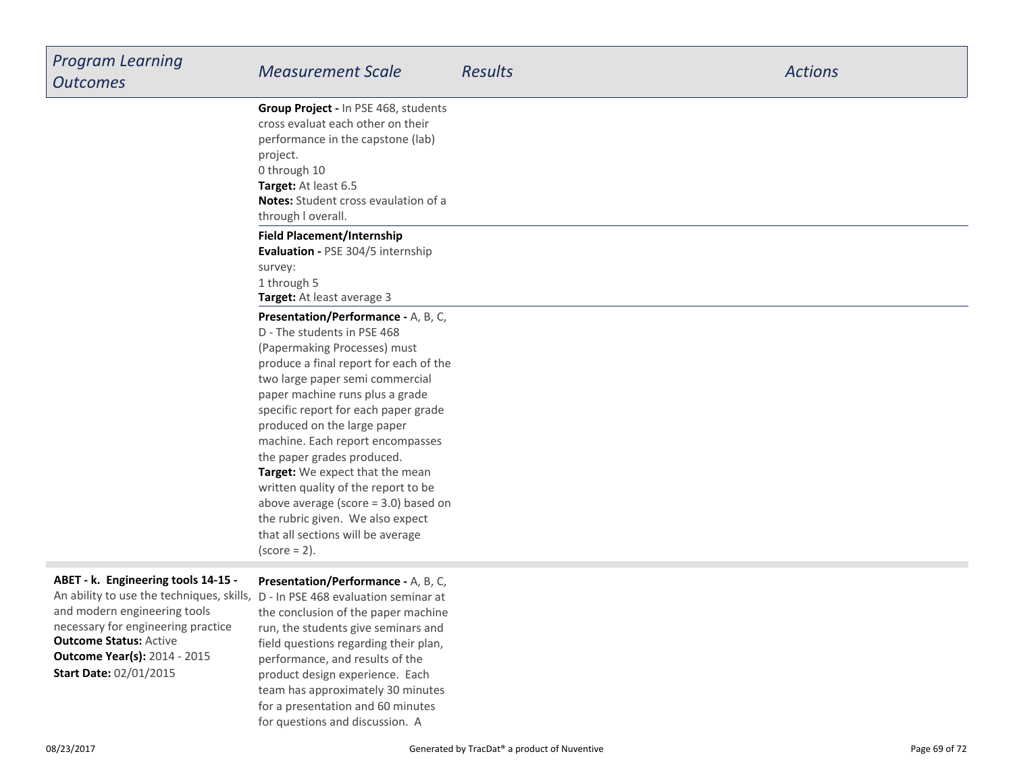| <b>Program Learning</b><br><b>Outcomes</b>                                                                            | <b>Measurement Scale</b>                                                                                       | <b>Results</b> | <b>Actions</b> |
|-----------------------------------------------------------------------------------------------------------------------|----------------------------------------------------------------------------------------------------------------|----------------|----------------|
|                                                                                                                       | Group Project - In PSE 468, students<br>cross evaluat each other on their<br>performance in the capstone (lab) |                |                |
|                                                                                                                       | project.<br>0 through 10<br>Target: At least 6.5                                                               |                |                |
|                                                                                                                       | <b>Notes:</b> Student cross evaulation of a<br>through I overall.                                              |                |                |
|                                                                                                                       | <b>Field Placement/Internship</b><br>Evaluation - PSE 304/5 internship                                         |                |                |
|                                                                                                                       | survey:<br>1 through 5<br>Target: At least average 3                                                           |                |                |
|                                                                                                                       | Presentation/Performance - A, B, C,<br>D - The students in PSE 468                                             |                |                |
|                                                                                                                       | (Papermaking Processes) must<br>produce a final report for each of the<br>two large paper semi commercial      |                |                |
|                                                                                                                       | paper machine runs plus a grade<br>specific report for each paper grade                                        |                |                |
|                                                                                                                       | produced on the large paper<br>machine. Each report encompasses<br>the paper grades produced.                  |                |                |
|                                                                                                                       | Target: We expect that the mean<br>written quality of the report to be                                         |                |                |
|                                                                                                                       | above average (score $=$ 3.0) based on<br>the rubric given. We also expect                                     |                |                |
|                                                                                                                       | that all sections will be average<br>$(score = 2)$ .                                                           |                |                |
| ABET - k. Engineering tools 14-15 -<br>An ability to use the techniques, skills, D - In PSE 468 evaluation seminar at | Presentation/Performance - A, B, C,                                                                            |                |                |
| and modern engineering tools<br>necessary for engineering practice                                                    | the conclusion of the paper machine<br>run, the students give seminars and                                     |                |                |
| <b>Outcome Status: Active</b><br><b>Outcome Year(s): 2014 - 2015</b>                                                  | field questions regarding their plan,<br>nerformance and results of the                                        |                |                |

**Outd Start Date:** 02/01/2015

performance, and results of the product design experience. Each team has approximately 30 minutesfor a presentation and 60 minutesfor questions and discussion. A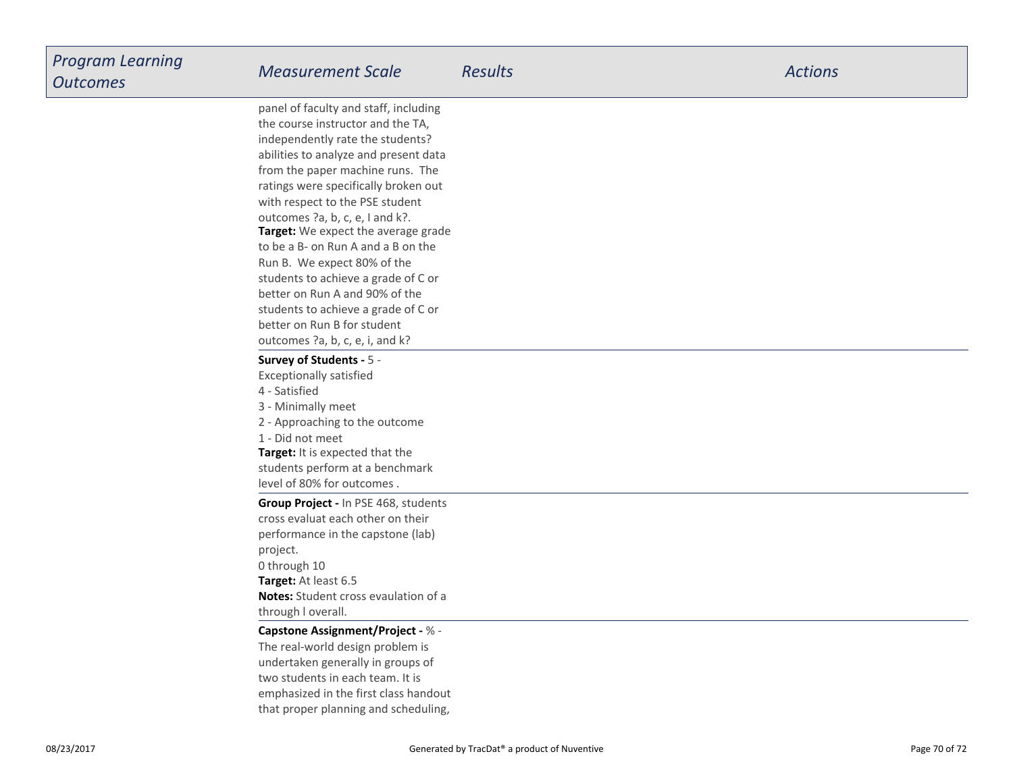**Target:** We expect the average grade to be a B- on Run A and a B on theRun B. We expect 80% of the students to achieve a grade of C orbetter on Run A and 90% of the students to achieve a grade of C orbetter on Run B for student outcomes ?a, b, c, e, i, and k?panel of faculty and staff, includingthe course instructor and the TA,independently rate the students? abilities to analyze and present data from the paper machine runs. The ratings were specifically broken outwith respect to the PSE studentoutcomes ?a, b, c, e, I and k?.

#### **Survey of Students -** 5 -

Exceptionally satisfied

- 4 Satisfied
- 3 Minimally meet
- 2 Approaching to the outcome

**Target:** It is expected that the 1 - Did not meet

 students perform at a benchmarklevel of 80% for outcomes .

**Group Project -** In PSE 468, studentscross evaluat each other on their performance in the capstone (lab)project.0 through 10

**Target:** At least 6.5 **Notes:** Student cross evaulation of athrough l overall.

#### **Capstone Assignment/Project -** % -

The real-world design problem is undertaken generally in groups oftwo students in each team. It is emphasized in the first class handoutthat proper planning and scheduling,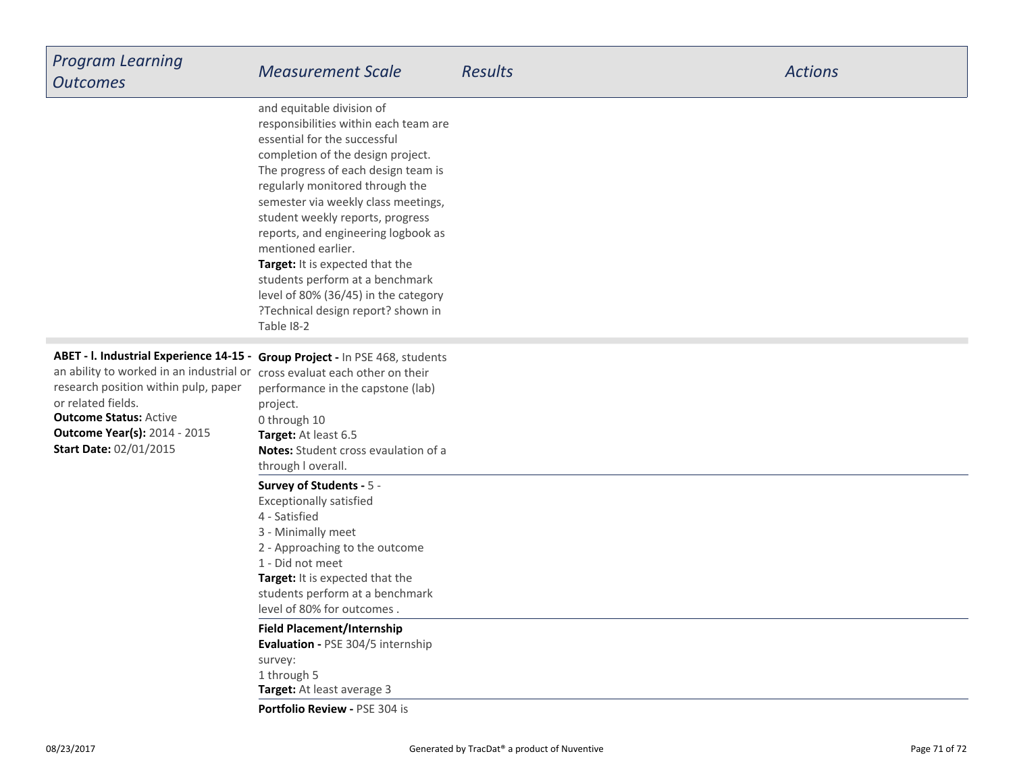| <b>Program Learning</b><br><b>Outcomes</b>                                                                                                                                                                                                                                                                                        | <b>Measurement Scale</b>                                                                                                                                                                                                                                                                                                                                                                                                                                                                                                    | <b>Results</b> | <b>Actions</b> |
|-----------------------------------------------------------------------------------------------------------------------------------------------------------------------------------------------------------------------------------------------------------------------------------------------------------------------------------|-----------------------------------------------------------------------------------------------------------------------------------------------------------------------------------------------------------------------------------------------------------------------------------------------------------------------------------------------------------------------------------------------------------------------------------------------------------------------------------------------------------------------------|----------------|----------------|
|                                                                                                                                                                                                                                                                                                                                   | and equitable division of<br>responsibilities within each team are<br>essential for the successful<br>completion of the design project.<br>The progress of each design team is<br>regularly monitored through the<br>semester via weekly class meetings,<br>student weekly reports, progress<br>reports, and engineering logbook as<br>mentioned earlier.<br>Target: It is expected that the<br>students perform at a benchmark<br>level of 80% (36/45) in the category<br>?Technical design report? shown in<br>Table 18-2 |                |                |
| ABET - I. Industrial Experience 14-15 - Group Project - In PSE 468, students<br>an ability to worked in an industrial or cross evaluat each other on their<br>research position within pulp, paper<br>or related fields.<br><b>Outcome Status: Active</b><br><b>Outcome Year(s): 2014 - 2015</b><br><b>Start Date: 02/01/2015</b> | performance in the capstone (lab)<br>project.<br>0 through 10<br>Target: At least 6.5<br>Notes: Student cross evaulation of a<br>through I overall.                                                                                                                                                                                                                                                                                                                                                                         |                |                |
|                                                                                                                                                                                                                                                                                                                                   | Survey of Students - 5 -<br><b>Exceptionally satisfied</b><br>4 - Satisfied<br>3 - Minimally meet<br>2 - Approaching to the outcome<br>1 - Did not meet<br>Target: It is expected that the<br>students perform at a benchmark<br>level of 80% for outcomes.<br><b>Field Placement/Internship</b><br>Evaluation - PSE 304/5 internship                                                                                                                                                                                       |                |                |
|                                                                                                                                                                                                                                                                                                                                   | survey:<br>1 through 5<br>Target: At least average 3<br>Portfolio Review - PSE 304 is                                                                                                                                                                                                                                                                                                                                                                                                                                       |                |                |